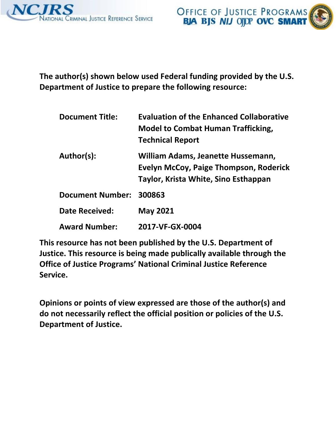



**The author(s) shown below used Federal funding provided by the U.S. Department of Justice to prepare the following resource:** 

| <b>Document Title:</b>  | <b>Evaluation of the Enhanced Collaborative</b><br><b>Model to Combat Human Trafficking,</b><br><b>Technical Report</b>     |
|-------------------------|-----------------------------------------------------------------------------------------------------------------------------|
| Author(s):              | William Adams, Jeanette Hussemann,<br><b>Evelyn McCoy, Paige Thompson, Roderick</b><br>Taylor, Krista White, Sino Esthappan |
| <b>Document Number:</b> | 300863                                                                                                                      |
| <b>Date Received:</b>   | <b>May 2021</b>                                                                                                             |
| <b>Award Number:</b>    | 2017-VF-GX-0004                                                                                                             |

**This resource has not been published by the U.S. Department of Justice. This resource is being made publically available through the Office of Justice Programs' National Criminal Justice Reference Service.** 

**Opinions or points of view expressed are those of the author(s) and do not necessarily reflect the official position or policies of the U.S. Department of Justice.**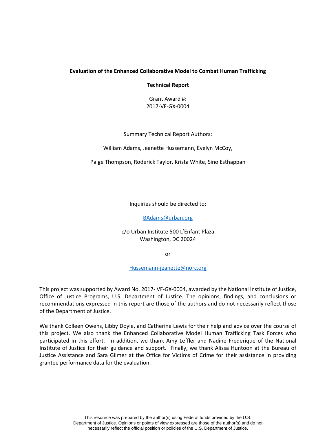#### **Evaluation of the Enhanced Collaborative Model to Combat Human Trafficking**

#### **Technical Report**

Grant Award #: 2017-VF-GX-0004

Summary Technical Report Authors:

William Adams, Jeanette Hussemann, Evelyn McCoy,

Paige Thompson, Roderick Taylor, Krista White, Sino Esthappan

Inquiries should be directed to:

[BAdams@urban.org](mailto:BAdams@urban.org) 

c/o Urban Institute 500 L'Enfant Plaza Washington, DC 20024

or

[Hussemann-jeanette@norc.org](mailto:Hussemann-jeanette@norc.org)

This project was supported by Award No. 2017- VF-GX-0004, awarded by the National Institute of Justice, Office of Justice Programs, U.S. Department of Justice. The opinions, findings, and conclusions or recommendations expressed in this report are those of the authors and do not necessarily reflect those of the Department of Justice.

We thank Colleen Owens, Libby Doyle, and Catherine Lewis for their help and advice over the course of this project. We also thank the Enhanced Collaborative Model Human Trafficking Task Forces who participated in this effort. In addition, we thank Amy Leffler and Nadine Frederique of the National Institute of Justice for their guidance and support. Finally, we thank Alissa Huntoon at the Bureau of Justice Assistance and Sara Gilmer at the Office for Victims of Crime for their assistance in providing grantee performance data for the evaluation.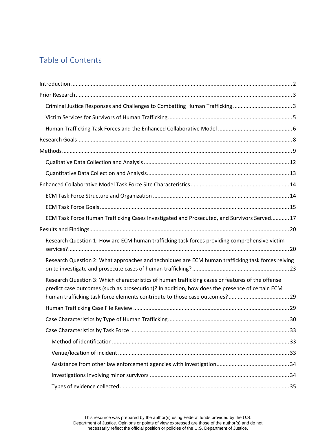# Table of Contents

| ECM Task Force Human Trafficking Cases Investigated and Prosecuted, and Survivors Served 17                                                                                                        |
|----------------------------------------------------------------------------------------------------------------------------------------------------------------------------------------------------|
|                                                                                                                                                                                                    |
|                                                                                                                                                                                                    |
| Research Question 1: How are ECM human trafficking task forces providing comprehensive victim                                                                                                      |
| Research Question 2: What approaches and techniques are ECM human trafficking task forces relying                                                                                                  |
| Research Question 3: Which characteristics of human trafficking cases or features of the offense<br>predict case outcomes (such as prosecution)? In addition, how does the presence of certain ECM |
|                                                                                                                                                                                                    |
|                                                                                                                                                                                                    |
|                                                                                                                                                                                                    |
|                                                                                                                                                                                                    |
|                                                                                                                                                                                                    |
|                                                                                                                                                                                                    |
|                                                                                                                                                                                                    |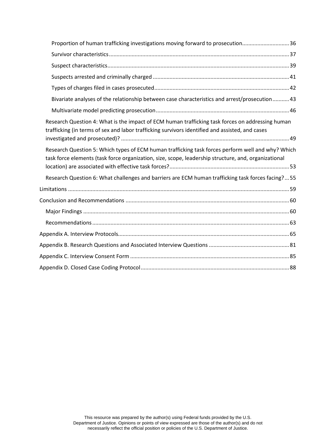| Proportion of human trafficking investigations moving forward to prosecution36                                                                                                                            |
|-----------------------------------------------------------------------------------------------------------------------------------------------------------------------------------------------------------|
|                                                                                                                                                                                                           |
|                                                                                                                                                                                                           |
|                                                                                                                                                                                                           |
|                                                                                                                                                                                                           |
| Bivariate analyses of the relationship between case characteristics and arrest/prosecution 43                                                                                                             |
|                                                                                                                                                                                                           |
| Research Question 4: What is the impact of ECM human trafficking task forces on addressing human<br>trafficking (in terms of sex and labor trafficking survivors identified and assisted, and cases       |
| Research Question 5: Which types of ECM human trafficking task forces perform well and why? Which<br>task force elements (task force organization, size, scope, leadership structure, and, organizational |
| Research Question 6: What challenges and barriers are ECM human trafficking task forces facing?55                                                                                                         |
|                                                                                                                                                                                                           |
|                                                                                                                                                                                                           |
|                                                                                                                                                                                                           |
|                                                                                                                                                                                                           |
|                                                                                                                                                                                                           |
|                                                                                                                                                                                                           |
|                                                                                                                                                                                                           |
|                                                                                                                                                                                                           |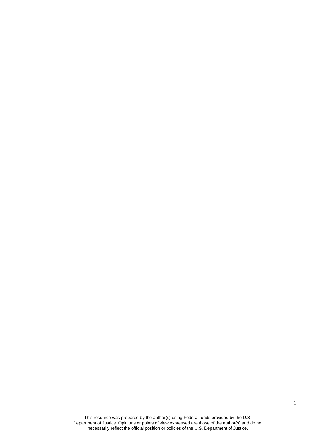This resource was prepared by the author(s) using Federal funds provided by the U.S. Department of Justice. Opinions or points of view expressed are those of the author(s) and do not necessarily reflect the official position or policies of the U.S. Department of Justice.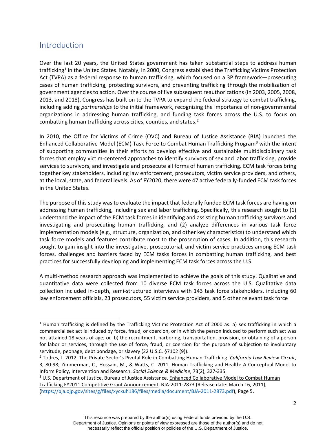## <span id="page-5-0"></span>Introduction

 $\overline{a}$ 

Over the last 20 years, the United States government has taken substantial steps to address human trafficking<sup>[1](#page-5-1)</sup> in the United States. Notably, in 2000, Congress established the Trafficking Victims Protection Act (TVPA) as a federal response to human trafficking, which focused on a 3P framework—prosecuting cases of human trafficking, protecting survivors, and preventing trafficking through the mobilization of government agencies to action. Over the course of five subsequent reauthorizations (in 2003, 2005, 2008, 2013, and 2018), Congress has built on to the TVPA to expand the federal strategy to combat trafficking, including adding *partnerships* to the initial framework, recognizing the importance of non-governmental organizations in addressing human trafficking, and funding task forces across the U.S. to focus on combatting human trafficking across cities, counties, and states. [2](#page-5-2)

In 2010, the Office for Victims of Crime (OVC) and Bureau of Justice Assistance (BJA) launched the Enhanced Collaborative Model (ECM) Task Force to Combat Human Trafficking Program<sup>[3](#page-5-3)</sup> with the intent of supporting communities in their efforts to develop effective and sustainable multidisciplinary task forces that employ victim-centered approaches to identify survivors of sex and labor trafficking, provide services to survivors, and investigate and prosecute all forms of human trafficking. ECM task forces bring together key stakeholders, including law enforcement, prosecutors, victim service providers, and others, at the local, state, and federal levels. As of FY2020, there were 47 active federally-funded ECM task forces in the United States.

The purpose of this study was to evaluate the impact that federally funded ECM task forces are having on addressing human trafficking, including sex and labor trafficking. Specifically, this research sought to (1) understand the impact of the ECM task forces in identifying and assisting human trafficking survivors and investigating and prosecuting human trafficking, and (2) analyze differences in various task force implementation models (e.g., structure, organization, and other key characteristics) to understand which task force models and features contribute most to the prosecution of cases. In addition, this research sought to gain insight into the investigative, prosecutorial, and victim service practices among ECM task forces, challenges and barriers faced by ECM tasks forces in combatting human trafficking, and best practices for successfully developing and implementing ECM task forces across the U.S.

A multi-method research approach was implemented to achieve the goals of this study. Qualitative and quantitative data were collected from 10 diverse ECM task forces across the U.S. Qualitative data collection included in-depth, semi-structured interviews with 143 task force stakeholders, including 60 law enforcement officials, 23 prosecutors, 55 victim service providers, and 5 other relevant task force

<span id="page-5-1"></span><sup>&</sup>lt;sup>1</sup> Human trafficking is defined by the Trafficking Victims Protection Act of 2000 as: a) sex trafficking in which a commercial sex act is induced by force, fraud, or coercion, or in which the person induced to perform such act was not attained 18 years of age; or b) the recruitment, harboring, transportation, provision, or obtaining of a person for labor or services, through the use of force, fraud, or coercion for the purpose of subjection to involuntary servitude, peonage, debt bondage, or slavery (22 U.S.C. §7102 (9)).

<span id="page-5-2"></span><sup>2</sup> Todres, J. 2012. The Private Sector's Pivotal Role in Combatting Human Trafficking. *California Law Review Circuit*, 3, 80-98; Zimmerman, C., Hossain, M., & Watts, C. 2011. Human Trafficking and Health: A Conceptual Model to

<span id="page-5-3"></span>Inform Policy, Intervention and Research. *Social Science & Medicine*, 73(2), 327-335.<br><sup>3</sup> U.S. Department of Justice, Bureau of Justice Assistance. Enhanced Collaborative Model to Combat Human Trafficking FY2011 Competitive Grant Announcement, BJA-2011-2873 (Release date: March 16, 2011), [\(https://bja.ojp.gov/sites/g/files/xyckuh186/files/media/document/BJA-2011-2873.pdf\)](https://bja.ojp.gov/sites/g/files/xyckuh186/files/media/document/BJA-2011-2873.pdf), Page 5.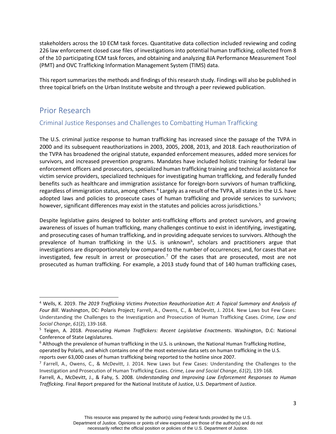stakeholders across the 10 ECM task forces. Quantitative data collection included reviewing and coding 226 law enforcement closed case files of investigations into potential human trafficking, collected from 8 of the 10 participating ECM task forces, and obtaining and analyzing BJA Performance Measurement Tool (PMT) and OVC Trafficking Information Management System (TIMS) data.

This report summarizes the methods and findings of this research study. Findings will also be published in three topical briefs on the Urban Institute website and through a peer reviewed publication.

# <span id="page-6-0"></span>Prior Research

 $\overline{a}$ 

### <span id="page-6-1"></span>Criminal Justice Responses and Challenges to Combatting Human Trafficking

The U.S. criminal justice response to human trafficking has increased since the passage of the TVPA in 2000 and its subsequent reauthorizations in 2003, 2005, 2008, 2013, and 2018. Each reauthorization of the TVPA has broadened the original statute, expanded enforcement measures, added more services for survivors, and increased prevention programs. Mandates have included holistic training for federal law enforcement officers and prosecutors, specialized human trafficking training and technical assistance for victim service providers, specialized techniques for investigating human trafficking, and federally funded benefits such as healthcare and immigration assistance for foreign-born survivors of human trafficking, regardless of immigration status, among others.<sup>[4](#page-6-2)</sup> Largely as a result of the TVPA, all states in the U.S. have adopted laws and policies to prosecute cases of human trafficking and provide services to survivors; however, significant differences may exist in the statutes and policies across jurisdictions.<sup>[5](#page-6-3)</sup>

Despite legislative gains designed to bolster anti-trafficking efforts and protect survivors, and growing awareness of issues of human trafficking, many challenges continue to exist in identifying, investigating, and prosecuting cases of human trafficking, and in providing adequate services to survivors. Although the prevalence of human trafficking in the U.S. is unknown<sup>[6](#page-6-4)</sup>, scholars and practitioners argue that investigations are disproportionately low compared to the number of occurrences; and, for cases that are investigated, few result in arrest or prosecution.<sup>[7](#page-6-5)</sup> Of the cases that are prosecuted, most are not prosecuted as human trafficking. For example, a 2013 study found that of 140 human trafficking cases,

<span id="page-6-2"></span><sup>4</sup> Wells, K. 2019. *The 2019 Trafficking Victims Protection Reauthorization Act: A Topical Summary and Analysis of Four Bill*. Washington, DC: Polaris Project; Farrell, A., Owens, C., & McDevitt, J. 2014. New Laws but Few Cases: Understanding the Challenges to the Investigation and Prosecution of Human Trafficking Cases. *Crime, Law and Social Change*, *61*(2), 139-168.

<span id="page-6-3"></span><sup>5</sup> Teigen, A. 2018. *Prosecuting Human Traffickers: Recent Legislative Enactments*. Washington, D.C: National Conference of State Legislatures.

<span id="page-6-4"></span><sup>6</sup> Although the prevalence of human trafficking in the U.S. is unknown, the National Human Trafficking Hotline, operated by Polaris, and which contains one of the most extensive data sets on human trafficking in the U.S.

reports over 63,000 cases of human trafficking being reported to the hotline since 2007.

<span id="page-6-5"></span> $^7$  Farrell, A., Owens, C., & McDevitt, J. 2014. New Laws but Few Cases: Understanding the Challenges to the Investigation and Prosecution of Human Trafficking Cases. *Crime, Law and Social Change*, *61*(2), 139-168.

Farrell, A., McDevitt, J., & Fahy, S. 2008. *Understanding and Improving Law Enforcement Responses to Human Trafficking*. Final Report prepared for the National Institute of Justice, U.S. Department of Justice.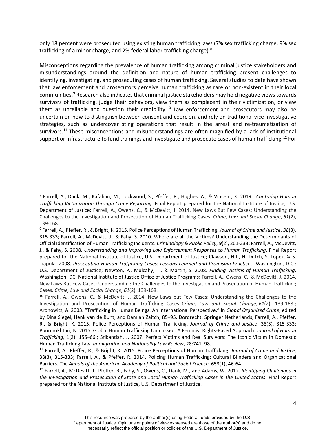only 18 percent were prosecuted using existing human trafficking laws (7% sex trafficking charge, 9% sex trafficking of a minor charge, and 2% federal labor trafficking charge).<sup>[8](#page-7-0)</sup>

Misconceptions regarding the prevalence of human trafficking among criminal justice stakeholders and misunderstandings around the definition and nature of human trafficking present challenges to identifying, investigating, and prosecuting cases of human trafficking. Several studies to date have shown that law enforcement and prosecutors perceive human trafficking as rare or non-existent in their local communities.<sup>[9](#page-7-1)</sup> Research also indicates that criminal justice stakeholders may hold negative views towards survivors of trafficking, judge their behaviors, view them as complacent in their victimization, or view them as unreliable and question their credibility.<sup>10</sup> Law enforcement and prosecutors may also be uncertain on how to distinguish between consent and coercion, and rely on traditional vice investigative strategies, such as undercover sting operations that result in the arrest and re-traumatization of survivors.<sup>[11](#page-7-3)</sup> These misconceptions and misunderstandings are often magnified by a lack of institutional support or infrastructure to fund trainings and investigate and prosecute cases of human trafficking.<sup>[12](#page-7-4)</sup> For

l

<span id="page-7-0"></span><sup>8</sup> Farrell, A., Dank, M., Kafafian, M., Lockwood, S., Pfeffer, R., Hughes, A., & Vincent, K. 2019. *Capturing Human Trafficking Victimization Through Crime Reporting.* Final Report prepared for the National Institute of Justice, U.S. Department of Justice; Farrell, A., Owens, C., & McDevitt, J. 2014. New Laws But Few Cases: Understanding the Challenges to the Investigation and Prosecution of Human Trafficking Cases. *Crime, Law and Social Change*, *61*(2), 139-168.

<span id="page-7-1"></span><sup>9</sup> Farrell, A., Pfeffer, R., & Bright, K. 2015. Police Perceptions of Human Trafficking. *Journal of Crime and Justice*, *38*(3), 315-333; Farrell, A., McDevitt, J., & Fahy, S. 2010. Where are all the Victims? Understanding the Determinants of Official Identification of Human Trafficking Incidents. *Criminology & Public Policy*, *9*(2), 201-233; Farrell, A., McDevitt, J., & Fahy, S. 2008. *Understanding and Improving Law Enforcement Responses to Human Trafficking*. Final Report prepared for the National Institute of Justice, U.S. Department of Justice; Clawson, H.J., N. Dutch, S. Lopez, & S. Tiapula. 2008. *Prosecuting Human Trafficking Cases: Lessons Learned and Promising Practices*. Washington, D.C.: U.S. Department of Justice; Newton, P., Mulcahy, T., & Martin, S. 2008. *Finding Victims of Human Trafficking*. Washington, DC: National Institute of Justice Office of Justice Programs; Farrell, A., Owens, C., & McDevitt, J. 2014. New Laws But Few Cases: Understanding the Challenges to the Investigation and Prosecution of Human Trafficking Cases. *Crime, Law and Social Change, 61*(2), 139-168.<br><sup>10</sup> Farrell, A., Owens, C., & McDevitt, J. 2014. New Laws but Few Cases: Understanding the Challenges to the

<span id="page-7-2"></span>Investigation and Prosecution of Human Trafficking Cases. *Crime, Law and Social Change*, *61*(2), 139-168.; Aronowitz, A. 2003. "Trafficking in Human Beings: An International Perspective." In *Global Organized Crime*, edited by Dina Siegel, Henk van de Bunt, and Damian Zaitch, 85–95. Dordrecht: Springer Netherlands; Farrell, A., Pfeffer, R., & Bright, K. 2015. Police Perceptions of Human Trafficking. *Journal of Crime and Justice*, 38(3), 315-333; Pourmokhtari, N. 2015. Global Human Trafficking Unmasked: A Feminist Rights-Based Approach. *Journal of Human Trafficking*, 1(2): 156–66.; Srikantiah, J. 2007. Perfect Victims and Real Survivors: The Iconic Victim in Domestic Human Trafficking Law. *Immigration and Nationality Law Review*, 28:741–98.

<span id="page-7-3"></span><sup>11</sup> Farrell, A., Pfeffer, R., & Bright, K. 2015. Police Perceptions of Human Trafficking. *Journal of Crime and Justice*, 38(3), 315-333; Farrell, A., & Pfeffer, R. 2014. Policing Human Trafficking: Cultural Blinders and Organizational Barriers. *The Annals of the American Academy of Political and Social Science*, 653(1), 46-64.

<span id="page-7-4"></span><sup>12</sup> Farrell, A., McDevitt, J., Pfeffer, R., Fahy, S., Owens, C., Dank, M., and Adams, W. 2012. *Identifying Challenges in the Investigation and Prosecution of State and Local Human Trafficking Cases in the United States*. Final Report prepared for the National Institute of Justice, U.S. Department of Justice.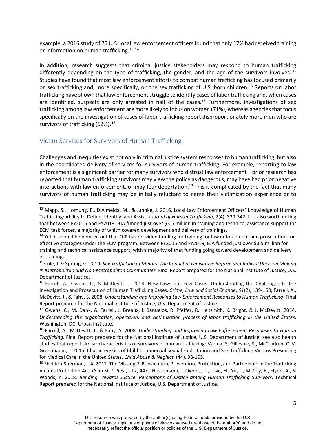example, a 2016 study of 75 U.S. local law enforcement officers found that only 17% had received training or information on human trafficking.<sup>[13](#page-8-1) [14](#page-8-2)</sup>

In addition, research suggests that criminal justice stakeholders may respond to human trafficking differently depending on the type of trafficking, the gender, and the age of the survivors involved.<sup>[15](#page-8-3)</sup> Studies have found that most law enforcement efforts to combat human trafficking has focused primarily on sex trafficking and, more specifically, on the sex trafficking of U.S. born children.<sup>[16](#page-8-4)</sup> Reports on labor trafficking have shown that law enforcement struggle to identify cases of labor trafficking and, when cases are identified, suspects are only arrested in half of the cases.<sup>[17](#page-8-5)</sup> Furthermore, investigations of sex trafficking among law enforcement are more likely to focus on women (71%), whereas agencies that focus specifically on the investigation of cases of labor trafficking report disproportionately more men who are survivors of trafficking  $(62\%)$ .<sup>[18](#page-8-6)</sup>

### <span id="page-8-0"></span>Victim Services for Survivors of Human Trafficking

l

Challenges and inequities exist not only in criminal justice system responses to human trafficking, but also in the coordinated delivery of services for survivors of human trafficking. For example, reporting to law enforcement is a significant barrier for many survivors who distrust law enforcement—prior research has reported that human trafficking survivors may view the police as dangerous, may have had prior negative interactions with law enforcement, or may fear deportation.<sup>[19](#page-8-7)</sup> This is complicated by the fact that many survivors of human trafficking may be initially reluctant to name their victimization experience or to

<span id="page-8-1"></span><sup>&</sup>lt;sup>13</sup> Mapp, S., Hornung, E., D'Almeida, M., & Juhnke, J. 2016. Local Law Enforcement Officers' Knowledge of Human Trafficking: Ability to Define, Identify, and Assist*. Journal of Human Trafficking*, 2(4), 329-342. It is also worth noting that between FY2015 and FY2019, BJA funded just over \$3.5 million in training and technical assistance support for ECM task forces, a majority of which covered development and delivery of trainings.

<span id="page-8-2"></span><sup>&</sup>lt;sup>14</sup> Yet, it should be pointed out that OJP has provided funding for training for law enforcement and prosecutions on effective strategies under the ECM program. Between FY2015 and FY2019, BJA funded just over \$3.5 million for training and technical assistance support, with a majority of that funding going toward development and delivery of trainings.

<span id="page-8-3"></span><sup>15</sup> Cole, J. & Sprang, G. 2019. *Sex Trafficking of Minors: The Impact of Legislative Reform and Judicial Decision Making in Metropolitan and Non-Metropolitan Communities.* Final Report prepared for the National Institute of Justice, U.S. Department of Justice.

<span id="page-8-4"></span><sup>16</sup> Farrell, A., Owens, C., & McDevitt, J. 2014. New Laws but Few Cases: Understanding the Challenges to the Investigation and Prosecution of Human Trafficking Cases. *Crime, Law and Social Change*, *61*(2), 139-168; Farrell, A., McDevitt, J., & Fahy, S. 2008. *Understanding and Improving Law Enforcement Responses to Human Trafficking*. Final Report prepared for the National Institute of Justice, U.S. Department of Justice.

<span id="page-8-5"></span><sup>&</sup>lt;sup>17</sup> Owens, C., M. Dank, A. Farrell, J. Breaux, I. Banuelos, R. Pfeffer, R. Heitsmith, K. Bright, & J. McDevitt. 2014. *Understanding the organization, operation, and victimization process of labor trafficking in the United States*. Washington, DC: Urban Institute.

<span id="page-8-6"></span><sup>18</sup> Farrell, A., McDevitt, J., & Fahy, S. 2008. *Understanding and Improving Law Enforcement Responses to Human Trafficking*. Final Report prepared for the National Institute of Justice, U.S. Department of Justice; see also health studies that report similar characteristics of survivors of human trafficking: Varma, S. Gillespie, S., McCracken, C. V. Greenbaum, J. 2015. Characteristics of Child Commercial Sexual Exploitation and Sex Trafficking Victims Presenting for Medical Care in the United States, *Child Abuse & Neglect*, (44), 98-105.

<span id="page-8-7"></span> $19$  Sheldon-Sherman, J. A. 2012. The Missing P: Prosecution, Prevention, Protection, and Partnership in the Trafficking Victims Protection Act. *Penn St. L. Rev*., 117, 443.; Hussemann, J. Owens, C., Love, H., Yu, L., McCoy, E., Flynn, A., & Woods, K. 2018*. Bending Towards Justice: Perceptions of Justice among Human Trafficking Survivors*. Technical Report prepared for the National Institute of Justice, U.S. Department of Justice.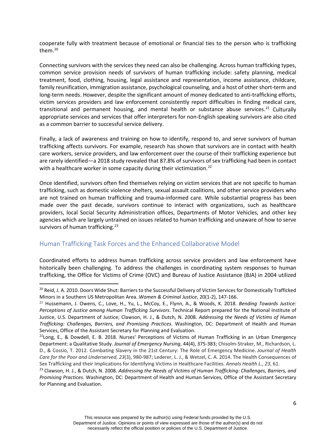cooperate fully with treatment because of emotional or financial ties to the person who is trafficking them. [20](#page-9-1)

Connecting survivors with the services they need can also be challenging. Across human trafficking types, common service provision needs of survivors of human trafficking include: safety planning, medical treatment, food, clothing, housing, legal assistance and representation, income assistance, childcare, family reunification, immigration assistance, psychological counseling, and a host of other short-term and long-term needs. However, despite the significant amount of money dedicated to anti-trafficking efforts, victim services providers and law enforcement consistently report difficulties in finding medical care, transitional and permanent housing, and mental health or substance abuse services.<sup>[21](#page-9-2)</sup> Culturally appropriate services and services that offer interpreters for non-English speaking survivors are also cited as a common barrier to successful service delivery.

Finally, a lack of awareness and training on how to identify, respond to, and serve survivors of human trafficking affects survivors. For example, research has shown that survivors are in contact with health care workers, service providers, and law enforcement over the course of their trafficking experience but are rarely identified—a 2018 study revealed that 87.8% of survivors of sex trafficking had been in contact with a healthcare worker in some capacity during their victimization.<sup>[22](#page-9-3)</sup>

Once identified, survivors often find themselves relying on victim services that are not specific to human trafficking, such as domestic violence shelters, sexual assault coalitions, and other service providers who are not trained on human trafficking and trauma-informed care. While substantial progress has been made over the past decade, survivors continue to interact with organizations, such as healthcare providers, local Social Security Administration offices, Departments of Motor Vehicles, and other key agencies which are largely untrained on issues related to human trafficking and unaware of how to serve survivors of human trafficking.<sup>23</sup>

### <span id="page-9-0"></span>Human Trafficking Task Forces and the Enhanced Collaborative Model

 $\overline{\phantom{a}}$ 

Coordinated efforts to address human trafficking across service providers and law enforcement have historically been challenging. To address the challenges in coordinating system responses to human trafficking, the Office for Victims of Crime (OVC) and Bureau of Justice Assistance (BJA) in 2004 utilized

<span id="page-9-1"></span><sup>&</sup>lt;sup>20</sup> Reid, J. A. 2010. Doors Wide Shut: Barriers to the Successful Delivery of Victim Services for Domestically Trafficked Minors in a Southern US Metropolitan Area. *Women & Criminal Justice*, 20(1-2), 147-166.

<span id="page-9-2"></span><sup>21</sup> Hussemann, J. Owens, C., Love, H., Yu, L., McCoy, E., Flynn, A., & Woods, K. 2018. *Bending Towards Justice: Perceptions of Justice among Human Trafficking Survivors*. Technical Report prepared for the National Institute of Justice, U.S. Department of Justice; Clawson, H. J., & Dutch, N. 2008. *Addressing the Needs of Victims of Human Trafficking: Challenges, Barriers, and Promising Practices*. Washington, DC: Department of Health and Human Services, Office of the Assistant Secretary for Planning and Evaluation.

<span id="page-9-3"></span> $^{22}$ Long, E., & Dowdell, E. B. 2018. Nurses' Perceptions of Victims of Human Trafficking in an Urban Emergency Department: a Qualitative Study. *Journal of Emergency Nursing*, 44(4), 375-383; Chisolm-Straker, M., Richardson, L. D., & Cossio, T. 2012. Combating Slavery in the 21st Century: The Role of Emergency Medicine. *Journal of Health Care for the Poor and Underserved*, *23*(3), 980-987; Lederer, L. J., & Wetzel, C. A. 2014. The Health Consequences of Sex Trafficking and their Implications for Identifying Victims in Healthcare Facilities. *Annals Health L.*, *23*, 61.

<span id="page-9-4"></span><sup>23</sup> Clawson, H. J., & Dutch, N. 2008. *Addressing the Needs of Victims of Human Trafficking: Challenges, Barriers, and Promising Practices*. Washington, DC: Department of Health and Human Services, Office of the Assistant Secretary for Planning and Evaluation.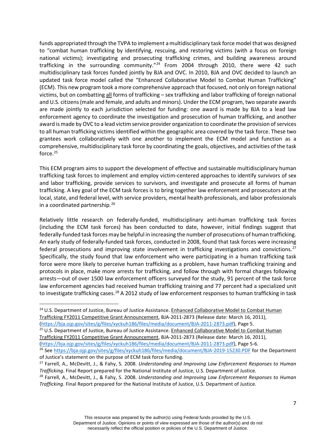funds appropriated through the TVPA to implement a multidisciplinary task force model that was designed to "combat human trafficking by identifying, rescuing, and restoring victims (with a focus on foreign national victims); investigating and prosecuting trafficking crimes, and building awareness around trafficking in the surrounding community."<sup>[24](#page-10-0)</sup> From 2004 through 2010, there were 42 such multidisciplinary task forces funded jointly by BJA and OVC. In 2010, BJA and OVC decided to launch an updated task force model called the "Enhanced Collaborative Model to Combat Human Trafficking" (ECM). This new program took a more comprehensive approach that focused, not only on foreign national victims, but on combatting all forms of trafficking – sex trafficking and labor trafficking of foreign national and U.S. citizens (male and female, and adults and minors). Under the ECM program, two separate awards are made jointly to each jurisdiction selected for funding: one award is made by BJA to a lead law enforcement agency to coordinate the investigation and prosecution of human trafficking, and another award is made by OVC to a lead victim service provider organization to coordinate the provision of services to all human trafficking victims identified within the geographic area covered by the task force. These two grantees work collaboratively with one another to implement the ECM model and function as a comprehensive, multidisciplinary task force by coordinating the goals, objectives, and activities of the task force. [25](#page-10-1)

This ECM program aims to support the development of effective and sustainable multidisciplinary human trafficking task forces to implement and employ victim-centered approaches to identify survivors of sex and labor trafficking, provide services to survivors, and investigate and prosecute all forms of human trafficking. A key goal of the ECM task forces is to bring together law enforcement and prosecutors at the local, state, and federal level, with service providers, mental health professionals, and labor professionals in a coordinated partnership.<sup>26</sup>

Relatively little research on federally-funded, multidisciplinary anti-human trafficking task forces (including the ECM task forces) has been conducted to date, however, initial findings suggest that federally-funded task forces may be helpful in increasing the number of prosecutions of human trafficking. An early study of federally-funded task forces, conducted in 2008, found that task forces were increasing federal prosecutions and improving state involvement in trafficking investigations and convictions.<sup>[27](#page-10-3)</sup> Specifically, the study found that law enforcement who were participating in a human trafficking task force were more likely to perceive human trafficking as a problem, have human trafficking training and protocols in place, make more arrests for trafficking, and follow through with formal charges following arrests—out of over 1500 law enforcement officers surveyed for the study, 91 percent of the task force law enforcement agencies had received human trafficking training and 77 percent had a specialized unit to investigate trafficking cases.<sup>[28](#page-10-4)</sup> A 2012 study of law enforcement responses to human trafficking in task

l

<span id="page-10-1"></span><sup>25</sup> U.S. Department of Justice, Bureau of Justice Assistance. Enhanced Collaborative Model to Combat Human Trafficking FY2011 Competitive Grant Announcement, BJA-2011-2873 (Release date: March 16, 2011),

<span id="page-10-0"></span><sup>&</sup>lt;sup>24</sup> U.S. Department of Justice, Bureau of Justice Assistance. Enhanced Collaborative Model to Combat Human Trafficking FY2011 Competitive Grant Announcement, BJA-2011-2873 (Release date: March 16, 2011), [\(https://bja.ojp.gov/sites/g/files/xyckuh186/files/media/document/BJA-2011-2873.pdf\)](https://bja.ojp.gov/sites/g/files/xyckuh186/files/media/document/BJA-2011-2873.pdf), Page 5.

[<sup>\(</sup>https://bja.ojp.gov/sites/g/files/xyckuh186/files/media/document/BJA-2011-2873.pdf\)](https://bja.ojp.gov/sites/g/files/xyckuh186/files/media/document/BJA-2011-2873.pdf), Page 5-6. <sup>26</sup> See<https://bja.ojp.gov/sites/g/files/xyckuh186/files/media/document/BJA-2019-15230.PDF> for the Department

<span id="page-10-3"></span><span id="page-10-2"></span>of Justice's statement on the purpose of ECM task force funding.<br><sup>27</sup> Farrell, A., McDevitt, J., & Fahy, S. 2008. *Understanding and Improving Law Enforcement Responses to Human Trafficking*. Final Report prepared for the National Institute of Justice, U.S. Department of Justice.

<span id="page-10-4"></span><sup>28</sup> Farrell, A., McDevitt, J., & Fahy, S. 2008. *Understanding and Improving Law Enforcement Responses to Human Trafficking*. Final Report prepared for the National Institute of Justice, U.S. Department of Justice.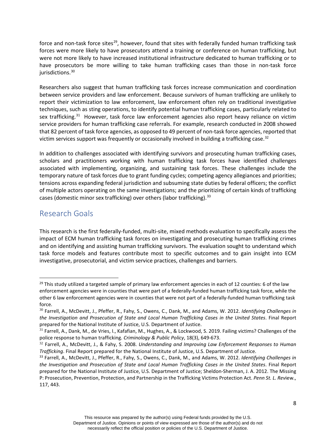force and non-task force sites<sup>29</sup>, however, found that sites with federally funded human trafficking task forces were more likely to have prosecutors attend a training or conference on human trafficking, but were not more likely to have increased institutional infrastructure dedicated to human trafficking or to have prosecutors be more willing to take human trafficking cases than those in non-task force jurisdictions.<sup>30</sup>

Researchers also suggest that human trafficking task forces increase communication and coordination between service providers and law enforcement. Because survivors of human trafficking are unlikely to report their victimization to law enforcement, law enforcement often rely on traditional investigative techniques, such as sting operations, to identify potential human trafficking cases, particularly related to sex trafficking.<sup>31</sup> However, task force law enforcement agencies also report heavy reliance on victim service providers for human trafficking case referrals. For example, research conducted in 2008 showed that 82 percent of task force agencies, as opposed to 49 percent of non-task force agencies, reported that victim services support was frequently or occasionally involved in building a trafficking case.<sup>32</sup>

In addition to challenges associated with identifying survivors and prosecuting human trafficking cases, scholars and practitioners working with human trafficking task forces have identified challenges associated with implementing, organizing, and sustaining task forces. These challenges include the temporary nature of task forces due to grant funding cycles; competing agency allegiances and priorities; tensions across expanding federal jurisdiction and subsuming state duties by federal officers; the conflict of multiple actors operating on the same investigations; and the prioritizing of certain kinds of trafficking cases (domestic minor sex trafficking) over others (labor trafficking).<sup>[33](#page-11-5)</sup>

# <span id="page-11-0"></span>Research Goals

 $\overline{\phantom{a}}$ 

This research is the first federally-funded, multi-site, mixed methods evaluation to specifically assess the impact of ECM human trafficking task forces on investigating and prosecuting human trafficking crimes and on identifying and assisting human trafficking survivors. The evaluation sought to understand which task force models and features contribute most to specific outcomes and to gain insight into ECM investigative, prosecutorial, and victim service practices, challenges and barriers.

<span id="page-11-1"></span> $^{29}$  This study utilized a targeted sample of primary law enforcement agencies in each of 12 counties: 6 of the law enforcement agencies were in counties that were part of a federally-funded human trafficking task force, while the other 6 law enforcement agencies were in counties that were not part of a federally-funded human trafficking task force.

<span id="page-11-2"></span><sup>30</sup> Farrell, A., McDevitt, J., Pfeffer, R., Fahy, S., Owens, C., Dank, M., and Adams, W. 2012. *Identifying Challenges in the Investigation and Prosecution of State and Local Human Trafficking Cases in the United States*. Final Report prepared for the National Institute of Justice, U.S. Department of Justice.

<span id="page-11-3"></span> $31$  Farrell, A., Dank, M., de Vries, I., Kafafian, M., Hughes, A., & Lockwood, S. 2019. Failing victims? Challenges of the police response to human trafficking. *Criminology & Public Policy*, 18(3), 649-673.

<span id="page-11-4"></span><sup>32</sup> Farrell, A., McDevitt, J., & Fahy, S. 2008. *Understanding and Improving Law Enforcement Responses to Human*  Trafficking. Final Report prepared for the National Institute of Justice, U.S. Department of Justice.<br><sup>33</sup> Farrell, A., McDevitt, J., Pfeffer, R., Fahy, S., Owens, C., Dank, M., and Adams, W. 2012. Identifying Challenges i

<span id="page-11-5"></span>*the Investigation and Prosecution of State and Local Human Trafficking Cases in the United States*. Final Report prepared for the National Institute of Justice, U.S. Department of Justice; Sheldon-Sherman, J. A. 2012. The Missing P: Prosecution, Prevention, Protection, and Partnership in the Trafficking Victims Protection Act. *Penn St. L. Rev*iew., 117, 443.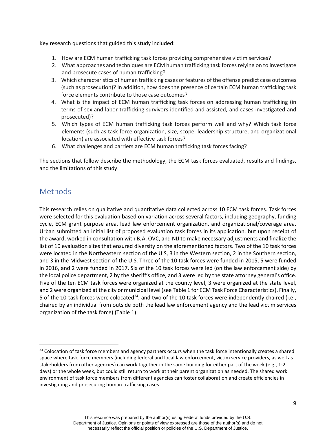Key research questions that guided this study included:

- 1. How are ECM human trafficking task forces providing comprehensive victim services?
- 2. What approaches and techniques are ECM human trafficking task forces relying on to investigate and prosecute cases of human trafficking?
- 3. Which characteristics of human trafficking cases or features of the offense predict case outcomes (such as prosecution)? In addition, how does the presence of certain ECM human trafficking task force elements contribute to those case outcomes?
- 4. What is the impact of ECM human trafficking task forces on addressing human trafficking (in terms of sex and labor trafficking survivors identified and assisted, and cases investigated and prosecuted)?
- 5. Which types of ECM human trafficking task forces perform well and why? Which task force elements (such as task force organization, size, scope, leadership structure, and organizational location) are associated with effective task forces?
- 6. What challenges and barriers are ECM human trafficking task forces facing?

The sections that follow describe the methodology, the ECM task forces evaluated, results and findings, and the limitations of this study.

## <span id="page-12-0"></span>Methods

l

This research relies on qualitative and quantitative data collected across 10 ECM task forces. Task forces were selected for this evaluation based on variation across several factors, including geography, funding cycle, ECM grant purpose area, lead law enforcement organization, and organizational/coverage area. Urban submitted an initial list of proposed evaluation task forces in its application, but upon receipt of the award, worked in consultation with BJA, OVC, and NIJ to make necessary adjustments and finalize the list of 10 evaluation sites that ensured diversity on the aforementioned factors. Two of the 10 task forces were located in the Northeastern section of the U.S, 3 in the Western section, 2 in the Southern section, and 3 in the Midwest section of the U.S. Three of the 10 task forces were funded in 2015, 5 were funded in 2016, and 2 were funded in 2017. Six of the 10 task forces were led (on the law enforcement side) by the local police department, 2 by the sheriff's office, and 3 were led by the state attorney general's office. Five of the ten ECM task forces were organized at the county level, 3 were organized at the state level, and 2 were organized at the city or municipal level (see Table 1 for ECM Task Force Characteristics). Finally, 5 of the 10-task forces were colocated<sup>34</sup>, and two of the 10 task forces were independently chaired (i.e., chaired by an individual from outside both the lead law enforcement agency and the lead victim services organization of the task force) (Table 1).

<span id="page-12-1"></span><sup>&</sup>lt;sup>34</sup> Colocation of task force members and agency partners occurs when the task force intentionally creates a shared space where task force members (including federal and local law enforcement, victim service providers, as well as stakeholders from other agencies) can work together in the same building for either part of the week (e.g., 1-2 days) or the whole week, but could still return to work at their parent organization as needed. The shared work environment of task force members from different agencies can foster collaboration and create efficiencies in investigating and prosecuting human trafficking cases.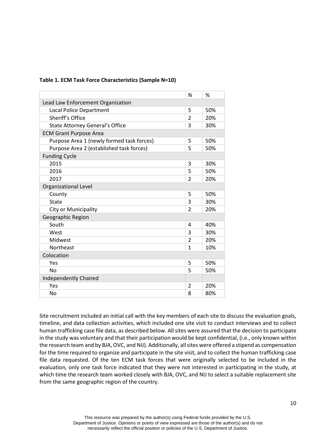|                                           | N              | %   |
|-------------------------------------------|----------------|-----|
| Lead Law Enforcement Organization         |                |     |
| <b>Local Police Department</b>            | 5              | 50% |
| Sheriff's Office                          | $\overline{2}$ | 20% |
| <b>State Attorney General's Office</b>    | 3              | 30% |
| <b>ECM Grant Purpose Area</b>             |                |     |
| Purpose Area 1 (newly formed task forces) | 5              | 50% |
| Purpose Area 2 (established task forces)  | 5              | 50% |
| <b>Funding Cycle</b>                      |                |     |
| 2015                                      | 3              | 30% |
| 2016                                      | 5              | 50% |
| 2017                                      | $\overline{2}$ | 20% |
| <b>Organizational Level</b>               |                |     |
| County                                    | 5              | 50% |
| State                                     | 3              | 30% |
| <b>City or Municipality</b>               | $\overline{2}$ | 20% |
| Geographic Region                         |                |     |
| South                                     | 4              | 40% |
| West                                      | 3              | 30% |
| Midwest                                   | $\mathcal{P}$  | 20% |
| <b>Northeast</b>                          | $\mathbf{1}$   | 10% |
| Colocation                                |                |     |
| Yes                                       | 5              | 50% |
| No                                        | 5              | 50% |
| <b>Independently Chaired</b>              |                |     |
| Yes                                       | 2              | 20% |
| No                                        | 8              | 80% |

#### **Table 1. ECM Task Force Characteristics (Sample N=10)**

Site recruitment included an initial call with the key members of each site to discuss the evaluation goals, timeline, and data collection activities, which included one site visit to conduct interviews and to collect human trafficking case file data, as described below. All sites were assured that the decision to participate in the study was voluntary and that their participation would be kept confidential, (i.e., only known within the research team and by BJA, OVC, and NIJ). Additionally, all sites were offered a stipend as compensation for the time required to organize and participate in the site visit, and to collect the human trafficking case file data requested. Of the ten ECM task forces that were originally selected to be included in the evaluation, only one task force indicated that they were not interested in participating in the study, at which time the research team worked closely with BJA, OVC, and NIJ to select a suitable replacement site from the same geographic region of the country.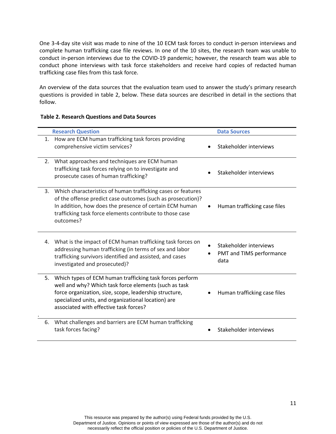One 3-4-day site visit was made to nine of the 10 ECM task forces to conduct in-person interviews and complete human trafficking case file reviews. In one of the 10 sites, the research team was unable to conduct in-person interviews due to the COVID-19 pandemic; however, the research team was able to conduct phone interviews with task force stakeholders and receive hard copies of redacted human trafficking case files from this task force.

An overview of the data sources that the evaluation team used to answer the study's primary research questions is provided in table 2, below. These data sources are described in detail in the sections that follow.

|    | <b>Research Question</b>                                                                                                                                                                                                                                                     | <b>Data Sources</b>                                        |
|----|------------------------------------------------------------------------------------------------------------------------------------------------------------------------------------------------------------------------------------------------------------------------------|------------------------------------------------------------|
| 1. | How are ECM human trafficking task forces providing<br>comprehensive victim services?                                                                                                                                                                                        | Stakeholder interviews                                     |
| 2. | What approaches and techniques are ECM human<br>trafficking task forces relying on to investigate and<br>prosecute cases of human trafficking?                                                                                                                               | Stakeholder interviews                                     |
| 3. | Which characteristics of human trafficking cases or features<br>of the offense predict case outcomes (such as prosecution)?<br>In addition, how does the presence of certain ECM human<br>trafficking task force elements contribute to those case<br>outcomes?              | Human trafficking case files                               |
| 4. | What is the impact of ECM human trafficking task forces on<br>addressing human trafficking (in terms of sex and labor<br>trafficking survivors identified and assisted, and cases<br>investigated and prosecuted)?                                                           | Stakeholder interviews<br>PMT and TIMS performance<br>data |
| 5. | Which types of ECM human trafficking task forces perform<br>well and why? Which task force elements (such as task<br>force organization, size, scope, leadership structure,<br>specialized units, and organizational location) are<br>associated with effective task forces? | Human trafficking case files                               |
| 6. | What challenges and barriers are ECM human trafficking<br>task forces facing?                                                                                                                                                                                                | Stakeholder interviews                                     |

#### **Table 2. Research Questions and Data Sources**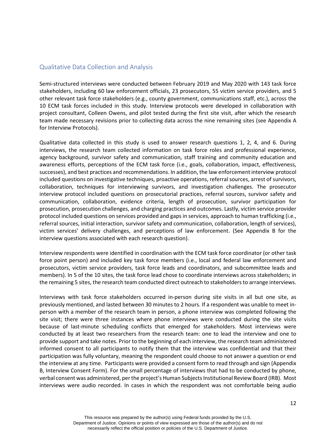#### <span id="page-15-0"></span>Qualitative Data Collection and Analysis

Semi-structured interviews were conducted between February 2019 and May 2020 with 143 task force stakeholders, including 60 law enforcement officials, 23 prosecutors, 55 victim service providers, and 5 other relevant task force stakeholders (e.g., county government, communications staff, etc.), across the 10 ECM task forces included in this study. Interview protocols were developed in collaboration with project consultant, Colleen Owens, and pilot tested during the first site visit, after which the research team made necessary revisions prior to collecting data across the nine remaining sites (see Appendix A for Interview Protocols).

Qualitative data collected in this study is used to answer research questions 1, 2, 4, and 6. During interviews, the research team collected information on task force roles and professional experience, agency background, survivor safety and communication, staff training and community education and awareness efforts, perceptions of the ECM task force (i.e., goals, collaboration, impact, effectiveness, successes), and best practices and recommendations. In addition, the law enforcement interview protocol included questions on investigative techniques, proactive operations, referral sources, arrest of survivors, collaboration, techniques for interviewing survivors, and investigation challenges. The prosecutor interview protocol included questions on prosecutorial practices, referral sources, survivor safety and communication, collaboration, evidence criteria, length of prosecution, survivor participation for prosecution, prosecution challenges, and charging practices and outcomes. Lastly, victim service provider protocol included questions on services provided and gaps in services, approach to human trafficking (i.e., referral sources, initial interaction, survivor safety and communication, collaboration, length of services), victim services' delivery challenges, and perceptions of law enforcement. (See Appendix B for the interview questions associated with each research question).

Interview respondents were identified in coordination with the ECM task force coordinator (or other task force point person) and included key task force members (i.e., local and federal law enforcement and prosecutors, victim service providers, task force leads and coordinators, and subcommittee leads and members). In 5 of the 10 sites, the task force lead chose to coordinate interviews across stakeholders; in the remaining 5 sites, the research team conducted direct outreach to stakeholders to arrange interviews.

Interviews with task force stakeholders occurred in-person during site visits in all but one site, as previously mentioned, and lasted between 30 minutes to 2 hours. If a respondent was unable to meet inperson with a member of the research team in person, a phone interview was completed following the site visit; there were three instances where phone interviews were conducted during the site visits because of last-minute scheduling conflicts that emerged for stakeholders. Most interviews were conducted by at least two researchers from the research team: one to lead the interview and one to provide support and take notes. Prior to the beginning of each interview, the research team administered informed consent to all participants to notify them that the interview was confidential and that their participation was fully voluntary, meaning the respondent could choose to not answer a question or end the interview at any time. Participants were provided a consent form to read through and sign (Appendix B, Interview Consent Form). For the small percentage of interviews that had to be conducted by phone, verbal consent was administered, per the project's Human Subjects Institutional Review Board (IRB). Most interviews were audio recorded. In cases in which the respondent was not comfortable being audio

This resource was prepared by the author(s) using Federal funds provided by the U.S. Department of Justice. Opinions or points of view expressed are those of the author(s) and do not necessarily reflect the official position or policies of the U.S. Department of Justice.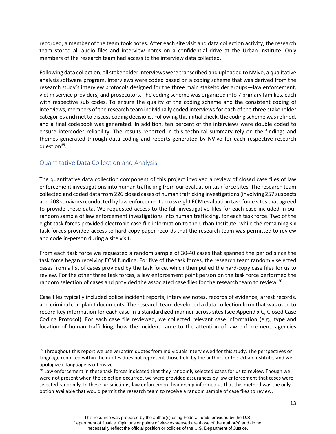recorded, a member of the team took notes. After each site visit and data collection activity, the research team stored all audio files and interview notes on a confidential drive at the Urban Institute. Only members of the research team had access to the interview data collected.

Following data collection, all stakeholder interviews were transcribed and uploaded to NVivo, a qualitative analysis software program. Interviews were coded based on a coding scheme that was derived from the research study's interview protocols designed for the three main stakeholder groups—law enforcement, victim service providers, and prosecutors. The coding scheme was organized into 7 primary families, each with respective sub codes. To ensure the quality of the coding scheme and the consistent coding of interviews, members of the research team individually coded interviews for each of the three stakeholder categories and met to discuss coding decisions. Following this initial check, the coding scheme was refined, and a final codebook was generated. In addition, ten percent of the interviews were double coded to ensure intercoder reliability. The results reported in this technical summary rely on the findings and themes generated through data coding and reports generated by NVivo for each respective research question $35$ .

### <span id="page-16-0"></span>Quantitative Data Collection and Analysis

l

The quantitative data collection component of this project involved a review of closed case files of law enforcement investigations into human trafficking from our evaluation task force sites. The research team collected and coded data from 226 closed cases of human trafficking investigations(involving 257 suspects and 208 survivors) conducted by law enforcement across eight ECM evaluation task force sitesthat agreed to provide these data. We requested access to the full investigative files for each case included in our random sample of law enforcement investigations into human trafficking, for each task force. Two of the eight task forces provided electronic case file information to the Urban Institute, while the remaining six task forces provided access to hard-copy paper records that the research team was permitted to review and code in-person during a site visit.

From each task force we requested a random sample of 30-40 cases that spanned the period since the task force began receiving ECM funding. For five of the task forces, the research team randomly selected cases from a list of cases provided by the task force, which then pulled the hard-copy case files for us to review. For the other three task forces, a law enforcement point person on the task force performed the random selection of cases and provided the associated case files for the research team to review.<sup>[36](#page-16-2)</sup>

Case files typically included police incident reports, interview notes, records of evidence, arrest records, and criminal complaint documents. The research team developed a data collection form that was used to record key information for each case in a standardized manner across sites (see Appendix C, Closed Case Coding Protocol). For each case file reviewed, we collected relevant case information (e.g., type and location of human trafficking, how the incident came to the attention of law enforcement, agencies

<span id="page-16-1"></span><sup>&</sup>lt;sup>35</sup> Throughout this report we use verbatim quotes from individuals interviewed for this study. The perspectives or language reported within the quotes does not represent those held by the authors or the Urban Institute, and we apologize if language is offensive

<span id="page-16-2"></span><sup>&</sup>lt;sup>36</sup> Law enforcement in these task forces indicated that they randomly selected cases for us to review. Though we were not present when the selection occurred, we were provided assurances by law enforcement that cases were selected randomly. In these jurisdictions, law enforcement leadership informed us that this method was the only option available that would permit the research team to receive a random sample of case files to review.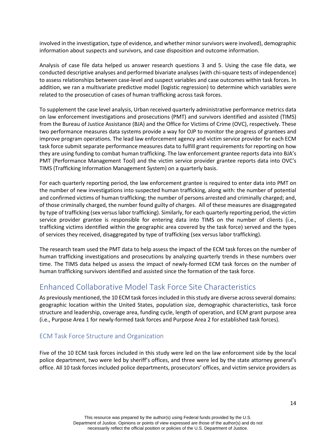involved in the investigation, type of evidence, and whether minor survivors were involved), demographic information about suspects and survivors, and case disposition and outcome information.

Analysis of case file data helped us answer research questions 3 and 5. Using the case file data, we conducted descriptive analyses and performed bivariate analyses (with chi-square tests of independence) to assess relationships between case-level and suspect variables and case outcomes within task forces. In addition, we ran a multivariate predictive model (logistic regression) to determine which variables were related to the prosecution of cases of human trafficking across task forces.

To supplement the case level analysis, Urban received quarterly administrative performance metrics data on law enforcement investigations and prosecutions (PMT) and survivors identified and assisted (TIMS) from the Bureau of Justice Assistance (BJA) and the Office for Victims of Crime (OVC), respectively. These two performance measures data systems provide a way for OJP to monitor the progress of grantees and improve program operations. The lead law enforcement agency and victim service provider for each ECM task force submit separate performance measures data to fulfill grant requirements for reporting on how they are using funding to combat human trafficking. The law enforcement grantee reports data into BJA's PMT (Performance Management Tool) and the victim service provider grantee reports data into OVC's TIMS (Trafficking Information Management System) on a quarterly basis.

For each quarterly reporting period, the law enforcement grantee is required to enter data into PMT on the number of new investigations into suspected human trafficking, along with: the number of potential and confirmed victims of human trafficking; the number of persons arrested and criminally charged; and, of those criminally charged, the number found guilty of charges. All of these measures are disaggregated by type of trafficking (sex versuslabor trafficking). Similarly, for each quarterly reporting period, the victim service provider grantee is responsible for entering data into TIMS on the number of clients (i.e., trafficking victims identified within the geographic area covered by the task force) served and the types of services they received, disaggregated by type of trafficking (sex versus labor trafficking).

The research team used the PMT data to help assess the impact of the ECM task forces on the number of human trafficking investigations and prosecutions by analyzing quarterly trends in these numbers over time. The TIMS data helped us assess the impact of newly-formed ECM task forces on the number of human trafficking survivors identified and assisted since the formation of the task force.

# <span id="page-17-0"></span>Enhanced Collaborative Model Task Force Site Characteristics

As previously mentioned, the 10 ECM task forces included in this study are diverse across several domains: geographic location within the United States, population size, demographic characteristics, task force structure and leadership, coverage area, funding cycle, length of operation, and ECM grant purpose area (i.e., Purpose Area 1 for newly-formed task forces and Purpose Area 2 for established task forces).

### <span id="page-17-1"></span>ECM Task Force Structure and Organization

Five of the 10 ECM task forces included in this study were led on the law enforcement side by the local police department, two were led by sheriff's offices, and three were led by the state attorney general's office. All 10 task forces included police departments, prosecutors' offices, and victim service providers as

This resource was prepared by the author(s) using Federal funds provided by the U.S. Department of Justice. Opinions or points of view expressed are those of the author(s) and do not necessarily reflect the official position or policies of the U.S. Department of Justice.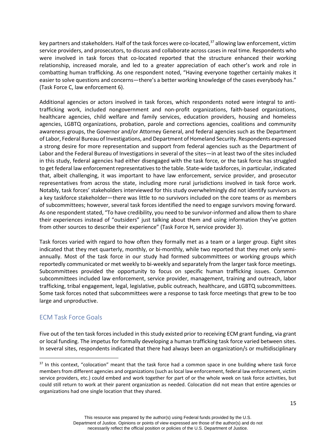key partners and stakeholders. Half of the task forces were co-located, [37](#page-18-1) allowing law enforcement, victim service providers, and prosecutors, to discuss and collaborate across cases in real time. Respondents who were involved in task forces that co-located reported that the structure enhanced their working relationship, increased morale, and led to a greater appreciation of each other's work and role in combatting human trafficking. As one respondent noted, "Having everyone together certainly makes it easier to solve questions and concerns—there's a better working knowledge of the cases everybody has." (Task Force C, law enforcement 6).

Additional agencies or actors involved in task forces, which respondents noted were integral to antitrafficking work, included nongovernment and non-profit organizations, faith-based organizations, healthcare agencies, child welfare and family services, education providers, housing and homeless agencies, LGBTQ organizations, probation, parole and corrections agencies, coalitions and community awareness groups, the Governor and/or Attorney General, and federal agencies such as the Department of Labor, Federal Bureau of Investigations, and Department of Homeland Security. Respondents expressed a strong desire for more representation and support from federal agencies such as the Department of Labor and the Federal Bureau of Investigations in several of the sites—in at least two of the sites included in this study, federal agencies had either disengaged with the task force, or the task force has struggled to get federal law enforcement representatives to the table. State-wide taskforces, in particular, indicated that, albeit challenging, it was important to have law enforcement, service provider, and prosecutor representatives from across the state, including more rural jurisdictions involved in task force work. Notably, task forces' stakeholders interviewed for this study overwhelmingly did not identify survivors as a key taskforce stakeholder—there was little to no survivors included on the core teams or as members of subcommittees; however, several task forces identified the need to engage survivors moving forward. As one respondent stated, "To have credibility, you need to be survivor-informed and allow them to share their experiences instead of "outsiders" just talking about them and using information they've gotten from other sources to describe their experience" (Task Force H, service provider 3).

Task forces varied with regard to how often they formally met as a team or a larger group. Eight sites indicated that they met quarterly, monthly, or bi-monthly, while two reported that they met only semiannually. Most of the task force in our study had formed subcommittees or working groups which reportedly communicated or met weekly to bi-weekly and separately from the larger task force meetings. Subcommittees provided the opportunity to focus on specific human trafficking issues. Common subcommittees included law enforcement, service provider, management, training and outreach, labor trafficking, tribal engagement, legal, legislative, public outreach, healthcare, and LGBTQ subcommittees. Some task forces noted that subcommittees were a response to task force meetings that grew to be too large and unproductive.

### <span id="page-18-0"></span>ECM Task Force Goals

 $\overline{a}$ 

Five out of the ten task forces included in this study existed prior to receiving ECM grant funding, via grant or local funding. The impetus for formally developing a human trafficking task force varied between sites. In several sites, respondents indicated that there had always been an organization/s or multidisciplinary

<span id="page-18-1"></span><sup>&</sup>lt;sup>37</sup> In this context, "colocation" meant that the task force had a common space in one building where task force members from different agencies and organizations (such as local law enforcement, federal law enforcement, victim service providers, etc.) could embed and work together for part of or the whole week on task force activities, but could still return to work at their parent organization as needed. Colocation did not mean that entire agencies or organizations had one single location that they shared.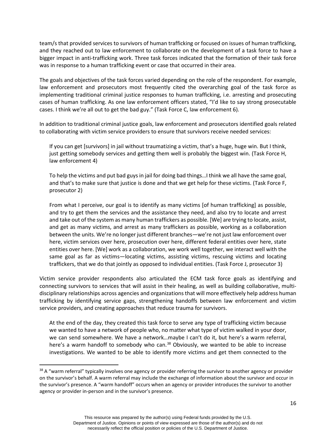team/s that provided services to survivors of human trafficking or focused on issues of human trafficking, and they reached out to law enforcement to collaborate on the development of a task force to have a bigger impact in anti-trafficking work. Three task forces indicated that the formation of their task force was in response to a human trafficking event or case that occurred in their area.

The goals and objectives of the task forces varied depending on the role of the respondent. For example, law enforcement and prosecutors most frequently cited the overarching goal of the task force as implementing traditional criminal justice responses to human trafficking, i.e. arresting and prosecuting cases of human trafficking. As one law enforcement officers stated, "I'd like to say strong prosecutable cases. I think we're all out to get the bad guy." (Task Force C, law enforcement 6).

In addition to traditional criminal justice goals, law enforcement and prosecutors identified goals related to collaborating with victim service providers to ensure that survivors receive needed services:

If you can get [survivors] in jail without traumatizing a victim, that's a huge, huge win. But I think, just getting somebody services and getting them well is probably the biggest win. (Task Force H, law enforcement 4)

To help the victims and put bad guys in jail for doing bad things…I think we all have the same goal, and that's to make sure that justice is done and that we get help for these victims. (Task Force F, prosecutor 2)

From what I perceive, our goal is to identify as many victims [of human trafficking] as possible, and try to get them the services and the assistance they need, and also try to locate and arrest and take out of the system as many human traffickers as possible. [We] are trying to locate, assist, and get as many victims, and arrest as many traffickers as possible, working as a collaboration between the units. We're no longer just different branches—we're not just law enforcement over here, victim services over here, prosecution over here, different federal entities over here, state entities over here. [We] work as a collaboration, we work well together, we interact well with the same goal as far as victims—locating victims, assisting victims, rescuing victims and locating traffickers, that we do that jointly as opposed to individual entities. (Task Force J, prosecutor 3)

Victim service provider respondents also articulated the ECM task force goals as identifying and connecting survivors to services that will assist in their healing, as well as building collaborative, multidisciplinary relationships across agencies and organizations that will more effectively help address human trafficking by identifying service gaps, strengthening handoffs between law enforcement and victim service providers, and creating approaches that reduce trauma for survivors.

At the end of the day, they created this task force to serve any type of trafficking victim because we wanted to have a network of people who, no matter what type of victim walked in your door, we can send somewhere. We have a network…maybe I can't do it, but here's a warm referral, here's a warm handoff to somebody who can.<sup>[38](#page-19-0)</sup> Obviously, we wanted to be able to increase investigations. We wanted to be able to identify more victims and get them connected to the

 $\overline{\phantom{a}}$ 

<span id="page-19-0"></span><sup>&</sup>lt;sup>38</sup> A "warm referral" typically involves one agency or provider referring the survivor to another agency or provider on the survivor's behalf. A warm referral may include the exchange of information about the survivor and occur in the survivor's presence. A "warm handoff" occurs when an agency or provider introduces the survivor to another agency or provider in-person and in the survivor's presence.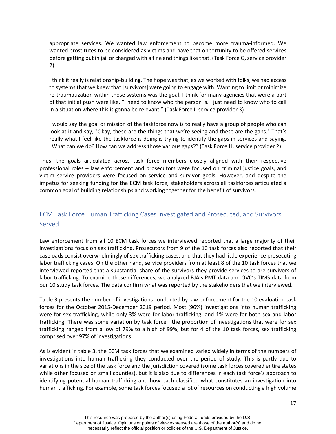appropriate services. We wanted law enforcement to become more trauma-informed. We wanted prostitutes to be considered as victims and have that opportunity to be offered services before getting put in jail or charged with a fine and things like that. (Task Force G, service provider 2)

I think it really is relationship-building. The hope was that, as we worked with folks, we had access to systems that we knew that [survivors] were going to engage with. Wanting to limit or minimize re-traumatization within those systems was the goal. I think for many agencies that were a part of that initial push were like, "I need to know who the person is. I just need to know who to call in a situation where this is gonna be relevant." (Task Force I, service provider 3)

I would say the goal or mission of the taskforce now is to really have a group of people who can look at it and say, "Okay, these are the things that we're seeing and these are the gaps." That's really what I feel like the taskforce is doing is trying to identify the gaps in services and saying, "What can we do? How can we address those various gaps?" (Task Force H, service provider 2)

Thus, the goals articulated across task force members closely aligned with their respective professional roles – law enforcement and prosecutors were focused on criminal justice goals, and victim service providers were focused on service and survivor goals. However, and despite the impetus for seeking funding for the ECM task force, stakeholders across all taskforces articulated a common goal of building relationships and working together for the benefit of survivors.

## <span id="page-20-0"></span>ECM Task Force Human Trafficking Cases Investigated and Prosecuted, and Survivors Served

Law enforcement from all 10 ECM task forces we interviewed reported that a large majority of their investigations focus on sex trafficking. Prosecutors from 9 of the 10 task forces also reported that their caseloads consist overwhelmingly of sex trafficking cases, and that they had little experience prosecuting labor trafficking cases. On the other hand, service providers from at least 8 of the 10 task forces that we interviewed reported that a substantial share of the survivors they provide services to are survivors of labor trafficking. To examine these differences, we analyzed BJA's PMT data and OVC's TIMS data from our 10 study task forces. The data confirm what was reported by the stakeholders that we interviewed.

Table 3 presents the number of investigations conducted by law enforcement for the 10 evaluation task forces for the October 2015-December 2019 period. Most (96%) investigations into human trafficking were for sex trafficking, while only 3% were for labor trafficking, and 1% were for both sex and labor trafficking. There was some variation by task force—the proportion of investigations that were for sex trafficking ranged from a low of 79% to a high of 99%, but for 4 of the 10 task forces, sex trafficking comprised over 97% of investigations.

As is evident in table 3, the ECM task forces that we examined varied widely in terms of the numbers of investigations into human trafficking they conducted over the period of study. This is partly due to variations in the size of the task force and the jurisdiction covered (some task forces covered entire states while other focused on small counties), but it is also due to differences in each task force's approach to identifying potential human trafficking and how each classified what constitutes an investigation into human trafficking. For example, some task forces focused a lot of resources on conducting a high volume

This resource was prepared by the author(s) using Federal funds provided by the U.S. Department of Justice. Opinions or points of view expressed are those of the author(s) and do not necessarily reflect the official position or policies of the U.S. Department of Justice.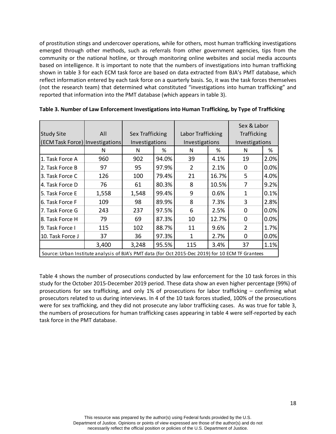of prostitution stings and undercover operations, while for others, most human trafficking investigations emerged through other methods, such as referrals from other government agencies, tips from the community or the national hotline, or through monitoring online websites and social media accounts based on intelligence. It is important to note that the numbers of investigations into human trafficking shown in table 3 for each ECM task force are based on data extracted from BJA's PMT database, which reflect information entered by each task force on a quarterly basis. So, it was the task forces themselves (not the research team) that determined what constituted "investigations into human trafficking" and reported that information into the PMT database (which appears in table 3).

| <b>Study Site</b>                                                                                 | All   | Sex Trafficking |       | Labor Trafficking |                | Sex & Labor<br>Trafficking |                |  |
|---------------------------------------------------------------------------------------------------|-------|-----------------|-------|-------------------|----------------|----------------------------|----------------|--|
| (ECM Task Force)   Investigations                                                                 |       | Investigations  |       |                   | Investigations |                            | Investigations |  |
|                                                                                                   | N     | N               | %     | N                 | %              | N                          | %              |  |
| 1. Task Force A                                                                                   | 960   | 902             | 94.0% | 39                | 4.1%           | 19                         | 2.0%           |  |
| 2. Task Force B                                                                                   | 97    | 95              | 97.9% | 2                 | 2.1%           | 0                          | 0.0%           |  |
| 3. Task Force C                                                                                   | 126   | 100             | 79.4% | 21                | 16.7%          | 5                          | 4.0%           |  |
| 4. Task Force D                                                                                   | 76    | 61              | 80.3% | 8                 | 10.5%          | 7                          | 9.2%           |  |
| 5. Task Force E                                                                                   | 1,558 | 1,548           | 99.4% | 9                 | 0.6%           | 1                          | 0.1%           |  |
| 6. Task Force F                                                                                   | 109   | 98              | 89.9% | 8                 | 7.3%           | 3                          | 2.8%           |  |
| 7. Task Force G                                                                                   | 243   | 237             | 97.5% | 6                 | 2.5%           | $\Omega$                   | 0.0%           |  |
| 8. Task Force H                                                                                   | 79    | 69              | 87.3% | 10                | 12.7%          | $\Omega$                   | 0.0%           |  |
| 9. Task Force I                                                                                   | 115   | 102             | 88.7% | 11                | 9.6%           | $\overline{2}$             | 1.7%           |  |
| 10. Task Force J                                                                                  | 37    | 36              | 97.3% | 1                 | 2.7%           | 0                          | 0.0%           |  |
|                                                                                                   | 3,400 | 3,248           | 95.5% | 115               | 3.4%           | 37                         | 1.1%           |  |
| Source: Urban Institute analysis of BJA's PMT data (for Oct 2015-Dec 2019) for 10 ECM TF Grantees |       |                 |       |                   |                |                            |                |  |

**Table 3. Number of Law Enforcement Investigations into Human Trafficking, by Type of Trafficking** 

Table 4 shows the number of prosecutions conducted by law enforcement for the 10 task forces in this study for the October 2015-December 2019 period. These data show an even higher percentage (99%) of prosecutions for sex trafficking, and only 1% of prosecutions for labor trafficking – confirming what prosecutors related to us during interviews. In 4 of the 10 task forces studied, 100% of the prosecutions were for sex trafficking, and they did not prosecute any labor trafficking cases. As was true for table 3, the numbers of prosecutions for human trafficking cases appearing in table 4 were self-reported by each task force in the PMT database.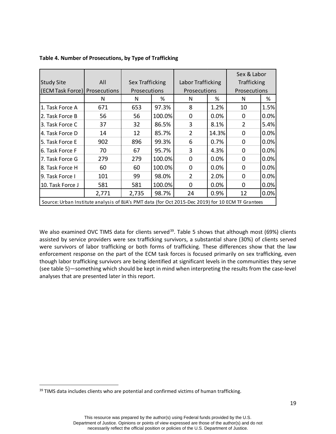| <b>Study Site</b> | All                                                                                               | Sex Trafficking |        | Labor Trafficking |       | Sex & Labor<br>Trafficking |      |
|-------------------|---------------------------------------------------------------------------------------------------|-----------------|--------|-------------------|-------|----------------------------|------|
| (ECM Task Force)  | Prosecutions                                                                                      | Prosecutions    |        | Prosecutions      |       | Prosecutions               |      |
|                   | N                                                                                                 | N               | %      | N                 | %     | N                          | %    |
| 1. Task Force A   | 671                                                                                               | 653             | 97.3%  | 8                 | 1.2%  | 10                         | 1.5% |
| 2. Task Force B   | 56                                                                                                | 56              | 100.0% | $\Omega$          | 0.0%  | $\Omega$                   | 0.0% |
| 3. Task Force C   | 37                                                                                                | 32              | 86.5%  | 3                 | 8.1%  | $\overline{2}$             | 5.4% |
| 4. Task Force D   | 14                                                                                                | 12              | 85.7%  | $\overline{2}$    | 14.3% | $\Omega$                   | 0.0% |
| 5. Task Force E   | 902                                                                                               | 896             | 99.3%  | 6                 | 0.7%  | 0                          | 0.0% |
| 6. Task Force F   | 70                                                                                                | 67              | 95.7%  | 3                 | 4.3%  | $\Omega$                   | 0.0% |
| 7. Task Force G   | 279                                                                                               | 279             | 100.0% | $\Omega$          | 0.0%  | $\Omega$                   | 0.0% |
| 8. Task Force H   | 60                                                                                                | 60              | 100.0% | $\Omega$          | 0.0%  | $\Omega$                   | 0.0% |
| 9. Task Force I   | 101                                                                                               | 99              | 98.0%  | $\overline{2}$    | 2.0%  | $\Omega$                   | 0.0% |
| 10. Task Force J  | 581                                                                                               | 581             | 100.0% | $\Omega$          | 0.0%  | $\Omega$                   | 0.0% |
|                   | 2,771                                                                                             | 2,735           | 98.7%  | 24                | 0.9%  | 12                         | 0.0% |
|                   | Source: Urban Institute analysis of BJA's PMT data (for Oct 2015-Dec 2019) for 10 ECM TF Grantees |                 |        |                   |       |                            |      |

#### **Table 4. Number of Prosecutions, by Type of Trafficking**

We also examined OVC TIMS data for clients served<sup>39</sup>. Table 5 shows that although most (69%) clients assisted by service providers were sex trafficking survivors, a substantial share (30%) of clients served were survivors of labor trafficking or both forms of trafficking. These differences show that the law enforcement response on the part of the ECM task forces is focused primarily on sex trafficking, even though labor trafficking survivors are being identified at significant levels in the communities they serve (see table 5)—something which should be kept in mind when interpreting the results from the case-level analyses that are presented later in this report.

l

<span id="page-22-0"></span> $39$  TIMS data includes clients who are potential and confirmed victims of human trafficking.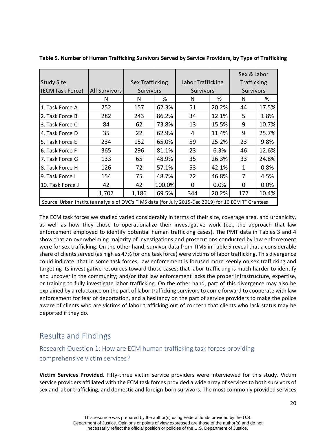|                   |                                                                                                     |                  |        |                   |       | Sex & Labor      |       |  |
|-------------------|-----------------------------------------------------------------------------------------------------|------------------|--------|-------------------|-------|------------------|-------|--|
| <b>Study Site</b> |                                                                                                     | Sex Trafficking  |        | Labor Trafficking |       | Trafficking      |       |  |
| (ECM Task Force)  | <b>All Survivors</b>                                                                                | <b>Survivors</b> |        | <b>Survivors</b>  |       | <b>Survivors</b> |       |  |
|                   | N                                                                                                   | N                | ℅      | N                 | %     | N                | %     |  |
| 1. Task Force A   | 252                                                                                                 | 157              | 62.3%  | 51                | 20.2% | 44               | 17.5% |  |
| 2. Task Force B   | 282                                                                                                 | 243              | 86.2%  | 34                | 12.1% | 5                | 1.8%  |  |
| 3. Task Force C   | 84                                                                                                  | 62               | 73.8%  | 13                | 15.5% | 9                | 10.7% |  |
| 4. Task Force D   | 35                                                                                                  | 22               | 62.9%  | 4                 | 11.4% | 9                | 25.7% |  |
| 5. Task Force E   | 234                                                                                                 | 152              | 65.0%  | 59                | 25.2% | 23               | 9.8%  |  |
| 6. Task Force F   | 365                                                                                                 | 296              | 81.1%  | 23                | 6.3%  | 46               | 12.6% |  |
| 7. Task Force G   | 133                                                                                                 | 65               | 48.9%  | 35                | 26.3% | 33               | 24.8% |  |
| 8. Task Force H   | 126                                                                                                 | 72               | 57.1%  | 53                | 42.1% | 1                | 0.8%  |  |
| 9. Task Force I   | 154                                                                                                 | 75               | 48.7%  | 72                | 46.8% | 7                | 4.5%  |  |
| 10. Task Force J  | 42                                                                                                  | 42               | 100.0% | 0                 | 0.0%  | 0                | 0.0%  |  |
|                   | 1,707                                                                                               | 1,186            | 69.5%  | 344               | 20.2% | 177              | 10.4% |  |
|                   | Source: Urban Institute analysis of OVC's TIMS data (for July 2015-Dec 2019) for 10 ECM TF Grantees |                  |        |                   |       |                  |       |  |

**Table 5. Number of Human Trafficking Survivors Served by Service Providers, by Type of Trafficking** 

The ECM task forces we studied varied considerably in terms of their size, coverage area, and urbanicity, as well as how they chose to operationalize their investigative work (i.e., the approach that law enforcement employed to identify potential human trafficking cases). The PMT data in Tables 3 and 4 show that an overwhelming majority of investigations and prosecutions conducted by law enforcement were for sex trafficking. On the other hand, survivor data from TIMS in Table 5 reveal that a considerable share of clients served (as high as 47% for one task force) were victims of labor trafficking. This divergence could indicate: that in some task forces, law enforcement is focused more keenly on sex trafficking and targeting its investigative resources toward those cases; that labor trafficking is much harder to identify and uncover in the community; and/or that law enforcement lacks the proper infrastructure, expertise, or training to fully investigate labor trafficking. On the other hand, part of this divergence may also be explained by a reluctance on the part of labor trafficking survivors to come forward to cooperate with law enforcement for fear of deportation, and a hesitancy on the part of service providers to make the police aware of clients who are victims of labor trafficking out of concern that clients who lack status may be deported if they do.

# <span id="page-23-0"></span>Results and Findings

## <span id="page-23-1"></span>Research Question 1: How are ECM human trafficking task forces providing comprehensive victim services?

**Victim Services Provided**. Fifty-three victim service providers were interviewed for this study. Victim service providers affiliated with the ECM task forces provided a wide array of services to both survivors of sex and labor trafficking, and domestic and foreign-born survivors. The most commonly provided services

This resource was prepared by the author(s) using Federal funds provided by the U.S. Department of Justice. Opinions or points of view expressed are those of the author(s) and do not necessarily reflect the official position or policies of the U.S. Department of Justice.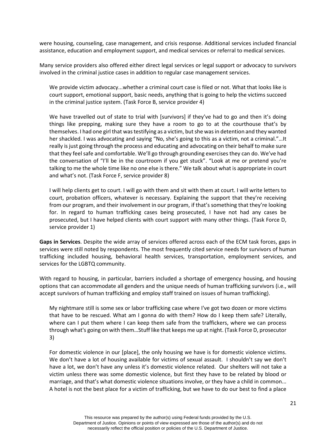were housing, counseling, case management, and crisis response. Additional services included financial assistance, education and employment support, and medical services or referral to medical services.

Many service providers also offered either direct legal services or legal support or advocacy to survivors involved in the criminal justice cases in addition to regular case management services.

We provide victim advocacy...whether a criminal court case is filed or not. What that looks like is court support, emotional support, basic needs, anything that is going to help the victims succeed in the criminal justice system. (Task Force B, service provider 4)

We have travelled out of state to trial with [survivors] if they've had to go and then it's doing things like prepping, making sure they have a room to go to at the courthouse that's by themselves. I had one girl that was testifying as a victim, but she was in detention and they wanted her shackled. I was advocating and saying "No, she's going to this as a victim, not a criminal."…It really is just going through the process and educating and advocating on their behalf to make sure that they feel safe and comfortable. We'll go through grounding exercises they can do. We've had the conversation of "I'll be in the courtroom if you get stuck". "Look at me or pretend you're talking to me the whole time like no one else is there." We talk about what is appropriate in court and what's not. (Task Force F, service provider 8)

I will help clients get to court. I will go with them and sit with them at court. I will write letters to court, probation officers, whatever is necessary. Explaining the support that they're receiving from our program, and their involvement in our program, if that's something that they're looking for. In regard to human trafficking cases being prosecuted, I have not had any cases be prosecuted, but I have helped clients with court support with many other things. (Task Force D, service provider 1)

**Gaps in Services**. Despite the wide array of services offered across each of the ECM task forces, gaps in services were still noted by respondents. The most frequently cited service needs for survivors of human trafficking included housing, behavioral health services, transportation, employment services, and services for the LGBTQ community.

With regard to housing, in particular, barriers included a shortage of emergency housing, and housing options that can accommodate all genders and the unique needs of human trafficking survivors (i.e., will accept survivors of human trafficking and employ staff trained on issues of human trafficking).

My nightmare still is some sex or labor trafficking case where I've got two dozen or more victims that have to be rescued. What am I gonna do with them? How do I keep them safe? Literally, where can I put them where I can keep them safe from the traffickers, where we can process through what's going on with them…Stuff like that keeps me up at night. (Task Force D, prosecutor 3)

For domestic violence in our [place], the only housing we have is for domestic violence victims. We don't have a lot of housing available for victims of sexual assault. I shouldn't say we don't have a lot, we don't have any unless it's domestic violence related. Our shelters will not take a victim unless there was some domestic violence, but first they have to be related by blood or marriage, and that's what domestic violence situations involve, or they have a child in common... A hotel is not the best place for a victim of trafficking, but we have to do our best to find a place

This resource was prepared by the author(s) using Federal funds provided by the U.S. Department of Justice. Opinions or points of view expressed are those of the author(s) and do not necessarily reflect the official position or policies of the U.S. Department of Justice.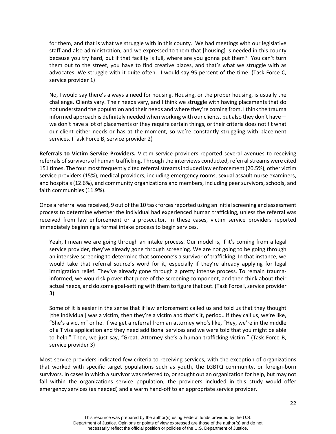for them, and that is what we struggle with in this county. We had meetings with our legislative staff and also administration, and we expressed to them that [housing] is needed in this county because you try hard, but if that facility is full, where are you gonna put them? You can't turn them out to the street, you have to find creative places, and that's what we struggle with as advocates. We struggle with it quite often. I would say 95 percent of the time. (Task Force C, service provider 1)

No, I would say there's always a need for housing. Housing, or the proper housing, is usually the challenge. Clients vary. Their needs vary, and I think we struggle with having placements that do not understand the population and their needs and where they're coming from. I think the trauma informed approach is definitely needed when working with our clients, but also they don't have we don't have a lot of placements or they require certain things, or their criteria does not fit what our client either needs or has at the moment, so we're constantly struggling with placement services. (Task Force B, service provider 2)

**Referrals to Victim Service Providers.** Victim service providers reported several avenues to receiving referrals of survivors of human trafficking. Through the interviews conducted, referral streams were cited 151 times. The four most frequently cited referral streams included law enforcement (20.5%), other victim service providers (15%), medical providers, including emergency rooms, sexual assault nurse examiners, and hospitals (12.6%), and community organizations and members, including peer survivors, schools, and faith communities (11.9%).

Once a referral was received, 9 out of the 10 task forces reported using an initial screening and assessment process to determine whether the individual had experienced human trafficking, unless the referral was received from law enforcement or a prosecutor. In these cases, victim service providers reported immediately beginning a formal intake process to begin services.

Yeah, I mean we are going through an intake process. Our model is, if it's coming from a legal service provider, they've already gone through screening. We are not going to be going through an intensive screening to determine that someone's a survivor of trafficking. In that instance, we would take that referral source's word for it, especially if they're already applying for legal immigration relief. They've already gone through a pretty intense process. To remain traumainformed, we would skip over that piece of the screening component, and then think about their actual needs, and do some goal-setting with them to figure that out. (Task Force I, service provider 3)

Some of it is easier in the sense that if law enforcement called us and told us that they thought [the individual] was a victim, then they're a victim and that's it, period…If they call us, we're like, "She's a victim" or he. If we get a referral from an attorney who's like, "Hey, we're in the middle of a T visa application and they need additional services and we were told that you might be able to help." Then, we just say, "Great. Attorney she's a human trafficking victim." (Task Force B, service provider 3)

Most service providers indicated few criteria to receiving services, with the exception of organizations that worked with specific target populations such as youth, the LGBTQ community, or foreign-born survivors. In cases in which a survivor was referred to, or sought out an organization for help, but may not fall within the organizations service population, the providers included in this study would offer emergency services (as needed) and a warm hand-off to an appropriate service provider.

This resource was prepared by the author(s) using Federal funds provided by the U.S. Department of Justice. Opinions or points of view expressed are those of the author(s) and do not necessarily reflect the official position or policies of the U.S. Department of Justice.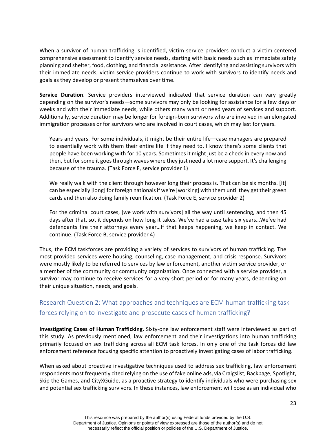When a survivor of human trafficking is identified, victim service providers conduct a victim-centered comprehensive assessment to identify service needs, starting with basic needs such as immediate safety planning and shelter, food, clothing, and financial assistance. After identifying and assisting survivors with their immediate needs, victim service providers continue to work with survivors to identify needs and goals as they develop or present themselves over time.

**Service Duration**. Service providers interviewed indicated that service duration can vary greatly depending on the survivor's needs—some survivors may only be looking for assistance for a few days or weeks and with their immediate needs, while others many want or need years of services and support. Additionally, service duration may be longer for foreign-born survivors who are involved in an elongated immigration processes or for survivors who are involved in court cases, which may last for years.

Years and years. For some individuals, it might be their entire life—case managers are prepared to essentially work with them their entire life if they need to. I know there's some clients that people have been working with for 10 years. Sometimes it might just be a check-in every now and then, but for some it goes through waves where they just need a lot more support. It's challenging because of the trauma. (Task Force F, service provider 1)

We really walk with the client through however long their process is. That can be six months. [It] can be especially [long] for foreign nationals if we're [working] with them until they get their green cards and then also doing family reunification. (Task Force E, service provider 2)

For the criminal court cases, [we work with survivors] all the way until sentencing, and then 45 days after that, sot it depends on how long it takes. We've had a case take six years…We've had defendants fire their attorneys every year…If that keeps happening, we keep in contact. We continue. (Task Force B, service provider 4)

Thus, the ECM taskforces are providing a variety of services to survivors of human trafficking. The most provided services were housing, counseling, case management, and crisis response. Survivors were mostly likely to be referred to services by law enforcement, another victim service provider, or a member of the community or community organization. Once connected with a service provider, a survivor may continue to receive services for a very short period or for many years, depending on their unique situation, needs, and goals.

## <span id="page-26-0"></span>Research Question 2: What approaches and techniques are ECM human trafficking task forces relying on to investigate and prosecute cases of human trafficking?

**Investigating Cases of Human Trafficking.** Sixty-one law enforcement staff were interviewed as part of this study. As previously mentioned, law enforcement and their investigations into human trafficking primarily focused on sex trafficking across all ECM task forces. In only one of the task forces did law enforcement reference focusing specific attention to proactively investigating cases of labor trafficking.

When asked about proactive investigative techniques used to address sex trafficking, law enforcement respondents most frequently cited relying on the use of fake online ads, via Craigslist, Backpage, Spotlight, Skip the Games, and CityXGuide, as a proactive strategy to identify individuals who were purchasing sex and potential sex trafficking survivors. In these instances, law enforcement will pose as an individual who

This resource was prepared by the author(s) using Federal funds provided by the U.S. Department of Justice. Opinions or points of view expressed are those of the author(s) and do not necessarily reflect the official position or policies of the U.S. Department of Justice.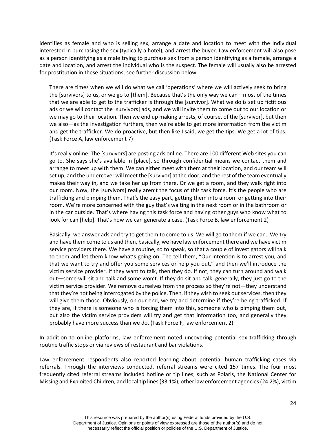identifies as female and who is selling sex, arrange a date and location to meet with the individual interested in purchasing the sex (typically a hotel), and arrest the buyer. Law enforcement will also pose as a person identifying as a male trying to purchase sex from a person identifying as a female, arrange a date and location, and arrest the individual who is the suspect. The female will usually also be arrested for prostitution in these situations; see further discussion below.

There are times when we will do what we call 'operations' where we will actively seek to bring the [survivors] to us, or we go to [them]. Because that's the only way we can—most of the times that we are able to get to the trafficker is through the [survivor]. What we do is set up fictitious ads or we will contact the [survivors] ads, and we will invite them to come out to our location or we may go to their location. Then we end up making arrests, of course, of the [survivor], but then we also—as the investigation furthers, then we're able to get more information from the victim and get the trafficker. We do proactive, but then like I said, we get the tips. We get a lot of tips. (Task Force A, law enforcement 7)

It's really online. The [survivors] are posting ads online. There are 100 different Web sites you can go to. She says she's available in [place], so through confidential means we contact them and arrange to meet up with them. We can either meet with them at their location, and our team will set up, and the undercover will meet the [survivor] at the door, and the rest of the team eventually makes their way in, and we take her up from there. Or we get a room, and they walk right into our room. Now, the [survivors] really aren't the focus of this task force. It's the people who are trafficking and pimping them. That's the easy part, getting them into a room or getting into their room. We're more concerned with the guy that's waiting in the next room or in the bathroom or in the car outside. That's where having this task force and having other guys who know what to look for can [help]. That's how we can generate a case. (Task Force B, law enforcement 2)

Basically, we answer ads and try to get them to come to us. We will go to them if we can…We try and have them come to us and then, basically, we have law enforcement there and we have victim service providers there. We have a routine, so to speak, so that a couple of investigators will talk to them and let them know what's going on. The tell them, "Our intention is to arrest you, and that we want to try and offer you some services or help you out," and then we'll introduce the victim service provider. If they want to talk, then they do. If not, they can turn around and walk out—some will sit and talk and some won't. If they do sit and talk, generally, they just go to the victim service provider. We remove ourselves from the process so they're not—they understand that they're not being interrogated by the police. Then, if they wish to seek out services, then they will give them those. Obviously, on our end, we try and determine if they're being trafficked. If they are, if there is someone who is forcing them into this, someone who is pimping them out, but also the victim service providers will try and get that information too, and generally they probably have more success than we do. (Task Force F, law enforcement 2)

In addition to online platforms, law enforcement noted uncovering potential sex trafficking through routine traffic stops or via reviews of restaurant and bar violations.

Law enforcement respondents also reported learning about potential human trafficking cases via referrals. Through the interviews conducted, referral streams were cited 157 times. The four most frequently cited referral streams included hotline or tip lines, such as Polaris, the National Center for Missing and Exploited Children, and local tip lines (33.1%), other law enforcement agencies (24.2%), victim

This resource was prepared by the author(s) using Federal funds provided by the U.S. Department of Justice. Opinions or points of view expressed are those of the author(s) and do not necessarily reflect the official position or policies of the U.S. Department of Justice.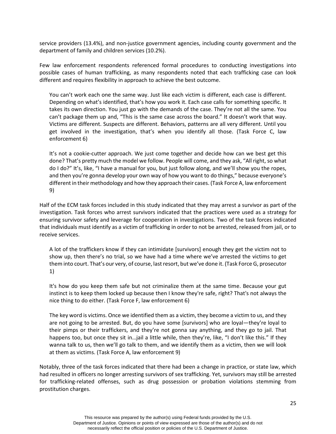service providers (13.4%), and non-justice government agencies, including county government and the department of family and children services (10.2%).

Few law enforcement respondents referenced formal procedures to conducting investigations into possible cases of human trafficking, as many respondents noted that each trafficking case can look different and requires flexibility in approach to achieve the best outcome.

You can't work each one the same way. Just like each victim is different, each case is different. Depending on what's identified, that's how you work it. Each case calls for something specific. It takes its own direction. You just go with the demands of the case. They're not all the same. You can't package them up and, "This is the same case across the board." It doesn't work that way. Victims are different. Suspects are different. Behaviors, patterns are all very different. Until you get involved in the investigation, that's when you identify all those. (Task Force C, law enforcement 6)

It's not a cookie-cutter approach. We just come together and decide how can we best get this done? That's pretty much the model we follow. People will come, and they ask, "All right, so what do I do?" It's, like, "I have a manual for you, but just follow along, and we'll show you the ropes, and then you're gonna develop your own way of how you want to do things," because everyone's different in their methodology and how they approach their cases. (Task Force A, law enforcement 9)

Half of the ECM task forces included in this study indicated that they may arrest a survivor as part of the investigation. Task forces who arrest survivors indicated that the practices were used as a strategy for ensuring survivor safety and leverage for cooperation in investigations. Two of the task forces indicated that individuals must identify as a victim of trafficking in order to not be arrested, released from jail, or to receive services.

A lot of the traffickers know if they can intimidate [survivors] enough they get the victim not to show up, then there's no trial, so we have had a time where we've arrested the victims to get them into court. That's our very, of course, last resort, but we've done it. (Task Force G, prosecutor 1)

It's how do you keep them safe but not criminalize them at the same time. Because your gut instinct is to keep them locked up because then I know they're safe, right? That's not always the nice thing to do either. (Task Force F, law enforcement 6)

The key word is victims. Once we identified them as a victim, they become a victim to us, and they are not going to be arrested. But, do you have some [survivors] who are loyal—they're loyal to their pimps or their traffickers, and they're not gonna say anything, and they go to jail. That happens too, but once they sit in...jail a little while, then they're, like, "I don't like this." If they wanna talk to us, then we'll go talk to them, and we identify them as a victim, then we will look at them as victims. (Task Force A, law enforcement 9)

Notably, three of the task forces indicated that there had been a change in practice, or state law, which had resulted in officers no longer arresting survivors of sex trafficking. Yet, survivors may still be arrested for trafficking-related offenses, such as drug possession or probation violations stemming from prostitution charges.

This resource was prepared by the author(s) using Federal funds provided by the U.S. Department of Justice. Opinions or points of view expressed are those of the author(s) and do not necessarily reflect the official position or policies of the U.S. Department of Justice.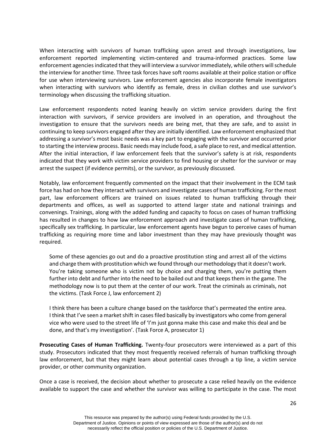When interacting with survivors of human trafficking upon arrest and through investigations, law enforcement reported implementing victim-centered and trauma-informed practices. Some law enforcement agencies indicated that they will interview a survivor immediately, while others will schedule the interview for another time. Three task forces have soft rooms available at their police station or office for use when interviewing survivors. Law enforcement agencies also incorporate female investigators when interacting with survivors who identify as female, dress in civilian clothes and use survivor's terminology when discussing the trafficking situation.

Law enforcement respondents noted leaning heavily on victim service providers during the first interaction with survivors, if service providers are involved in an operation, and throughout the investigation to ensure that the survivors needs are being met, that they are safe, and to assist in continuing to keep survivors engaged after they are initially identified. Law enforcement emphasized that addressing a survivor's most basic needs was a key part to engaging with the survivor and occurred prior to starting the interview process. Basic needs may include food, a safe place to rest, and medical attention. After the initial interaction, if law enforcement feels that the survivor's safety is at risk, respondents indicated that they work with victim service providers to find housing or shelter for the survivor or may arrest the suspect (if evidence permits), or the survivor, as previously discussed.

Notably, law enforcement frequently commented on the impact that their involvement in the ECM task force has had on how they interact with survivors and investigate cases of human trafficking. For the most part, law enforcement officers are trained on issues related to human trafficking through their departments and offices, as well as supported to attend larger state and national trainings and convenings. Trainings, along with the added funding and capacity to focus on cases of human trafficking has resulted in changes to how law enforcement approach and investigate cases of human trafficking, specifically sex trafficking. In particular, law enforcement agents have begun to perceive cases of human trafficking as requiring more time and labor investment than they may have previously thought was required.

Some of these agencies go out and do a proactive prostitution sting and arrest all of the victims and charge them with prostitution which we found through our methodology that it doesn't work. You're taking someone who is victim not by choice and charging them, you're putting them further into debt and further into the need to be bailed out and that keeps them in the game. The methodology now is to put them at the center of our work. Treat the criminals as criminals, not the victims. (Task Force J, law enforcement 2)

I think there has been a culture change based on the taskforce that's permeated the entire area. I think that I've seen a market shift in cases filed basically by investigators who come from general vice who were used to the street life of 'I'm just gonna make this case and make this deal and be done, and that's my investigation'. (Task Force A, prosecutor 1)

**Prosecuting Cases of Human Trafficking.** Twenty-four prosecutors were interviewed as a part of this study. Prosecutors indicated that they most frequently received referrals of human trafficking through law enforcement, but that they might learn about potential cases through a tip line, a victim service provider, or other community organization.

Once a case is received, the decision about whether to prosecute a case relied heavily on the evidence available to support the case and whether the survivor was willing to participate in the case. The most

This resource was prepared by the author(s) using Federal funds provided by the U.S. Department of Justice. Opinions or points of view expressed are those of the author(s) and do not necessarily reflect the official position or policies of the U.S. Department of Justice.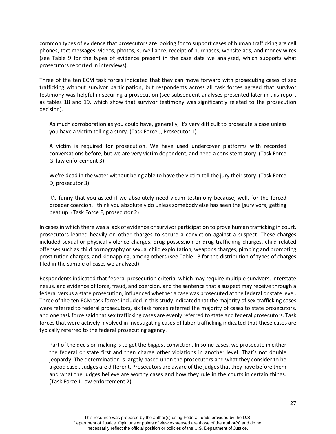common types of evidence that prosecutors are looking for to support cases of human trafficking are cell phones, text messages, videos, photos, surveillance, receipt of purchases, website ads, and money wires (see Table 9 for the types of evidence present in the case data we analyzed, which supports what prosecutors reported in interviews).

Three of the ten ECM task forces indicated that they can move forward with prosecuting cases of sex trafficking without survivor participation, but respondents across all task forces agreed that survivor testimony was helpful in securing a prosecution (see subsequent analyses presented later in this report as tables 18 and 19, which show that survivor testimony was significantly related to the prosecution decision).

As much corroboration as you could have, generally, it's very difficult to prosecute a case unless you have a victim telling a story. (Task Force J, Prosecutor 1)

A victim is required for prosecution. We have used undercover platforms with recorded conversations before, but we are very victim dependent, and need a consistent story. (Task Force G, law enforcement 3)

We're dead in the water without being able to have the victim tell the jury their story. (Task Force D, prosecutor 3)

It's funny that you asked if we absolutely need victim testimony because, well, for the forced broader coercion, I think you absolutely do unless somebody else has seen the [survivors] getting beat up. (Task Force F, prosecutor 2)

In cases in which there was a lack of evidence or survivor participation to prove human trafficking in court, prosecutors leaned heavily on other charges to secure a conviction against a suspect. These charges included sexual or physical violence charges, drug possession or drug trafficking charges, child related offenses such as child pornography or sexual child exploitation, weapons charges, pimping and promoting prostitution charges, and kidnapping, among others (see Table 13 for the distribution of types of charges filed in the sample of cases we analyzed).

Respondents indicated that federal prosecution criteria, which may require multiple survivors, interstate nexus, and evidence of force, fraud, and coercion, and the sentence that a suspect may receive through a federal versus a state prosecution, influenced whether a case was prosecuted at the federal or state level. Three of the ten ECM task forces included in this study indicated that the majority of sex trafficking cases were referred to federal prosecutors, six task forces referred the majority of cases to state prosecutors, and one task force said that sex trafficking cases are evenly referred to state and federal prosecutors. Task forces that were actively involved in investigating cases of labor trafficking indicated that these cases are typically referred to the federal prosecuting agency.

Part of the decision making is to get the biggest conviction. In some cases, we prosecute in either the federal or state first and then charge other violations in another level. That's not double jeopardy. The determination is largely based upon the prosecutors and what they consider to be a good case…Judges are different. Prosecutors are aware of the judges that they have before them and what the judges believe are worthy cases and how they rule in the courts in certain things. (Task Force J, law enforcement 2)

This resource was prepared by the author(s) using Federal funds provided by the U.S. Department of Justice. Opinions or points of view expressed are those of the author(s) and do not necessarily reflect the official position or policies of the U.S. Department of Justice.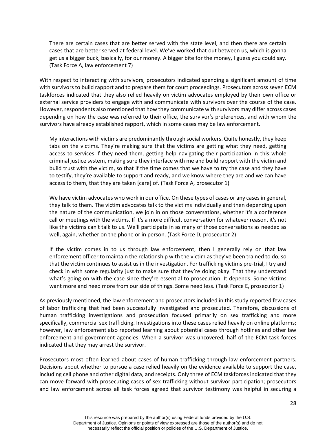There are certain cases that are better served with the state level, and then there are certain cases that are better served at federal level. We've worked that out between us, which is gonna get us a bigger buck, basically, for our money. A bigger bite for the money, I guess you could say. (Task Force A, law enforcement 7)

With respect to interacting with survivors, prosecutors indicated spending a significant amount of time with survivors to build rapport and to prepare them for court proceedings. Prosecutors across seven ECM taskforces indicated that they also relied heavily on victim advocates employed by their own office or external service providers to engage with and communicate with survivors over the course of the case. However, respondents also mentioned that how they communicate with survivors may differ across cases depending on how the case was referred to their office, the survivor's preferences, and with whom the survivors have already established rapport, which in some cases may be law enforcement.

My interactions with victims are predominantly through social workers. Quite honestly, they keep tabs on the victims. They're making sure that the victims are getting what they need, getting access to services if they need them, getting help navigating their participation in this whole criminal justice system, making sure they interface with me and build rapport with the victim and build trust with the victim, so that if the time comes that we have to try the case and they have to testify, they're available to support and ready, and we know where they are and we can have access to them, that they are taken [care] of. (Task Force A, prosecutor 1)

We have victim advocates who work in our office. On these types of cases or any cases in general, they talk to them. The victim advocates talk to the victims individually and then depending upon the nature of the communication, we join in on those conversations, whether it's a conference call or meetings with the victims. If it's a more difficult conversation for whatever reason, it's not like the victims can't talk to us. We'll participate in as many of those conversations as needed as well, again, whether on the phone or in person. (Task Force D, prosecutor 2)

If the victim comes in to us through law enforcement, then I generally rely on that law enforcement officer to maintain the relationship with the victim as they've been trained to do, so that the victim continues to assist us in the investigation. For trafficking victims pre-trial, I try and check in with some regularity just to make sure that they're doing okay. That they understand what's going on with the case since they're essential to prosecution. It depends. Some victims want more and need more from our side of things. Some need less. (Task Force E, prosecutor 1)

As previously mentioned, the law enforcement and prosecutors included in this study reported few cases of labor trafficking that had been successfully investigated and prosecuted. Therefore, discussions of human trafficking investigations and prosecution focused primarily on sex trafficking and more specifically, commercial sex trafficking. Investigations into these cases relied heavily on online platforms; however, law enforcement also reported learning about potential cases through hotlines and other law enforcement and government agencies. When a survivor was uncovered, half of the ECM task forces indicated that they may arrest the survivor.

Prosecutors most often learned about cases of human trafficking through law enforcement partners. Decisions about whether to pursue a case relied heavily on the evidence available to support the case, including cell phone and other digital data, and receipts. Only three of ECM taskforces indicated that they can move forward with prosecuting cases of sex trafficking without survivor participation; prosecutors and law enforcement across all task forces agreed that survivor testimony was helpful in securing a

This resource was prepared by the author(s) using Federal funds provided by the U.S. Department of Justice. Opinions or points of view expressed are those of the author(s) and do not necessarily reflect the official position or policies of the U.S. Department of Justice.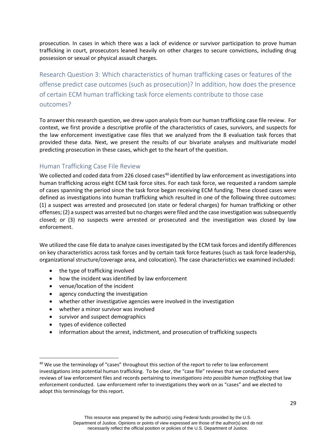prosecution. In cases in which there was a lack of evidence or survivor participation to prove human trafficking in court, prosecutors leaned heavily on other charges to secure convictions, including drug possession or sexual or physical assault charges.

<span id="page-32-0"></span>Research Question 3: Which characteristics of human trafficking cases or features of the offense predict case outcomes (such as prosecution)? In addition, how does the presence of certain ECM human trafficking task force elements contribute to those case outcomes?

To answer this research question, we drew upon analysis from our human trafficking case file review. For context, we first provide a descriptive profile of the characteristics of cases, survivors, and suspects for the law enforcement investigative case files that we analyzed from the 8 evaluation task forces that provided these data. Next, we present the results of our bivariate analyses and multivariate model predicting prosecution in these cases, which get to the heart of the question.

#### <span id="page-32-1"></span>Human Trafficking Case File Review

We collected and coded data from 226 closed cases<sup>[40](#page-32-2)</sup> identified by law enforcement as investigations into human trafficking across eight ECM task force sites. For each task force, we requested a random sample of cases spanning the period since the task force began receiving ECM funding. These closed cases were defined as investigations into human trafficking which resulted in one of the following three outcomes: (1) a suspect was arrested and prosecuted (on state or federal charges) for human trafficking or other offenses; (2) a suspect was arrested but no charges were filed and the case investigation was subsequently closed; or (3) no suspects were arrested or prosecuted and the investigation was closed by law enforcement.

We utilized the case file data to analyze cases investigated by the ECM task forces and identify differences on key characteristics across task forces and by certain task force features (such as task force leadership, organizational structure/coverage area, and colocation). The case characteristics we examined included:

- the type of trafficking involved
- how the incident was identified by law enforcement
- venue/location of the incident
- agency conducting the investigation
- whether other investigative agencies were involved in the investigation
- whether a minor survivor was involved
- survivor and suspect demographics
- types of evidence collected

 $\overline{a}$ 

• information about the arrest, indictment, and prosecution of trafficking suspects

<span id="page-32-2"></span><sup>&</sup>lt;sup>40</sup> We use the terminology of "cases" throughout this section of the report to refer to law enforcement investigations into potential human trafficking. To be clear, the "case file" reviews that we conducted were reviews of law enforcement files and records pertaining to *investigations into possible human trafficking* that law enforcement conducted. Law enforcement refer to investigations they work on as "cases" and we elected to adopt this terminology for this report.

This resource was prepared by the author(s) using Federal funds provided by the U.S. Department of Justice. Opinions or points of view expressed are those of the author(s) and do not necessarily reflect the official position or policies of the U.S. Department of Justice.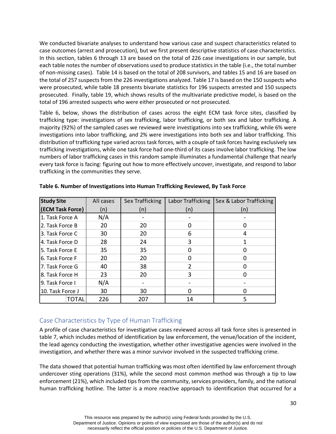We conducted bivariate analyses to understand how various case and suspect characteristics related to case outcomes (arrest and prosecution), but we first present descriptive statistics of case characteristics. In this section, tables 6 through 13 are based on the total of 226 case investigations in our sample, but each table notes the number of observations used to produce statistics in the table (i.e., the total number of non-missing cases). Table 14 is based on the total of 208 survivors, and tables 15 and 16 are based on the total of 257 suspects from the 226 investigations analyzed. Table 17 is based on the 150 suspects who were prosecuted, while table 18 presents bivariate statistics for 196 suspects arrested and 150 suspects prosecuted. Finally, table 19, which shows results of the multivariate predictive model, is based on the total of 196 arrested suspects who were either prosecuted or not prosecuted.

Table 6, below, shows the distribution of cases across the eight ECM task force sites, classified by trafficking type: investigations of sex trafficking, labor trafficking, or both sex and labor trafficking. A majority (92%) of the sampled cases we reviewed were investigations into sex trafficking, while 6% were investigations into labor trafficking, and 2% were investigations into both sex and labor trafficking. This distribution of trafficking type varied across task forces, with a couple of task forces having exclusively sex trafficking investigations, while one task force had one-third of its cases involve labor trafficking. The low numbers of labor trafficking cases in this random sample illuminates a fundamental challenge that nearly every task force is facing: figuring out how to more effectively uncover, investigate, and respond to labor trafficking in the communities they serve.

| <b>Study Site</b> | All cases | Sex Trafficking | Labor Trafficking | Sex & Labor Trafficking |
|-------------------|-----------|-----------------|-------------------|-------------------------|
| (ECM Task Force)  | (n)       | (n)             | (n)               | (n)                     |
| 1. Task Force A   | N/A       |                 |                   |                         |
| 2. Task Force B   | 20        | 20              | 0                 |                         |
| 3. Task Force C   | 30        | 20              | 6                 | 4                       |
| 4. Task Force D   | 28        | 24              | 3                 |                         |
| 5. Task Force E   | 35        | 35              | O                 |                         |
| 6. Task Force F   | 20        | 20              | 0                 | O                       |
| 7. Task Force G   | 40        | 38              | $\mathcal{P}$     |                         |
| 8. Task Force H   | 23        | 20              | 3                 |                         |
| 9. Task Force I   | N/A       |                 |                   |                         |
| 10. Task Force J  | 30        | 30              | 0                 | n                       |
| <b>TOTAL</b>      | 226       | 207             | 14                | 5                       |

**Table 6. Number of Investigations into Human Trafficking Reviewed, By Task Force**

## <span id="page-33-0"></span>Case Characteristics by Type of Human Trafficking

A profile of case characteristics for investigative cases reviewed across all task force sites is presented in table 7, which includes method of identification by law enforcement, the venue/location of the incident, the lead agency conducting the investigation, whether other investigative agencies were involved in the investigation, and whether there was a minor survivor involved in the suspected trafficking crime.

The data showed that potential human trafficking was most often identified by law enforcement through undercover sting operations (31%), while the second most common method was through a tip to law enforcement (21%), which included tips from the community, services providers, family, and the national human trafficking hotline. The latter is a more reactive approach to identification that occurred for a

This resource was prepared by the author(s) using Federal funds provided by the U.S. Department of Justice. Opinions or points of view expressed are those of the author(s) and do not necessarily reflect the official position or policies of the U.S. Department of Justice.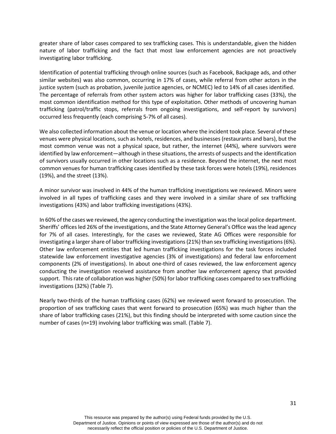greater share of labor cases compared to sex trafficking cases. This is understandable, given the hidden nature of labor trafficking and the fact that most law enforcement agencies are not proactively investigating labor trafficking.

Identification of potential trafficking through online sources (such as Facebook, Backpage ads, and other similar websites) was also common, occurring in 17% of cases, while referral from other actors in the justice system (such as probation, juvenile justice agencies, or NCMEC) led to 14% of all cases identified. The percentage of referrals from other system actors was higher for labor trafficking cases (33%), the most common identification method for this type of exploitation. Other methods of uncovering human trafficking (patrol/traffic stops, referrals from ongoing investigations, and self-report by survivors) occurred less frequently (each comprising 5-7% of all cases).

We also collected information about the venue or location where the incident took place. Several of these venues were physical locations, such as hotels, residences, and businesses (restaurants and bars), but the most common venue was not a physical space, but rather, the internet (44%), where survivors were identified by law enforcement—although in these situations, the arrests of suspects and the identification of survivors usually occurred in other locations such as a residence. Beyond the internet, the next most common venues for human trafficking cases identified by these task forces were hotels (19%), residences (19%), and the street (13%).

A minor survivor was involved in 44% of the human trafficking investigations we reviewed. Minors were involved in all types of trafficking cases and they were involved in a similar share of sex trafficking investigations (43%) and labor trafficking investigations (43%).

In 60% of the cases we reviewed, the agency conducting the investigation was the local police department. Sheriffs' offices led 26% of the investigations, and the State Attorney General's Office was the lead agency for 7% of all cases. Interestingly, for the cases we reviewed, State AG Offices were responsible for investigating a larger share of labor trafficking investigations (21%) than sex trafficking investigations (6%). Other law enforcement entities that led human trafficking investigations for the task forces included statewide law enforcement investigative agencies (3% of investigations) and federal law enforcement components (2% of investigations). In about one-third of cases reviewed, the law enforcement agency conducting the investigation received assistance from another law enforcement agency that provided support. This rate of collaboration was higher (50%) for labor trafficking cases compared to sex trafficking investigations (32%) (Table 7).

Nearly two-thirds of the human trafficking cases (62%) we reviewed went forward to prosecution. The proportion of sex trafficking cases that went forward to prosecution (65%) was much higher than the share of labor trafficking cases (21%), but this finding should be interpreted with some caution since the number of cases (n=19) involving labor trafficking was small. (Table 7).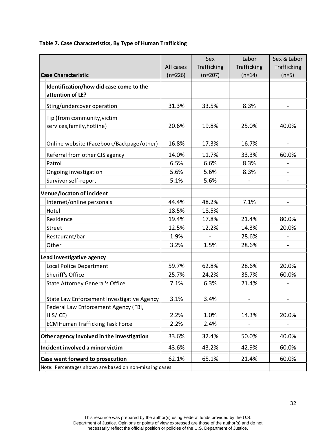| Table 7. Case Characteristics, By Type of Human Trafficking |  |  |
|-------------------------------------------------------------|--|--|
|-------------------------------------------------------------|--|--|

|                                                        |           | Sex         | Labor       | Sex & Labor |  |  |
|--------------------------------------------------------|-----------|-------------|-------------|-------------|--|--|
|                                                        | All cases | Trafficking | Trafficking | Trafficking |  |  |
| <b>Case Characteristic</b>                             | $(n=226)$ | $(n=207)$   | $(n=14)$    | $(n=5)$     |  |  |
| Identification/how did case come to the                |           |             |             |             |  |  |
| attention of LE?                                       |           |             |             |             |  |  |
| Sting/undercover operation                             | 31.3%     | 33.5%       | 8.3%        |             |  |  |
| Tip (from community, victim                            |           |             |             |             |  |  |
| services, family, hotline)                             | 20.6%     | 19.8%       | 25.0%       | 40.0%       |  |  |
|                                                        |           |             |             |             |  |  |
| Online website (Facebook/Backpage/other)               | 16.8%     | 17.3%       | 16.7%       |             |  |  |
| Referral from other CJS agency                         | 14.0%     | 11.7%       | 33.3%       | 60.0%       |  |  |
| Patrol                                                 | 6.5%      | 6.6%        | 8.3%        |             |  |  |
| Ongoing investigation                                  | 5.6%      | 5.6%        | 8.3%        |             |  |  |
| Survivor self-report                                   | 5.1%      | 5.6%        |             |             |  |  |
| Venue/locaton of incident                              |           |             |             |             |  |  |
| Internet/online personals                              | 44.4%     | 48.2%       | 7.1%        |             |  |  |
| Hotel                                                  | 18.5%     | 18.5%       |             |             |  |  |
| Residence                                              | 19.4%     | 17.8%       | 21.4%       | 80.0%       |  |  |
| <b>Street</b>                                          | 12.5%     | 12.2%       | 14.3%       | 20.0%       |  |  |
| Restaurant/bar                                         | 1.9%      |             | 28.6%       |             |  |  |
| Other                                                  | 3.2%      | 1.5%        | 28.6%       |             |  |  |
| Lead investigative agency                              |           |             |             |             |  |  |
| Local Police Department                                | 59.7%     | 62.8%       | 28.6%       | 20.0%       |  |  |
| <b>Sheriff's Office</b>                                | 25.7%     | 24.2%       | 35.7%       | 60.0%       |  |  |
| <b>State Attorney General's Office</b>                 | 7.1%      | 6.3%        | 21.4%       |             |  |  |
| State Law Enforcement Investigative Agency             | 3.1%      | 3.4%        |             |             |  |  |
| Federal Law Enforcement Agency (FBI,                   |           |             |             |             |  |  |
| HIS/ICE)                                               | 2.2%      | 1.0%        | 14.3%       | 20.0%       |  |  |
| <b>ECM Human Trafficking Task Force</b>                | 2.2%      | 2.4%        |             |             |  |  |
| Other agency involved in the investigation             | 33.6%     | 32.4%       | 50.0%       | 40.0%       |  |  |
| Incident involved a minor victim                       | 43.6%     | 43.2%       | 42.9%       | 60.0%       |  |  |
| Case went forward to prosecution                       | 62.1%     | 65.1%       | 21.4%       | 60.0%       |  |  |
| Note: Percentages shown are based on non-missing cases |           |             |             |             |  |  |

This resource was prepared by the author(s) using Federal funds provided by the U.S. Department of Justice. Opinions or points of view expressed are those of the author(s) and do not necessarily reflect the official position or policies of the U.S. Department of Justice.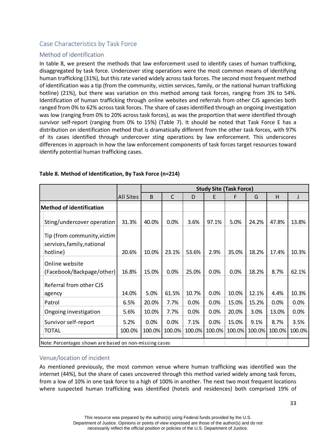# Case Characteristics by Task Force

### Method of identification

In table 8, we present the methods that law enforcement used to identify cases of human trafficking, disaggregated by task force. Undercover sting operations were the most common means of identifying human trafficking (31%), but this rate varied widely across task forces. The second most frequent method of identification was a tip (from the community, victim services, family, or the national human trafficking hotline) (21%), but there was variation on this method among task forces, ranging from 3% to 54%. Identification of human trafficking through online websites and referrals from other CJS agencies both ranged from 0% to 62% across task forces. The share of cases identified through an ongoing investigation was low (ranging from 0% to 20% across task forces), as was the proportion that were identified through survivor self-report (ranging from 0% to 15%) (Table 7). It should be noted that Task Force E has a distribution on identification method that is dramatically different from the other task forces, with 97% of its cases identified through undercover sting operations by law enforcement. This underscores differences in approach in how the law enforcement components of task forces target resources toward identify potential human trafficking cases.

|                                                                       |           |              |        |        | <b>Study Site (Task Force)</b> |        |        |        |        |
|-----------------------------------------------------------------------|-----------|--------------|--------|--------|--------------------------------|--------|--------|--------|--------|
|                                                                       | All Sites | <sub>B</sub> | C      | D      | E                              | F      | G      | н      | J      |
| <b>Method of identification</b>                                       |           |              |        |        |                                |        |        |        |        |
| Sting/undercover operation                                            | 31.3%     | 40.0%        | 0.0%   | 3.6%   | 97.1%                          | 5.0%   | 24.2%  | 47.8%  | 13.8%  |
| Tip (from community, victim<br>services, family, national<br>hotline) | 20.6%     | 10.0%        | 23.1%  | 53.6%  | 2.9%                           | 35.0%  | 18.2%  | 17.4%  | 10.3%  |
| Online website<br>(Facebook/Backpage/other)                           | 16.8%     | 15.0%        | 0.0%   | 25.0%  | 0.0%                           | 0.0%   | 18.2%  | 8.7%   | 62.1%  |
| Referral from other CJS<br>agency                                     | 14.0%     | 5.0%         | 61.5%  | 10.7%  | 0.0%                           | 10.0%  | 12.1%  | 4.4%   | 10.3%  |
| Patrol                                                                | 6.5%      | 20.0%        | 7.7%   | 0.0%   | 0.0%                           | 15.0%  | 15.2%  | 0.0%   | 0.0%   |
| Ongoing investigation                                                 | 5.6%      | 10.0%        | 7.7%   | 0.0%   | 0.0%                           | 20.0%  | 3.0%   | 13.0%  | 0.0%   |
| Survivor self-report                                                  | 5.2%      | 0.0%         | 0.0%   | 7.1%   | 0.0%                           | 15.0%  | 9.1%   | 8.7%   | 3.5%   |
| <b>TOTAL</b>                                                          | 100.0%    | 100.0%       | 100.0% | 100.0% | 100.0%                         | 100.0% | 100.0% | 100.0% | 100.0% |
| Note: Percentages shown are based on non-missing cases                |           |              |        |        |                                |        |        |        |        |

### **Table 8. Method of Identification, By Task Force (n=214)**

### Venue/location of incident

As mentioned previously, the most common venue where human trafficking was identified was the internet (44%), but the share of cases uncovered through this method varied widely among task forces, from a low of 10% in one task force to a high of 100% in another. The next two most frequent locations where suspected human trafficking was identified (hotels and residences) both comprised 19% of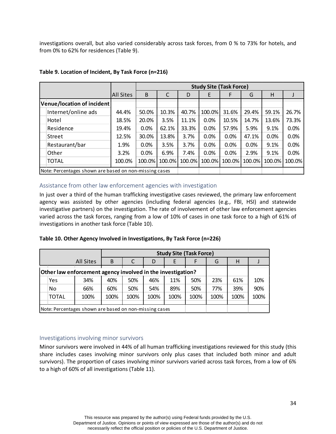investigations overall, but also varied considerably across task forces, from 0 % to 73% for hotels, and from 0% to 62% for residences (Table 9).

|                                                        |                  |        | <b>Study Site (Task Force)</b> |        |        |        |        |        |        |
|--------------------------------------------------------|------------------|--------|--------------------------------|--------|--------|--------|--------|--------|--------|
|                                                        | <b>All Sites</b> | B      | C                              | D      | E      | F      | G      | H      |        |
| Venue/location of incident                             |                  |        |                                |        |        |        |        |        |        |
| Internet/online ads                                    | 44.4%            | 50.0%  | 10.3%                          | 40.7%  | 100.0% | 31.6%  | 29.4%  | 59.1%  | 26.7%  |
| Hotel                                                  | 18.5%            | 20.0%  | 3.5%                           | 11.1%  | 0.0%   | 10.5%  | 14.7%  | 13.6%  | 73.3%  |
| Residence                                              | 19.4%            | 0.0%   | 62.1%                          | 33.3%  | 0.0%   | 57.9%  | 5.9%   | 9.1%   | 0.0%   |
| Street                                                 | 12.5%            | 30.0%  | 13.8%                          | 3.7%   | 0.0%   | 0.0%   | 47.1%  | 0.0%   | 0.0%   |
| Restaurant/bar                                         | 1.9%             | 0.0%   | 3.5%                           | 3.7%   | 0.0%   | 0.0%   | 0.0%   | 9.1%   | 0.0%   |
| Other                                                  | 3.2%             | 0.0%   | 6.9%                           | 7.4%   | 0.0%   | 0.0%   | 2.9%   | 9.1%   | 0.0%   |
| <b>TOTAL</b>                                           | 100.0%           | 100.0% | 100.0%                         | 100.0% | 100.0% | 100.0% | 100.0% | 100.0% | 100.0% |
| Note: Percentages shown are based on non-missing cases |                  |        |                                |        |        |        |        |        |        |

### **Table 9. Location of Incident, By Task Force (n=216)**

### Assistance from other law enforcement agencies with investigation

In just over a third of the human trafficking investigative cases reviewed, the primary law enforcement agency was assisted by other agencies (including federal agencies (e.g., FBI, HSI) and statewide investigative partners) on the investigation. The rate of involvement of other law enforcement agencies varied across the task forces, ranging from a low of 10% of cases in one task force to a high of 61% of investigations in another task force (Table 10).

|                                                        |                                                             |      | <b>Study Site (Task Force)</b> |      |      |      |      |      |      |  |  |  |
|--------------------------------------------------------|-------------------------------------------------------------|------|--------------------------------|------|------|------|------|------|------|--|--|--|
|                                                        | <b>All Sites</b>                                            | B    |                                | D    |      |      | G    | H    |      |  |  |  |
|                                                        | Other law enforcement agency involved in the investigation? |      |                                |      |      |      |      |      |      |  |  |  |
| Yes                                                    | 34%                                                         | 40%  | 50%                            | 46%  | 11%  | 50%  | 23%  | 61%  | 10%  |  |  |  |
| No                                                     | 66%                                                         | 60%  | 50%                            | 54%  | 89%  | 50%  | 77%  | 39%  | 90%  |  |  |  |
| <b>TOTAL</b>                                           | 100%                                                        | 100% | 100%                           | 100% | 100% | 100% | 100% | 100% | 100% |  |  |  |
| Note: Percentages shown are based on non-missing cases |                                                             |      |                                |      |      |      |      |      |      |  |  |  |

#### Investigations involving minor survivors

Minor survivors were involved in 44% of all human trafficking investigations reviewed for this study (this share includes cases involving minor survivors only plus cases that included both minor and adult survivors). The proportion of cases involving minor survivors varied across task forces, from a low of 6% to a high of 60% of all investigations (Table 11).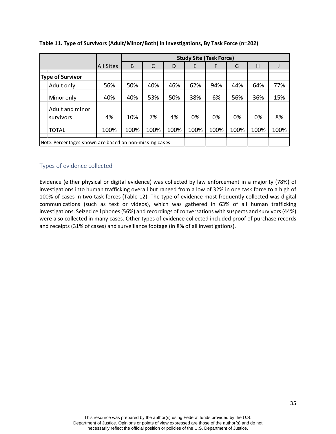|                                                        |                  |      |      |      |      | <b>Study Site (Task Force)</b> |      |      |      |
|--------------------------------------------------------|------------------|------|------|------|------|--------------------------------|------|------|------|
|                                                        | <b>All Sites</b> | B    | C    | D    | E    | F                              | G    | н    |      |
| Type of Survivor                                       |                  |      |      |      |      |                                |      |      |      |
| Adult only                                             | 56%              | 50%  | 40%  | 46%  | 62%  | 94%                            | 44%  | 64%  | 77%  |
| Minor only                                             | 40%              | 40%  | 53%  | 50%  | 38%  | 6%                             | 56%  | 36%  | 15%  |
| Adult and minor<br><b>survivors</b>                    | 4%               | 10%  | 7%   | 4%   | 0%   | 0%                             | 0%   | 0%   | 8%   |
| <b>TOTAL</b>                                           | 100%             | 100% | 100% | 100% | 100% | 100%                           | 100% | 100% | 100% |
| Note: Percentages shown are based on non-missing cases |                  |      |      |      |      |                                |      |      |      |

**Table 11. Type of Survivors (Adult/Minor/Both) in Investigations, By Task Force (n=202)**

## Types of evidence collected

Evidence (either physical or digital evidence) was collected by law enforcement in a majority (78%) of investigations into human trafficking overall but ranged from a low of 32% in one task force to a high of 100% of cases in two task forces (Table 12). The type of evidence most frequently collected was digital communications (such as text or videos), which was gathered in 63% of all human trafficking investigations. Seized cell phones (56%) and recordings of conversations with suspects and survivors (44%) were also collected in many cases. Other types of evidence collected included proof of purchase records and receipts (31% of cases) and surveillance footage (in 8% of all investigations).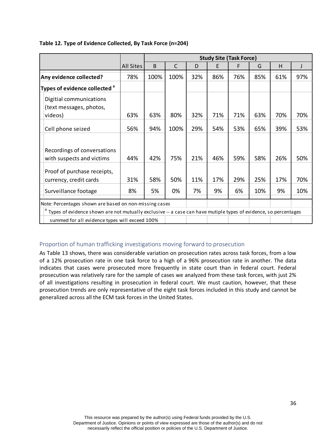|                                                          |                                                                                                                 | <b>Study Site (Task Force)</b> |              |     |     |     |     |     |     |
|----------------------------------------------------------|-----------------------------------------------------------------------------------------------------------------|--------------------------------|--------------|-----|-----|-----|-----|-----|-----|
|                                                          | All Sites                                                                                                       | B                              | $\mathsf{C}$ | D   | E   | F   | G   | H   | J   |
| Any evidence collected?                                  | 78%                                                                                                             | 100%                           | 100%         | 32% | 86% | 76% | 85% | 61% | 97% |
| Types of evidence collected <sup>a</sup>                 |                                                                                                                 |                                |              |     |     |     |     |     |     |
| Digitial communications<br>(text messages, photos,       |                                                                                                                 |                                |              |     |     |     |     |     |     |
| videos)                                                  | 63%                                                                                                             | 63%                            | 80%          | 32% | 71% | 71% | 63% | 70% | 70% |
| Cell phone seized                                        | 56%                                                                                                             | 94%                            | 100%         | 29% | 54% | 53% | 65% | 39% | 53% |
| Recordings of conversations<br>with suspects and victims | 44%                                                                                                             | 42%                            | 75%          | 21% | 46% | 59% | 58% | 26% | 50% |
| Proof of purchase receipts,<br>currency, credit cards    | 31%                                                                                                             | 58%                            | 50%          | 11% | 17% | 29% | 25% | 17% | 70% |
| Surveillance footage                                     | 8%                                                                                                              | 5%                             | 0%           | 7%  | 9%  | 6%  | 10% | 9%  | 10% |
| Note: Percentages shown are based on non-missing cases   |                                                                                                                 |                                |              |     |     |     |     |     |     |
|                                                          | Types of evidence shown are not mutually exclusive -- a case can have mutiple types of evidence, so percentages |                                |              |     |     |     |     |     |     |
| summed for all evidence types will exceed 100%           |                                                                                                                 |                                |              |     |     |     |     |     |     |

### **Table 12. Type of Evidence Collected, By Task Force (n=204)**

### Proportion of human trafficking investigations moving forward to prosecution

As Table 13 shows, there was considerable variation on prosecution rates across task forces, from a low of a 12% prosecution rate in one task force to a high of a 96% prosecution rate in another. The data indicates that cases were prosecuted more frequently in state court than in federal court. Federal prosecution was relatively rare for the sample of cases we analyzed from these task forces, with just 2% of all investigations resulting in prosecution in federal court. We must caution, however, that these prosecution trends are only representative of the eight task forces included in this study and cannot be generalized across all the ECM task forces in the United States.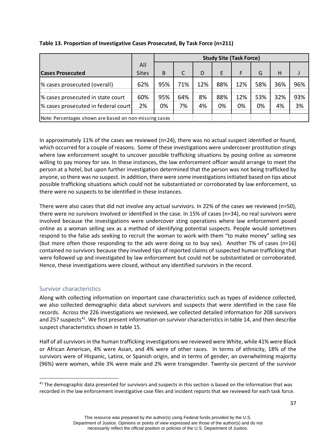|                                                        |              | <b>Study Site (Task Force)</b> |     |     |     |     |     |     |     |
|--------------------------------------------------------|--------------|--------------------------------|-----|-----|-----|-----|-----|-----|-----|
|                                                        | All          |                                |     |     |     |     |     |     |     |
| <b>Cases Prosecuted</b>                                | <b>Sites</b> | B                              | C   | D   | E   | F   | G   | Н   |     |
| % cases prosecuted (overall)                           | 62%          | 95%                            | 71% | 12% | 88% | 12% | 58% | 36% | 96% |
| % cases prosecuted in state court                      | 60%          | 95%                            | 64% | 8%  | 88% | 12% | 53% | 32% | 93% |
| % cases prosecuted in federal court                    | 2%           | 0%                             | 7%  | 4%  | 0%  | 0%  | 0%  | 4%  | 3%  |
| Note: Percentages shown are based on non-missing cases |              |                                |     |     |     |     |     |     |     |

### **Table 13. Proportion of Investigative Cases Prosecuted, By Task Force (n=211)**

In approximately 11% of the cases we reviewed (n=24), there was no actual suspect identified or found, which occurred for a couple of reasons. Some of these investigations were undercover prostitution stings where law enforcement sought to uncover possible trafficking situations by posing online as someone willing to pay money for sex. In these instances, the law enforcement officer would arrange to meet the person at a hotel, but upon further investigation determined that the person was not being trafficked by anyone, so there was no suspect. In addition, there were some investigations initiated based on tips about possible trafficking situations which could not be substantiated or corroborated by law enforcement, so there were no suspects to be identified in these instances.

There were also cases that did not involve any actual survivors. In 22% of the cases we reviewed (n=50), there were no survivors involved or identified in the case. In 15% of cases (n=34), no real survivors were involved because the investigations were undercover sting operations where law enforcement posed online as a woman selling sex as a method of identifying potential suspects. People would sometimes respond to the false ads seeking to recruit the woman to work with them "to make money" selling sex (but more often those responding to the ads were doing so to buy sex). Another 7% of cases (n=16) contained no survivors because they involved tips of reported claims of suspected human trafficking that were followed up and investigated by law enforcement but could not be substantiated or corroborated. Hence, these investigations were closed, without any identified survivors in the record.

### Survivor characteristics

 $\overline{a}$ 

Along with collecting information on important case characteristics such as types of evidence collected, we also collected demographic data about survivors and suspects that were identified in the case file records. Across the 226 investigations we reviewed, we collected detailed information for 208 survivors and 257 suspects<sup>41</sup>. We first present information on survivor characteristics in table 14, and then describe suspect characteristics shown in table 15.

Half of all survivors in the human trafficking investigations we reviewed were White, while 41% were Black or African American, 4% were Asian, and 4% were of other races. In terms of ethnicity, 18% of the survivors were of Hispanic, Latinx, or Spanish origin, and in terms of gender, an overwhelming majority (96%) were women, while 3% were male and 2% were transgender. Twenty-six percent of the survivor

<span id="page-40-0"></span><sup>&</sup>lt;sup>41</sup> The demographic data presented for survivors and suspects in this section is based on the information that was recorded in the law enforcement investigative case files and incident reports that we reviewed for each task force.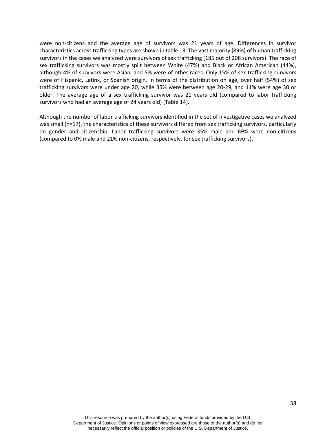were non-citizens and the average age of survivors was 21 years of age. Differences in survivor characteristics across trafficking types are shown in table 13. The vast majority (89%) of human trafficking survivors in the cases we analyzed were survivors of sex trafficking (185 out of 208 survivors). The race of sex trafficking survivors was mostly spilt between White (47%) and Black or African American (44%), although 4% of survivors were Asian, and 5% were of other races. Only 15% of sex trafficking survivors were of Hispanic, Latinx, or Spanish origin. In terms of the distribution on age, over half (54%) of sex trafficking survivors were under age 20, while 35% were between age 20-29, and 11% were age 30 or older. The average age of a sex trafficking survivor was 21 years old (compared to labor trafficking survivors who had an average age of 24 years old) (Table 14).

Although the number of labor trafficking survivors identified in the set of investigative cases we analyzed was small (n=17), the characteristics of these survivors differed from sex trafficking survivors, particularly on gender and citizenship. Labor trafficking survivors were 35% male and 69% were non-citizens (compared to 0% male and 21% non-citizens, respectively, for sex trafficking survivors).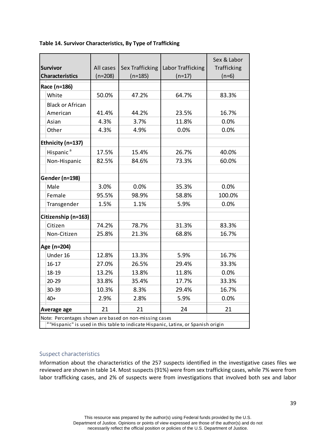|                                                        |           |                        |                                                                                               | Sex & Labor |
|--------------------------------------------------------|-----------|------------------------|-----------------------------------------------------------------------------------------------|-------------|
| <b>Survivor</b>                                        | All cases | <b>Sex Trafficking</b> | Labor Trafficking                                                                             | Trafficking |
| <b>Characteristics</b>                                 | $(n=208)$ | $(n=185)$              | $(n=17)$                                                                                      | $(n=6)$     |
| Race (n=186)                                           |           |                        |                                                                                               |             |
| White                                                  | 50.0%     | 47.2%                  | 64.7%                                                                                         | 83.3%       |
| <b>Black or African</b>                                |           |                        |                                                                                               |             |
| American                                               | 41.4%     | 44.2%                  | 23.5%                                                                                         | 16.7%       |
| Asian                                                  | 4.3%      | 3.7%                   | 11.8%                                                                                         | 0.0%        |
| Other                                                  | 4.3%      | 4.9%                   | 0.0%                                                                                          | 0.0%        |
| Ethnicity (n=137)                                      |           |                        |                                                                                               |             |
| Hispanic <sup>a</sup>                                  | 17.5%     | 15.4%                  | 26.7%                                                                                         | 40.0%       |
| Non-Hispanic                                           | 82.5%     | 84.6%                  | 73.3%                                                                                         | 60.0%       |
| <b>Gender (n=198)</b>                                  |           |                        |                                                                                               |             |
| Male                                                   | 3.0%      | 0.0%                   | 35.3%                                                                                         | 0.0%        |
| Female                                                 | 95.5%     | 98.9%                  | 58.8%                                                                                         | 100.0%      |
| Transgender                                            | 1.5%      | 1.1%                   | 5.9%                                                                                          | 0.0%        |
| Citizenship (n=163)                                    |           |                        |                                                                                               |             |
| Citizen                                                | 74.2%     | 78.7%                  | 31.3%                                                                                         | 83.3%       |
| Non-Citizen                                            | 25.8%     | 21.3%                  | 68.8%                                                                                         | 16.7%       |
| Age (n=204)                                            |           |                        |                                                                                               |             |
| Under 16                                               | 12.8%     | 13.3%                  | 5.9%                                                                                          | 16.7%       |
| $16 - 17$                                              | 27.0%     | 26.5%                  | 29.4%                                                                                         | 33.3%       |
| 18-19                                                  | 13.2%     | 13.8%                  | 11.8%                                                                                         | 0.0%        |
| $20 - 29$                                              | 33.8%     | 35.4%                  | 17.7%                                                                                         | 33.3%       |
| 30-39                                                  | 10.3%     | 8.3%                   | 29.4%                                                                                         | 16.7%       |
| $40+$                                                  | 2.9%      | 2.8%                   | 5.9%                                                                                          | 0.0%        |
| Average age                                            | 21        | 21                     | 24                                                                                            | 21          |
| Note: Percentages shown are based on non-missing cases |           |                        | <sup>a</sup> "Hispanic" is used in this table to indicate Hispanic, Latinx, or Spanish origin |             |

**Table 14. Survivor Characteristics, By Type of Trafficking** 

### Suspect characteristics

Information about the characteristics of the 257 suspects identified in the investigative cases files we reviewed are shown in table 14. Most suspects (91%) were from sex trafficking cases, while 7% were from labor trafficking cases, and 2% of suspects were from investigations that involved both sex and labor

This resource was prepared by the author(s) using Federal funds provided by the U.S. Department of Justice. Opinions or points of view expressed are those of the author(s) and do not necessarily reflect the official position or policies of the U.S. Department of Justice.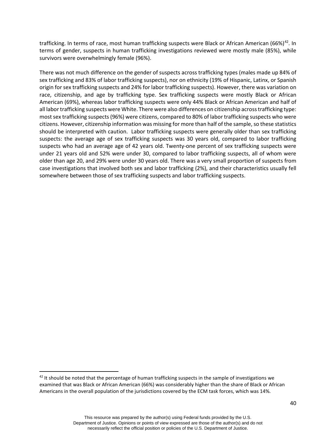trafficking. In terms of race, most human trafficking suspects were Black or African American (66%)<sup>42</sup>. In terms of gender, suspects in human trafficking investigations reviewed were mostly male (85%), while survivors were overwhelmingly female (96%).

There was not much difference on the gender of suspects across trafficking types (males made up 84% of sex trafficking and 83% of labor trafficking suspects), nor on ethnicity (19% of Hispanic, Latinx, or Spanish origin for sex trafficking suspects and 24% for labor trafficking suspects). However, there was variation on race, citizenship, and age by trafficking type. Sex trafficking suspects were mostly Black or African American (69%), whereas labor trafficking suspects were only 44% Black or African American and half of all labor trafficking suspects were White. There were also differences on citizenship across trafficking type: most sex trafficking suspects (96%) were citizens, compared to 80% of labor trafficking suspects who were citizens. However, citizenship information was missing for more than half of the sample, so these statistics should be interpreted with caution. Labor trafficking suspects were generally older than sex trafficking suspects: the average age of sex trafficking suspects was 30 years old, compared to labor trafficking suspects who had an average age of 42 years old. Twenty-one percent of sex trafficking suspects were under 21 years old and 52% were under 30, compared to labor trafficking suspects, all of whom were older than age 20, and 29% were under 30 years old. There was a very small proportion of suspects from case investigations that involved both sex and labor trafficking (2%), and their characteristics usually fell somewhere between those of sex trafficking suspects and labor trafficking suspects.

l

<span id="page-43-0"></span> $42$  It should be noted that the percentage of human trafficking suspects in the sample of investigations we examined that was Black or African American (66%) was considerably higher than the share of Black or African Americans in the overall population of the jurisdictions covered by the ECM task forces, which was 14%.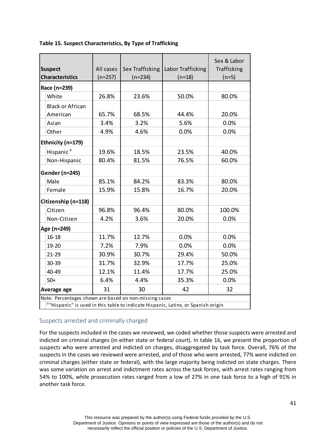|                                                        |           |                 |                                                                                               | Sex & Labor |
|--------------------------------------------------------|-----------|-----------------|-----------------------------------------------------------------------------------------------|-------------|
| <b>Suspect</b>                                         | All cases | Sex Trafficking | Labor Trafficking                                                                             | Trafficking |
| <b>Characteristics</b>                                 | $(n=257)$ | $(n=234)$       | $(n=18)$                                                                                      | $(n=5)$     |
| Race (n=239)                                           |           |                 |                                                                                               |             |
| White                                                  | 26.8%     | 23.6%           | 50.0%                                                                                         | 80.0%       |
| <b>Black or African</b>                                |           |                 |                                                                                               |             |
| American                                               | 65.7%     | 68.5%           | 44.4%                                                                                         | 20.0%       |
| Asian                                                  | 3.4%      | 3.2%            | 5.6%                                                                                          | 0.0%        |
| Other                                                  | 4.9%      | 4.6%            | 0.0%                                                                                          | 0.0%        |
| Ethnicity (n=179)                                      |           |                 |                                                                                               |             |
| Hispanic <sup>a</sup>                                  | 19.6%     | 18.5%           | 23.5%                                                                                         | 40.0%       |
| Non-Hispanic                                           | 80.4%     | 81.5%           | 76.5%                                                                                         | 60.0%       |
| <b>Gender (n=245)</b>                                  |           |                 |                                                                                               |             |
| Male                                                   | 85.1%     | 84.2%           | 83.3%                                                                                         | 80.0%       |
| Female                                                 | 15.9%     | 15.8%           | 16.7%                                                                                         | 20.0%       |
| Citizenship (n=118)                                    |           |                 |                                                                                               |             |
| Citizen                                                | 96.8%     | 96.4%           | 80.0%                                                                                         | 100.0%      |
| Non-Citizen                                            | 4.2%      | 3.6%            | 20.0%                                                                                         | 0.0%        |
| Age (n=249)                                            |           |                 |                                                                                               |             |
| $16 - 18$                                              | 11.7%     | 12.7%           | 0.0%                                                                                          | 0.0%        |
| 19-20                                                  | 7.2%      | 7.9%            | 0.0%                                                                                          | 0.0%        |
| $21 - 29$                                              | 30.9%     | 30.7%           | 29.4%                                                                                         | 50.0%       |
| 30-39                                                  | 31.7%     | 32.9%           | 17.7%                                                                                         | 25.0%       |
| 40-49                                                  | 12.1%     | 11.4%           | 17.7%                                                                                         | 25.0%       |
| $50+$                                                  | 6.4%      | 4.4%            | 35.3%                                                                                         | 0.0%        |
| Average age                                            | 31        | 30              | 42                                                                                            | 32          |
| Note: Percentages shown are based on non-missing cases |           |                 | <sup>a</sup> "Hispanic" is used in this table to indicate Hispanic, Latinx, or Spanish origin |             |

**Table 15. Suspect Characteristics, By Type of Trafficking**

### Suspects arrested and criminally charged

For the suspects included in the cases we reviewed, we coded whether those suspects were arrested and indicted on criminal charges (in either state or federal court). In table 16, we present the proportion of suspects who were arrested and indicted on charges, disaggregated by task force. Overall, 76% of the suspects in the cases we reviewed were arrested, and of those who were arrested, 77% were indicted on criminal charges (either state or federal), with the large majority being indicted on state charges. There was some variation on arrest and indictment rates across the task forces, with arrest rates ranging from 54% to 100%, while prosecution rates ranged from a low of 27% in one task force to a high of 91% in another task force.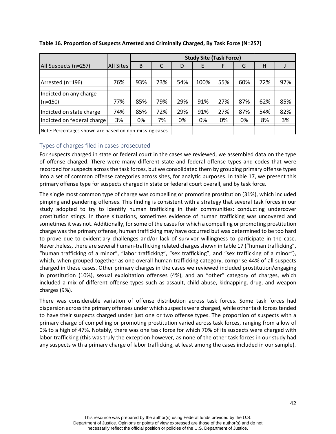|                                                        |                  | <b>Study Site (Task Force)</b> |     |     |      |     |     |     |     |  |
|--------------------------------------------------------|------------------|--------------------------------|-----|-----|------|-----|-----|-----|-----|--|
| All Suspects (n=257)                                   | <b>All Sites</b> | B                              |     | D   | E    | F   | G   | н   |     |  |
|                                                        |                  |                                |     |     |      |     |     |     |     |  |
| Arrested (n=196)                                       | 76%              | 93%                            | 73% | 54% | 100% | 55% | 60% | 72% | 97% |  |
| Indicted on any charge                                 |                  |                                |     |     |      |     |     |     |     |  |
| l(n=150)                                               | 77%              | 85%                            | 79% | 29% | 91%  | 27% | 87% | 62% | 85% |  |
| Indicted on state charge                               | 74%              | 85%                            | 72% | 29% | 91%  | 27% | 87% | 54% | 82% |  |
| Indicted on federal charge                             | 3%               | 0%                             | 7%  | 0%  | 0%   | 0%  | 0%  | 8%  | 3%  |  |
| Note: Percentages shown are based on non-missing cases |                  |                                |     |     |      |     |     |     |     |  |

**Table 16. Proportion of Suspects Arrested and Criminally Charged, By Task Force (N=257)**

### Types of charges filed in cases prosecuted

For suspects charged in state or federal court in the cases we reviewed, we assembled data on the type of offense charged. There were many different state and federal offense types and codes that were recorded for suspects across the task forces, but we consolidated them by grouping primary offense types into a set of common offense categories across sites, for analytic purposes. In table 17, we present this primary offense type for suspects charged in state or federal court overall, and by task force.

The single most common type of charge was compelling or promoting prostitution (31%), which included pimping and pandering offenses. This finding is consistent with a strategy that several task forces in our study adopted to try to identify human trafficking in their communities: conducting undercover prostitution stings. In those situations, sometimes evidence of human trafficking was uncovered and sometimes it was not. Additionally, for some of the cases for which a compelling or promoting prostitution charge was the primary offense, human trafficking may have occurred but was determined to be too hard to prove due to evidentiary challenges and/or lack of survivor willingness to participate in the case. Nevertheless, there are several human-trafficking related charges shown in table 17 ("human trafficking", "human trafficking of a minor", "labor trafficking", "sex trafficking", and "sex trafficking of a minor"), which, when grouped together as one overall human trafficking category, comprise 44% of all suspects charged in these cases. Other primary charges in the cases we reviewed included prostitution/engaging in prostitution (10%), sexual exploitation offenses (4%), and an "other" category of charges, which included a mix of different offense types such as assault, child abuse, kidnapping, drug, and weapon charges (9%).

There was considerable variation of offense distribution across task forces. Some task forces had dispersion across the primary offenses under which suspects were charged, while other task forces tended to have their suspects charged under just one or two offense types. The proportion of suspects with a primary charge of compelling or promoting prostitution varied across task forces, ranging from a low of 0% to a high of 47%. Notably, there was one task force for which 70% of its suspects were charged with labor trafficking (this was truly the exception however, as none of the other task forces in our study had any suspects with a primary charge of labor trafficking, at least among the cases included in our sample).

> This resource was prepared by the author(s) using Federal funds provided by the U.S. Department of Justice. Opinions or points of view expressed are those of the author(s) and do not necessarily reflect the official position or policies of the U.S. Department of Justice.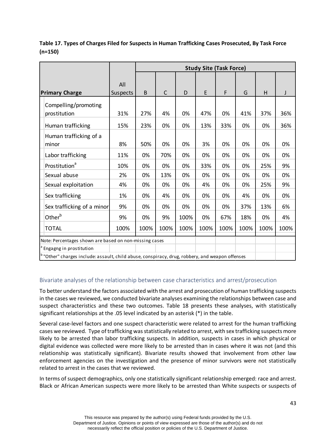**Table 17. Types of Charges Filed for Suspects in Human Trafficking Cases Prosecuted, By Task Force (n=150)**

|                                                                                                 |                 |      | <b>Study Site (Task Force)</b> |      |      |      |      |      |      |
|-------------------------------------------------------------------------------------------------|-----------------|------|--------------------------------|------|------|------|------|------|------|
|                                                                                                 | All             |      |                                |      |      |      |      |      |      |
| <b>Primary Charge</b>                                                                           | <b>Suspects</b> | B    | $\mathsf{C}$                   | D    | E    | F    | G    | H    |      |
| Compelling/promoting                                                                            |                 |      |                                |      |      |      |      |      |      |
| prostitution                                                                                    | 31%             | 27%  | 4%                             | 0%   | 47%  | 0%   | 41%  | 37%  | 36%  |
| Human trafficking                                                                               | 15%             | 23%  | 0%                             | 0%   | 13%  | 33%  | 0%   | 0%   | 36%  |
| Human trafficking of a                                                                          |                 |      |                                |      |      |      |      |      |      |
| minor                                                                                           | 8%              | 50%  | 0%                             | 0%   | 3%   | 0%   | 0%   | 0%   | 0%   |
| Labor trafficking                                                                               | 11%             | 0%   | 70%                            | 0%   | 0%   | 0%   | 0%   | 0%   | 0%   |
| Prostitution <sup>a</sup>                                                                       | 10%             | 0%   | 0%                             | 0%   | 33%  | 0%   | 0%   | 25%  | 9%   |
| Sexual abuse                                                                                    | 2%              | 0%   | 13%                            | 0%   | 0%   | 0%   | 0%   | 0%   | 0%   |
| Sexual exploitation                                                                             | 4%              | 0%   | 0%                             | 0%   | 4%   | 0%   | 0%   | 25%  | 9%   |
| Sex trafficking                                                                                 | 1%              | 0%   | 4%                             | 0%   | 0%   | 0%   | 4%   | 0%   | 0%   |
| Sex trafficking of a minor                                                                      | 9%              | 0%   | 0%                             | 0%   | 0%   | 0%   | 37%  | 13%  | 6%   |
| Other <sup>b</sup>                                                                              | 9%              | 0%   | 9%                             | 100% | 0%   | 67%  | 18%  | 0%   | 4%   |
| <b>TOTAL</b>                                                                                    | 100%            | 100% | 100%                           | 100% | 100% | 100% | 100% | 100% | 100% |
| Note: Percentages shown are based on non-missing cases                                          |                 |      |                                |      |      |      |      |      |      |
| <sup>a</sup> Engagng in prostitution                                                            |                 |      |                                |      |      |      |      |      |      |
| b "Other" charges include: assault, child abuse, conspiracy, drug, robbery, and weapon offenses |                 |      |                                |      |      |      |      |      |      |

# Bivariate analyses of the relationship between case characteristics and arrest/prosecution

To better understand the factors associated with the arrest and prosecution of human trafficking suspects in the cases we reviewed, we conducted bivariate analyses examining the relationships between case and suspect characteristics and these two outcomes. Table 18 presents these analyses, with statistically significant relationships at the .05 level indicated by an asterisk (\*) in the table.

Several case-level factors and one suspect characteristic were related to arrest for the human trafficking cases we reviewed. Type of trafficking was statistically related to arrest, with sex trafficking suspects more likely to be arrested than labor trafficking suspects. In addition, suspects in cases in which physical or digital evidence was collected were more likely to be arrested than in cases where it was not (and this relationship was statistically significant). Bivariate results showed that involvement from other law enforcement agencies on the investigation and the presence of minor survivors were not statistically related to arrest in the cases that we reviewed.

In terms of suspect demographics, only one statistically significant relationship emerged: race and arrest. Black or African American suspects were more likely to be arrested than White suspects or suspects of

This resource was prepared by the author(s) using Federal funds provided by the U.S. Department of Justice. Opinions or points of view expressed are those of the author(s) and do not necessarily reflect the official position or policies of the U.S. Department of Justice.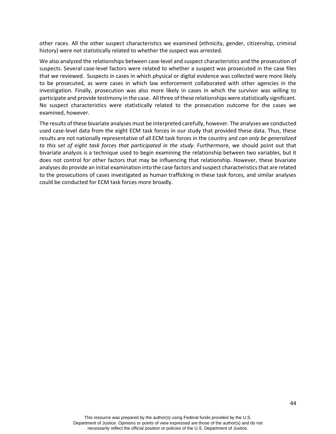other races. All the other suspect characteristics we examined (ethnicity, gender, citizenship, criminal history) were not statistically related to whether the suspect was arrested.

We also analyzed the relationships between case-level and suspect characteristics and the prosecution of suspects. Several case-level factors were related to whether a suspect was prosecuted in the case files that we reviewed. Suspects in cases in which physical or digital evidence was collected were more likely to be prosecuted, as were cases in which law enforcement collaborated with other agencies in the investigation. Finally, prosecution was also more likely in cases in which the survivor was willing to participate and provide testimony in the case. All three of these relationships were statistically significant. No suspect characteristics were statistically related to the prosecution outcome for the cases we examined, however.

The results of these bivariate analyses must be interpreted carefully, however. The analyses we conducted used case-level data from the eight ECM task forces in our study that provided these data. Thus, these results are not nationally representative of all ECM task forces in the country and *can only be generalized to this set of eight task forces that participated in the study*. Furthermore, we should point out that bivariate analysis is a technique used to begin examining the relationship between two variables, but it does not control for other factors that may be influencing that relationship. However, these bivariate analyses do provide an initial examination into the case factors and suspect characteristics that are related to the prosecutions of cases investigated as human trafficking in these task forces, and similar analyses could be conducted for ECM task forces more broadly.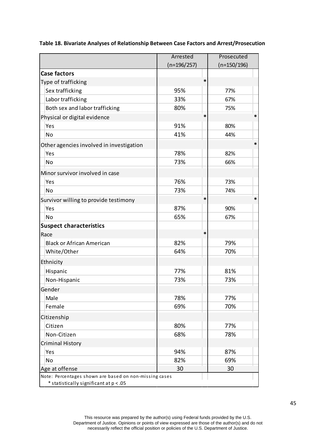|                                                                                                  | Arrested      | Prosecuted    |
|--------------------------------------------------------------------------------------------------|---------------|---------------|
|                                                                                                  | $(n=196/257)$ | $(n=150/196)$ |
| <b>Case factors</b>                                                                              |               |               |
| Type of trafficking                                                                              | *             |               |
| Sex trafficking                                                                                  | 95%           | 77%           |
| Labor trafficking                                                                                | 33%           | 67%           |
| Both sex and labor trafficking                                                                   | 80%           | 75%           |
| Physical or digital evidence                                                                     | $\ast$        | *             |
| Yes                                                                                              | 91%           | 80%           |
| No                                                                                               | 41%           | 44%           |
| Other agencies involved in investigation                                                         |               | *             |
| Yes                                                                                              | 78%           | 82%           |
| No                                                                                               | 73%           | 66%           |
| Minor survivor involved in case                                                                  |               |               |
| Yes                                                                                              | 76%           | 73%           |
| No                                                                                               | 73%           | 74%           |
| Survivor willing to provide testimony                                                            | $\ast$        | *             |
| Yes                                                                                              | 87%           | 90%           |
| No                                                                                               | 65%           | 67%           |
| <b>Suspect characteristics</b>                                                                   |               |               |
| Race                                                                                             | ∗             |               |
| <b>Black or African American</b>                                                                 | 82%           | 79%           |
| White/Other                                                                                      | 64%           | 70%           |
| Ethnicity                                                                                        |               |               |
| Hispanic                                                                                         | 77%           | 81%           |
| Non-Hispanic                                                                                     | 73%           | 73%           |
| Gender                                                                                           |               |               |
| Male                                                                                             | 78%           | 77%           |
| Female                                                                                           | 69%           | 70%           |
| Citizenship                                                                                      |               |               |
| Citizen                                                                                          | 80%           | 77%           |
| Non-Citizen                                                                                      | 68%           | 78%           |
| <b>Criminal History</b>                                                                          |               |               |
| Yes                                                                                              | 94%           | 87%           |
| No                                                                                               | 82%           | 69%           |
| Age at offense                                                                                   | 30            | 30            |
| Note: Percentages shown are based on non-missing cases<br>* statistically significant at p < .05 |               |               |

**Table 18. Bivariate Analyses of Relationship Between Case Factors and Arrest/Prosecution**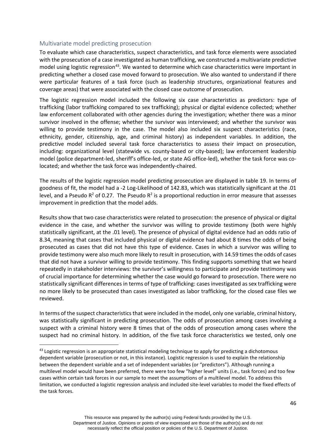#### Multivariate model predicting prosecution

l

To evaluate which case characteristics, suspect characteristics, and task force elements were associated with the prosecution of a case investigated as human trafficking, we constructed a multivariate predictive model using logistic regression<sup>43</sup>. We wanted to determine which case characteristics were important in predicting whether a closed case moved forward to prosecution. We also wanted to understand if there were particular features of a task force (such as leadership structures, organizational features and coverage areas) that were associated with the closed case outcome of prosecution.

The logistic regression model included the following six case characteristics as predictors: type of trafficking (labor trafficking compared to sex trafficking); physical or digital evidence collected; whether law enforcement collaborated with other agencies during the investigation; whether there was a minor survivor involved in the offense; whether the survivor was interviewed; and whether the survivor was willing to provide testimony in the case. The model also included six suspect characteristics (race, ethnicity, gender, citizenship, age, and criminal history) as independent variables. In addition, the predictive model included several task force characteristics to assess their impact on prosecution, including: organizational level (statewide vs. county-based or city-based); law enforcement leadership model (police department-led, sheriff's office-led, or state AG office-led), whether the task force was colocated; and whether the task force was independently-chaired.

The results of the logistic regression model predicting prosecution are displayed in table 19. In terms of goodness of fit, the model had a -2 Log-Likelihood of 142.83, which was statistically significant at the .01 level, and a Pseudo  $R^2$  of 0.27. The Pseudo  $R^2$  is a proportional reduction in error measure that assesses improvement in prediction that the model adds.

Results show that two case characteristics were related to prosecution: the presence of physical or digital evidence in the case, and whether the survivor was willing to provide testimony (both were highly statistically significant, at the .01 level). The presence of physical of digital evidence had an odds ratio of 8.34, meaning that cases that included physical or digital evidence had about 8 times the odds of being prosecuted as cases that did not have this type of evidence. Cases in which a survivor was willing to provide testimony were also much more likely to result in prosecution, with 14.59 times the odds of cases that did not have a survivor willing to provide testimony. This finding supports something that we heard repeatedly in stakeholder interviews: the survivor's willingness to participate and provide testimony was of crucial importance for determining whether the case would go forward to prosecution. There were no statistically significant differences in terms of type of trafficking: cases investigated as sex trafficking were no more likely to be prosecuted than cases investigated as labor trafficking, for the closed case files we reviewed.

In terms of the suspect characteristics that were included in the model, only one variable, criminal history, was statistically significant in predicting prosecution. The odds of prosecution among cases involving a suspect with a criminal history were 8 times that of the odds of prosecution among cases where the suspect had no criminal history. In addition, of the five task force characteristics we tested, only one

<span id="page-49-0"></span> $43$  Logistic regression is an appropriate statistical modeling technique to apply for predicting a dichotomous dependent variable (prosecution or not, in this instance). Logistic regression is used to explain the relationship between the dependent variable and a set of independent variables (or "predictors"). Although running a multilevel model would have been preferred, there were too few "higher level" units (i.e., task forces) and too few cases within certain task forces in our sample to meet the assumptions of a multilevel model. To address this limitation, we conducted a logistic regression analysis and included site-level variables to model the fixed effects of the task forces.

This resource was prepared by the author(s) using Federal funds provided by the U.S. Department of Justice. Opinions or points of view expressed are those of the author(s) and do not necessarily reflect the official position or policies of the U.S. Department of Justice.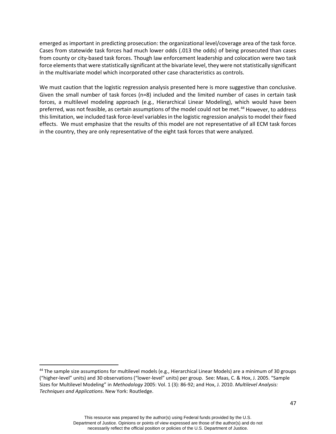emerged as important in predicting prosecution: the organizational level/coverage area of the task force. Cases from statewide task forces had much lower odds (.013 the odds) of being prosecuted than cases from county or city-based task forces. Though law enforcement leadership and colocation were two task force elements that were statistically significant at the bivariate level, they were not statistically significant in the multivariate model which incorporated other case characteristics as controls.

We must caution that the logistic regression analysis presented here is more suggestive than conclusive. Given the small number of task forces (n=8) included and the limited number of cases in certain task forces, a multilevel modeling approach (e.g., Hierarchical Linear Modeling), which would have been preferred, was not feasible, as certain assumptions of the model could not be met.<sup>[44](#page-50-0)</sup> However, to address this limitation, we included task force-level variablesin the logistic regression analysis to model their fixed effects. We must emphasize that the results of this model are not representative of all ECM task forces in the country, they are only representative of the eight task forces that were analyzed.

 $\overline{\phantom{a}}$ 

<span id="page-50-0"></span><sup>&</sup>lt;sup>44</sup> The sample size assumptions for multilevel models (e.g., Hierarchical Linear Models) are a minimum of 30 groups ("higher-level" units) and 30 observations ("lower-level" units) per group. See: Maas, C. & Hox, J. 2005. "Sample Sizes for Multilevel Modeling" in *Methodology* 2005: Vol. 1 (3): 86-92; and Hox, J. 2010. *Multilevel Analysis: Techniques and Applications*. New York: Routledge.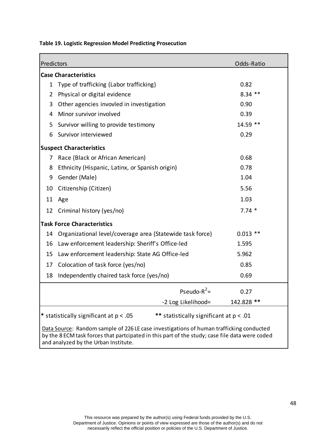| Predictors                                                                                                                                                                                                                        |                                                           | Odds-Ratio |  |  |  |  |
|-----------------------------------------------------------------------------------------------------------------------------------------------------------------------------------------------------------------------------------|-----------------------------------------------------------|------------|--|--|--|--|
| <b>Case Characteristics</b>                                                                                                                                                                                                       |                                                           |            |  |  |  |  |
| 1                                                                                                                                                                                                                                 | Type of trafficking (Labor trafficking)                   | 0.82       |  |  |  |  |
| 2                                                                                                                                                                                                                                 | Physical or digital evidence                              | $8.34$ **  |  |  |  |  |
| 3                                                                                                                                                                                                                                 | Other agencies invovled in investigation                  | 0.90       |  |  |  |  |
| 4                                                                                                                                                                                                                                 | Minor survivor involved                                   | 0.39       |  |  |  |  |
| 5                                                                                                                                                                                                                                 | Survivor willing to provide testimony                     | $14.59$ ** |  |  |  |  |
| 6                                                                                                                                                                                                                                 | Survivor interviewed                                      | 0.29       |  |  |  |  |
| <b>Suspect Characteristics</b>                                                                                                                                                                                                    |                                                           |            |  |  |  |  |
| 7                                                                                                                                                                                                                                 | Race (Black or African American)                          | 0.68       |  |  |  |  |
| 8                                                                                                                                                                                                                                 | Ethnicity (Hispanic, Latinx, or Spanish origin)           | 0.78       |  |  |  |  |
| 9                                                                                                                                                                                                                                 | Gender (Male)                                             | 1.04       |  |  |  |  |
| 10                                                                                                                                                                                                                                | Citizenship (Citizen)                                     | 5.56       |  |  |  |  |
| 11                                                                                                                                                                                                                                | Age                                                       | 1.03       |  |  |  |  |
| 12                                                                                                                                                                                                                                | Criminal history (yes/no)                                 | $7.74*$    |  |  |  |  |
| <b>Task Force Characteristics</b>                                                                                                                                                                                                 |                                                           |            |  |  |  |  |
| 14                                                                                                                                                                                                                                | Organizational level/coverage area (Statewide task force) | $0.013$ ** |  |  |  |  |
| 16                                                                                                                                                                                                                                | Law enforcement leadership: Sheriff's Office-led          | 1.595      |  |  |  |  |
| 15                                                                                                                                                                                                                                | Law enforcement leadership: State AG Office-led           | 5.962      |  |  |  |  |
| 17                                                                                                                                                                                                                                | Colocation of task force (yes/no)                         | 0.85       |  |  |  |  |
| 18                                                                                                                                                                                                                                | Independently chaired task force (yes/no)                 | 0.69       |  |  |  |  |
|                                                                                                                                                                                                                                   | Pseudo- $R^2$ =                                           | 0.27       |  |  |  |  |
|                                                                                                                                                                                                                                   | -2 Log Likelihood=                                        | 142.828 ** |  |  |  |  |
| * statistically significant at p < .05<br>** statistically significant at p < .01                                                                                                                                                 |                                                           |            |  |  |  |  |
| Data Source: Random sample of 226 LE case investigations of human trafficking conducted<br>by the 8 ECM task forces that partcipated in this part of the study; case file data were coded<br>and analyzed by the Urban Institute. |                                                           |            |  |  |  |  |

**Table 19. Logistic Regression Model Predicting Prosecution**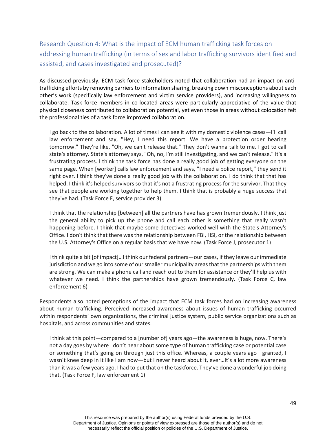Research Question 4: What is the impact of ECM human trafficking task forces on addressing human trafficking (in terms of sex and labor trafficking survivors identified and assisted, and cases investigated and prosecuted)?

As discussed previously, ECM task force stakeholders noted that collaboration had an impact on antitrafficking efforts by removing barriers to information sharing, breaking down misconceptions about each other's work (specifically law enforcement and victim service providers), and increasing willingness to collaborate. Task force members in co-located areas were particularly appreciative of the value that physical closeness contributed to collaboration potential, yet even those in areas without colocation felt the professional ties of a task force improved collaboration.

I go back to the collaboration. A lot of times I can see it with my domestic violence cases—I'll call law enforcement and say, "Hey, I need this report. We have a protection order hearing tomorrow." They're like, "Oh, we can't release that." They don't wanna talk to me. I got to call state's attorney. State's attorney says, "Oh, no, I'm still investigating, and we can't release." It's a frustrating process. I think the task force has done a really good job of getting everyone on the same page. When [worker] calls law enforcement and says, "I need a police report," they send it right over. I think they've done a really good job with the collaboration. I do think that that has helped. I think it's helped survivors so that it's not a frustrating process for the survivor. That they see that people are working together to help them. I think that is probably a huge success that they've had. (Task Force F, service provider 3)

I think that the relationship [between] all the partners have has grown tremendously. I think just the general ability to pick up the phone and call each other is something that really wasn't happening before. I think that maybe some detectives worked well with the State's Attorney's Office. I don't think that there was the relationship between FBI, HSI, or the relationship between the U.S. Attorney's Office on a regular basis that we have now. (Task Force J, prosecutor 1)

I think quite a bit [of impact]…I think our federal partners—our cases, if they leave our immediate jurisdiction and we go into some of our smaller municipality areas that the partnerships with them are strong. We can make a phone call and reach out to them for assistance or they'll help us with whatever we need. I think the partnerships have grown tremendously. (Task Force C, law enforcement 6)

Respondents also noted perceptions of the impact that ECM task forces had on increasing awareness about human trafficking. Perceived increased awareness about issues of human trafficking occurred within respondents' own organizations, the criminal justice system, public service organizations such as hospitals, and across communities and states.

I think at this point—compared to a [number of] years ago—the awareness is huge, now. There's not a day goes by where I don't hear about some type of human trafficking case or potential case or something that's going on through just this office. Whereas, a couple years ago—granted, I wasn't knee deep in it like I am now—but I never heard about it, ever…It's a lot more awareness than it was a few years ago. I had to put that on the taskforce. They've done a wonderful job doing that. (Task Force F, law enforcement 1)

This resource was prepared by the author(s) using Federal funds provided by the U.S. Department of Justice. Opinions or points of view expressed are those of the author(s) and do not necessarily reflect the official position or policies of the U.S. Department of Justice.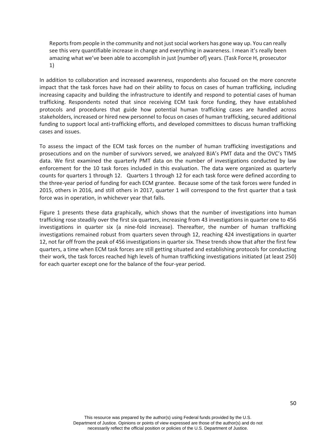Reports from people in the community and not just social workers has gone way up. You can really see this very quantifiable increase in change and everything in awareness. I mean it's really been amazing what we've been able to accomplish in just [number of] years. (Task Force H, prosecutor 1)

In addition to collaboration and increased awareness, respondents also focused on the more concrete impact that the task forces have had on their ability to focus on cases of human trafficking, including increasing capacity and building the infrastructure to identify and respond to potential cases of human trafficking. Respondents noted that since receiving ECM task force funding, they have established protocols and procedures that guide how potential human trafficking cases are handled across stakeholders, increased or hired new personnel to focus on cases of human trafficking, secured additional funding to support local anti-trafficking efforts, and developed committees to discuss human trafficking cases and issues.

To assess the impact of the ECM task forces on the number of human trafficking investigations and prosecutions and on the number of survivors served, we analyzed BJA's PMT data and the OVC's TIMS data. We first examined the quarterly PMT data on the number of investigations conducted by law enforcement for the 10 task forces included in this evaluation. The data were organized as quarterly counts for quarters 1 through 12. Quarters 1 through 12 for each task force were defined according to the three-year period of funding for each ECM grantee. Because some of the task forces were funded in 2015, others in 2016, and still others in 2017, quarter 1 will correspond to the first quarter that a task force was in operation, in whichever year that falls.

Figure 1 presents these data graphically, which shows that the number of investigations into human trafficking rose steadily over the first six quarters, increasing from 43 investigations in quarter one to 456 investigations in quarter six (a nine-fold increase). Thereafter, the number of human trafficking investigations remained robust from quarters seven through 12, reaching 424 investigations in quarter 12, not far off from the peak of 456 investigations in quarter six. These trends show that after the first few quarters, a time when ECM task forces are still getting situated and establishing protocols for conducting their work, the task forces reached high levels of human trafficking investigations initiated (at least 250) for each quarter except one for the balance of the four-year period.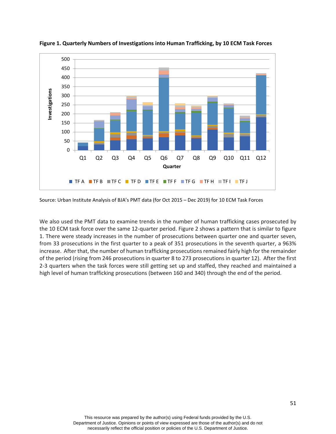

**Figure 1. Quarterly Numbers of Investigations into Human Trafficking, by 10 ECM Task Forces**

Source: Urban Institute Analysis of BJA's PMT data (for Oct 2015 – Dec 2019) for 10 ECM Task Forces

We also used the PMT data to examine trends in the number of human trafficking cases prosecuted by the 10 ECM task force over the same 12-quarter period. Figure 2 shows a pattern that is similar to figure 1. There were steady increases in the number of prosecutions between quarter one and quarter seven, from 33 prosecutions in the first quarter to a peak of 351 prosecutions in the seventh quarter, a 963% increase. After that, the number of human trafficking prosecutions remained fairly high for the remainder of the period (rising from 246 prosecutions in quarter 8 to 273 prosecutions in quarter 12). After the first 2-3 quarters when the task forces were still getting set up and staffed, they reached and maintained a high level of human trafficking prosecutions (between 160 and 340) through the end of the period.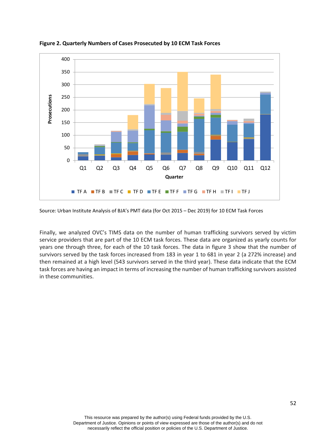

**Figure 2. Quarterly Numbers of Cases Prosecuted by 10 ECM Task Forces**

Finally, we analyzed OVC's TIMS data on the number of human trafficking survivors served by victim service providers that are part of the 10 ECM task forces. These data are organized as yearly counts for years one through three, for each of the 10 task forces. The data in figure 3 show that the number of survivors served by the task forces increased from 183 in year 1 to 681 in year 2 (a 272% increase) and then remained at a high level (543 survivors served in the third year). These data indicate that the ECM task forces are having an impact in terms of increasing the number of human trafficking survivors assisted in these communities.

Source: Urban Institute Analysis of BJA's PMT data (for Oct 2015 – Dec 2019) for 10 ECM Task Forces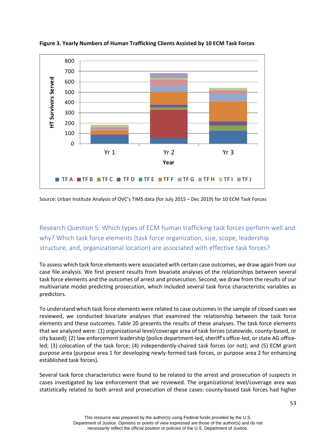

**Figure 3. Yearly Numbers of Human Trafficking Clients Assisted by 10 ECM Task Forces**

Source: Urban Institute Analysis of OVC's TIMS data (for July 2015 – Dec 2019) for 10 ECM Task Forces

Research Question 5: Which types of ECM human trafficking task forces perform well and why? Which task force elements (task force organization, size, scope, leadership structure, and, organizational location) are associated with effective task forces?

To assess which task force elements were associated with certain case outcomes, we draw again from our case file analysis. We first present results from bivariate analyses of the relationships between several task force elements and the outcomes of arrest and prosecution. Second, we draw from the results of our multivariate model predicting prosecution, which included several task force characteristic variables as predictors.

To understand which task force elements were related to case outcomes in the sample of closed cases we reviewed, we conducted bivariate analyses that examined the relationship between the task force elements and these outcomes. Table 20 presents the results of these analyses. The task force elements that we analyzed were: (1) organizational level/coverage area of task forces (statewide, county-based, or city based); (2) law enforcement leadership (police department-led, sheriff's office-led, or state AG officeled; (3) colocation of the task force; (4) independently-chaired task forces (or not); and (5) ECM grant purpose area (purpose area 1 for developing newly-formed task forces, or purpose area 2 for enhancing established task forces).

Several task force characteristics were found to be related to the arrest and prosecution of suspects in cases investigated by law enforcement that we reviewed. The organizational level/coverage area was statistically related to both arrest and prosecution of these cases: county-based task forces had higher

This resource was prepared by the author(s) using Federal funds provided by the U.S. Department of Justice. Opinions or points of view expressed are those of the author(s) and do not necessarily reflect the official position or policies of the U.S. Department of Justice.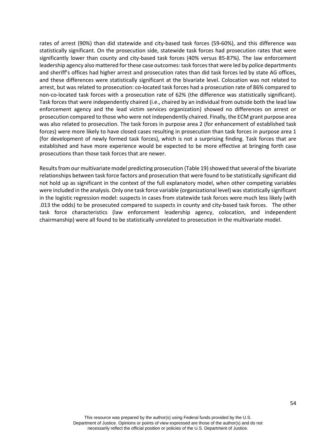rates of arrest (90%) than did statewide and city-based task forces (59-60%), and this difference was statistically significant. On the prosecution side, statewide task forces had prosecution rates that were significantly lower than county and city-based task forces (40% versus 85-87%). The law enforcement leadership agency also mattered for these case outcomes: task forcesthat were led by police departments and sheriff's offices had higher arrest and prosecution rates than did task forces led by state AG offices, and these differences were statistically significant at the bivariate level. Colocation was not related to arrest, but was related to prosecution: co-located task forces had a prosecution rate of 86% compared to non-co-located task forces with a prosecution rate of 62% (the difference was statistically significant). Task forces that were independently chaired (i.e., chaired by an individual from outside both the lead law enforcement agency and the lead victim services organization) showed no differences on arrest or prosecution compared to those who were not independently chaired. Finally, the ECM grant purpose area was also related to prosecution. The task forces in purpose area 2 (for enhancement of established task forces) were more likely to have closed cases resulting in prosecution than task forces in purpose area 1 (for development of newly formed task forces), which is not a surprising finding. Task forces that are established and have more experience would be expected to be more effective at bringing forth case prosecutions than those task forces that are newer.

Results from our multivariate model predicting prosecution (Table 19) showed that several of the bivariate relationships between task force factors and prosecution that were found to be statistically significant did not hold up as significant in the context of the full explanatory model, when other competing variables were included in the analysis. Only one task force variable (organizational level) was statistically significant in the logistic regression model: suspects in cases from statewide task forces were much less likely (with .013 the odds) to be prosecuted compared to suspects in county and city-based task forces. The other task force characteristics (law enforcement leadership agency, colocation, and independent chairmanship) were all found to be statistically unrelated to prosecution in the multivariate model.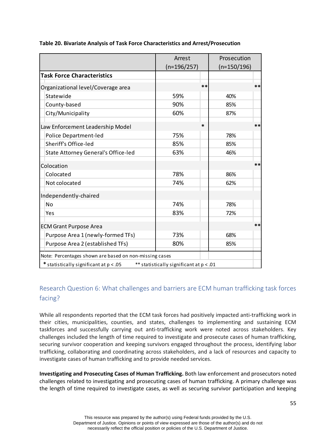|                                                        | Arrest                                  |        | Prosecution   |    |
|--------------------------------------------------------|-----------------------------------------|--------|---------------|----|
|                                                        | $(n=196/257)$                           |        | $(n=150/196)$ |    |
| <b>Task Force Characteristics</b>                      |                                         |        |               |    |
| Organizational level/Coverage area                     |                                         | **     |               | ** |
| Statewide                                              | 59%                                     |        | 40%           |    |
| County-based                                           | 90%                                     |        | 85%           |    |
| City/Municipality                                      | 60%                                     |        | 87%           |    |
| Law Enforcement Leadership Model                       |                                         | $\ast$ |               | ** |
| Police Department-led                                  | 75%                                     |        | 78%           |    |
| Sheriff's Office-led                                   | 85%                                     |        | 85%           |    |
| State Attorney General's Office-led                    | 63%                                     |        | 46%           |    |
| Colocation                                             |                                         |        |               | ** |
| Colocated                                              | 78%                                     |        | 86%           |    |
| Not colocated                                          | 74%                                     |        | 62%           |    |
| Independently-chaired                                  |                                         |        |               |    |
| <b>No</b>                                              | 74%                                     |        | 78%           |    |
| Yes                                                    | 83%                                     |        | 72%           |    |
| <b>ECM Grant Purpose Area</b>                          |                                         |        |               | ** |
| Purpose Area 1 (newly-formed TFs)                      | 73%                                     |        | 68%           |    |
| Purpose Area 2 (established TFs)                       | 80%                                     |        | 85%           |    |
| Note: Percentages shown are based on non-missing cases |                                         |        |               |    |
| * statistically significant at p < .05                 | ** statistically significant at p < .01 |        |               |    |

#### **Table 20. Bivariate Analysis of Task Force Characteristics and Arrest/Prosecution**

# Research Question 6: What challenges and barriers are ECM human trafficking task forces facing?

While all respondents reported that the ECM task forces had positively impacted anti-trafficking work in their cities, municipalities, counties, and states, challenges to implementing and sustaining ECM taskforces and successfully carrying out anti-trafficking work were noted across stakeholders. Key challenges included the length of time required to investigate and prosecute cases of human trafficking, securing survivor cooperation and keeping survivors engaged throughout the process, identifying labor trafficking, collaborating and coordinating across stakeholders, and a lack of resources and capacity to investigate cases of human trafficking and to provide needed services.

**Investigating and Prosecuting Cases of Human Trafficking.** Both law enforcement and prosecutors noted challenges related to investigating and prosecuting cases of human trafficking. A primary challenge was the length of time required to investigate cases, as well as securing survivor participation and keeping

This resource was prepared by the author(s) using Federal funds provided by the U.S. Department of Justice. Opinions or points of view expressed are those of the author(s) and do not necessarily reflect the official position or policies of the U.S. Department of Justice.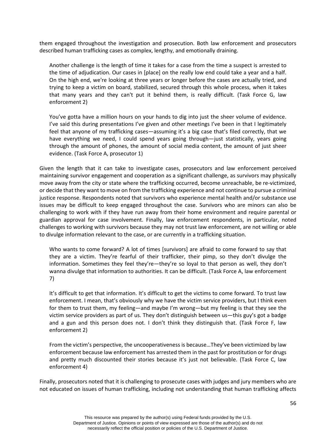them engaged throughout the investigation and prosecution. Both law enforcement and prosecutors described human trafficking cases as complex, lengthy, and emotionally draining.

Another challenge is the length of time it takes for a case from the time a suspect is arrested to the time of adjudication. Our cases in [place] on the really low end could take a year and a half. On the high end, we're looking at three years or longer before the cases are actually tried, and trying to keep a victim on board, stabilized, secured through this whole process, when it takes that many years and they can't put it behind them, is really difficult. (Task Force G, law enforcement 2)

You've gotta have a million hours on your hands to dig into just the sheer volume of evidence. I've said this during presentations I've given and other meetings I've been in that I legitimately feel that anyone of my trafficking cases—assuming it's a big case that's filed correctly, that we have everything we need, I could spend years going through—just statistically, years going through the amount of phones, the amount of social media content, the amount of just sheer evidence. (Task Force A, prosecutor 1)

Given the length that it can take to investigate cases, prosecutors and law enforcement perceived maintaining survivor engagement and cooperation as a significant challenge, as survivors may physically move away from the city or state where the trafficking occurred, become unreachable, be re-victimized, or decide that they want to move on from the trafficking experience and not continue to pursue a criminal justice response. Respondents noted that survivors who experience mental health and/or substance use issues may be difficult to keep engaged throughout the case. Survivors who are minors can also be challenging to work with if they have run away from their home environment and require parental or guardian approval for case involvement. Finally, law enforcement respondents, in particular, noted challenges to working with survivors because they may not trust law enforcement, are not willing or able to divulge information relevant to the case, or are currently in a trafficking situation.

Who wants to come forward? A lot of times [survivors] are afraid to come forward to say that they are a victim. They're fearful of their trafficker, their pimp, so they don't divulge the information. Sometimes they feel they're—they're so loyal to that person as well, they don't wanna divulge that information to authorities. It can be difficult. (Task Force A, law enforcement 7)

It's difficult to get that information. It's difficult to get the victims to come forward. To trust law enforcement. I mean, that's obviously why we have the victim service providers, but I think even for them to trust them, my feeling—and maybe I'm wrong—but my feeling is that they see the victim service providers as part of us. They don't distinguish between us—this guy's got a badge and a gun and this person does not. I don't think they distinguish that. (Task Force F, law enforcement 2)

From the victim's perspective, the uncooperativeness is because…They've been victimized by law enforcement because law enforcement has arrested them in the past for prostitution or for drugs and pretty much discounted their stories because it's just not believable. (Task Force C, law enforcement 4)

Finally, prosecutors noted that it is challenging to prosecute cases with judges and jury members who are not educated on issues of human trafficking, including not understanding that human trafficking affects

This resource was prepared by the author(s) using Federal funds provided by the U.S. Department of Justice. Opinions or points of view expressed are those of the author(s) and do not necessarily reflect the official position or policies of the U.S. Department of Justice.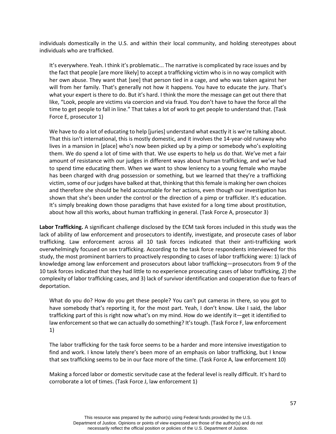individuals domestically in the U.S. and within their local community, and holding stereotypes about individuals who are trafficked.

It's everywhere. Yeah. I think it's problematic... The narrative is complicated by race issues and by the fact that people [are more likely] to accept a trafficking victim who is in no way complicit with her own abuse. They want that [see] that person tied in a cage, and who was taken against her will from her family. That's generally not how it happens. You have to educate the jury. That's what your expert is there to do. But it's hard. I think the more the message can get out there that like, "Look, people are victims via coercion and via fraud. You don't have to have the force all the time to get people to fall in line." That takes a lot of work to get people to understand that. (Task Force E, prosecutor 1)

We have to do a lot of educating to help [juries] understand what exactly it is we're talking about. That this isn't international, this is mostly domestic, and it involves the 14-year-old runaway who lives in a mansion in [place] who's now been picked up by a pimp or somebody who's exploiting them. We do spend a lot of time with that. We use experts to help us do that. We've met a fair amount of resistance with our judges in different ways about human trafficking, and we've had to spend time educating them. When we want to show leniency to a young female who maybe has been charged with drug possession or something, but we learned that they're a trafficking victim, some of our judges have balked at that, thinking that this female is making her own choices and therefore she should be held accountable for her actions, even though our investigation has shown that she's been under the control or the direction of a pimp or trafficker. It's education. It's simply breaking down those paradigms that have existed for a long time about prostitution, about how all this works, about human trafficking in general. (Task Force A, prosecutor 3)

**Labor Trafficking.** A significant challenge disclosed by the ECM task forces included in this study was the lack of ability of law enforcement and prosecutors to identify, investigate, and prosecute cases of labor trafficking. Law enforcement across all 10 task forces indicated that their anti-trafficking work overwhelmingly focused on sex trafficking. According to the task force respondents interviewed for this study, the most prominent barriers to proactively responding to cases of labor trafficking were: 1) lack of knowledge among law enforcement and prosecutors about labor trafficking—prosecutors from 9 of the 10 task forces indicated that they had little to no experience prosecuting cases of labor trafficking, 2) the complexity of labor trafficking cases, and 3) lack of survivor identification and cooperation due to fears of deportation.

What do you do? How do you get these people? You can't put cameras in there, so you got to have somebody that's reporting it, for the most part. Yeah, I don't know. Like I said, the labor trafficking part of this is right now what's on my mind. How do we identify it—get it identified to law enforcement so that we can actually do something? It's tough. (Task Force F, law enforcement 1)

The labor trafficking for the task force seems to be a harder and more intensive investigation to find and work. I know lately there's been more of an emphasis on labor trafficking, but I know that sex trafficking seems to be in our face more of the time. (Task Force A, law enforcement 10)

Making a forced labor or domestic servitude case at the federal level is really difficult. It's hard to corroborate a lot of times. (Task Force J, law enforcement 1)

This resource was prepared by the author(s) using Federal funds provided by the U.S. Department of Justice. Opinions or points of view expressed are those of the author(s) and do not necessarily reflect the official position or policies of the U.S. Department of Justice.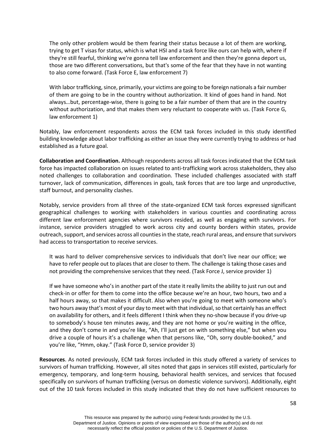The only other problem would be them fearing their status because a lot of them are working, trying to get T visas for status, which is what HSI and a task force like ours can help with, where if they're still fearful, thinking we're gonna tell law enforcement and then they're gonna deport us, those are two different conversations, but that's some of the fear that they have in not wanting to also come forward. (Task Force E, law enforcement 7)

With labor trafficking, since, primarily, your victims are going to be foreign nationals a fair number of them are going to be in the country without authorization. It kind of goes hand in hand. Not always…but, percentage-wise, there is going to be a fair number of them that are in the country without authorization, and that makes them very reluctant to cooperate with us. (Task Force G, law enforcement 1)

Notably, law enforcement respondents across the ECM task forces included in this study identified building knowledge about labor trafficking as either an issue they were currently trying to address or had established as a future goal.

**Collaboration and Coordination.** Although respondents across all task forces indicated that the ECM task force has impacted collaboration on issues related to anti-trafficking work across stakeholders, they also noted challenges to collaboration and coordination. These included challenges associated with staff turnover, lack of communication, differences in goals, task forces that are too large and unproductive, staff burnout, and personality clashes.

Notably, service providers from all three of the state-organized ECM task forces expressed significant geographical challenges to working with stakeholders in various counties and coordinating across different law enforcement agencies where survivors resided, as well as engaging with survivors. For instance, service providers struggled to work across city and county borders within states, provide outreach, support, and services across all counties in the state, reach rural areas, and ensure that survivors had access to transportation to receive services.

It was hard to deliver comprehensive services to individuals that don't live near our office; we have to refer people out to places that are closer to them. The challenge is taking those cases and not providing the comprehensive services that they need. (Task Force J, service provider 1)

If we have someone who's in another part of the state it really limits the ability to just run out and check-in or offer for them to come into the office because we're an hour, two hours, two and a half hours away, so that makes it difficult. Also when you're going to meet with someone who's two hours away that's most of your day to meet with that individual, so that certainly has an effect on availability for others, and it feels different I think when they no-show because if you drive-up to somebody's house ten minutes away, and they are not home or you're waiting in the office, and they don't come in and you're like, "Ah, I'll just get on with something else," but when you drive a couple of hours it's a challenge when that persons like, "Oh, sorry double-booked," and you're like, "Hmm, okay." (Task Force D, service provider 3)

**Resources**. As noted previously, ECM task forces included in this study offered a variety of services to survivors of human trafficking. However, all sites noted that gaps in services still existed, particularly for emergency, temporary, and long-term housing, behavioral health services, and services that focused specifically on survivors of human trafficking (versus on domestic violence survivors). Additionally, eight out of the 10 task forces included in this study indicated that they do not have sufficient resources to

This resource was prepared by the author(s) using Federal funds provided by the U.S. Department of Justice. Opinions or points of view expressed are those of the author(s) and do not necessarily reflect the official position or policies of the U.S. Department of Justice.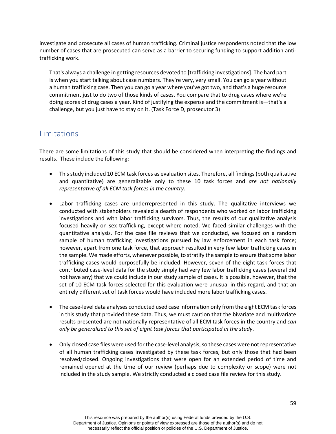investigate and prosecute all cases of human trafficking. Criminal justice respondents noted that the low number of cases that are prosecuted can serve as a barrier to securing funding to support addition antitrafficking work.

That's always a challenge in getting resources devoted to [trafficking investigations]. The hard part is when you start talking about case numbers. They're very, very small. You can go a year without a human trafficking case. Then you can go a year where you've got two, and that's a huge resource commitment just to do two of those kinds of cases. You compare that to drug cases where we're doing scores of drug cases a year. Kind of justifying the expense and the commitment is—that's a challenge, but you just have to stay on it. (Task Force D, prosecutor 3)

# **Limitations**

There are some limitations of this study that should be considered when interpreting the findings and results. These include the following:

- This study included 10 ECM task forces as evaluation sites. Therefore, all findings (both qualitative and quantitative) are generalizable only to these 10 task forces and *are not nationally representative of all ECM task forces in the country*.
- Labor trafficking cases are underrepresented in this study. The qualitative interviews we conducted with stakeholders revealed a dearth of respondents who worked on labor trafficking investigations and with labor trafficking survivors. Thus, the results of our qualitative analysis focused heavily on sex trafficking, except where noted. We faced similar challenges with the quantitative analysis. For the case file reviews that we conducted, we focused on a random sample of human trafficking investigations pursued by law enforcement in each task force; however, apart from one task force, that approach resulted in very few labor trafficking cases in the sample. We made efforts, whenever possible, to stratify the sample to ensure that some labor trafficking cases would purposefully be included. However, seven of the eight task forces that contributed case-level data for the study simply had very few labor trafficking cases (several did not have any) that we could include in our study sample of cases. It is possible, however, that the set of 10 ECM task forces selected for this evaluation were unusual in this regard, and that an entirely different set of task forces would have included more labor trafficking cases.
- The case-level data analyses conducted used case information only from the eight ECM task forces in this study that provided these data. Thus, we must caution that the bivariate and multivariate results presented are not nationally representative of all ECM task forces in the country and *can only be generalized to this set of eight task forces that participated in the study*.
- Only closed case files were used for the case-level analysis, so these cases were not representative of all human trafficking cases investigated by these task forces, but only those that had been resolved/closed. Ongoing investigations that were open for an extended period of time and remained opened at the time of our review (perhaps due to complexity or scope) were not included in the study sample. We strictly conducted a closed case file review for this study.

This resource was prepared by the author(s) using Federal funds provided by the U.S. Department of Justice. Opinions or points of view expressed are those of the author(s) and do not necessarily reflect the official position or policies of the U.S. Department of Justice.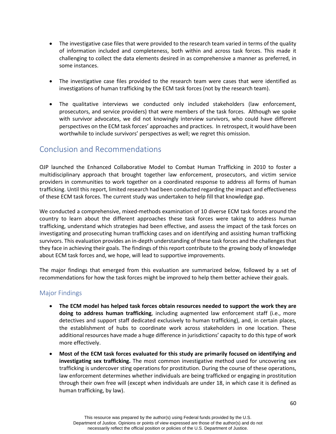- The investigative case files that were provided to the research team varied in terms of the quality of information included and completeness, both within and across task forces. This made it challenging to collect the data elements desired in as comprehensive a manner as preferred, in some instances.
- The investigative case files provided to the research team were cases that were identified as investigations of human trafficking by the ECM task forces (not by the research team).
- The qualitative interviews we conducted only included stakeholders (law enforcement, prosecutors, and service providers) that were members of the task forces. Although we spoke with survivor advocates, we did not knowingly interview survivors, who could have different perspectives on the ECM task forces' approaches and practices. In retrospect, it would have been worthwhile to include survivors' perspectives as well; we regret this omission.

# Conclusion and Recommendations

OJP launched the Enhanced Collaborative Model to Combat Human Trafficking in 2010 to foster a multidisciplinary approach that brought together law enforcement, prosecutors, and victim service providers in communities to work together on a coordinated response to address all forms of human trafficking. Until this report, limited research had been conducted regarding the impact and effectiveness of these ECM task forces. The current study was undertaken to help fill that knowledge gap.

We conducted a comprehensive, mixed-methods examination of 10 diverse ECM task forces around the country to learn about the different approaches these task forces were taking to address human trafficking, understand which strategies had been effective, and assess the impact of the task forces on investigating and prosecuting human trafficking cases and on identifying and assisting human trafficking survivors. This evaluation provides an in-depth understanding of these task forces and the challenges that they face in achieving their goals. The findings of this report contribute to the growing body of knowledge about ECM task forces and, we hope, will lead to supportive improvements.

The major findings that emerged from this evaluation are summarized below, followed by a set of recommendations for how the task forces might be improved to help them better achieve their goals.

## Major Findings

- **The ECM model has helped task forces obtain resources needed to support the work they are doing to address human trafficking**, including augmented law enforcement staff (i.e., more detectives and support staff dedicated exclusively to human trafficking), and, in certain places, the establishment of hubs to coordinate work across stakeholders in one location. These additional resources have made a huge difference in jurisdictions' capacity to do this type of work more effectively.
- **Most of the ECM task forces evaluated for this study are primarily focused on identifying and investigating sex trafficking.** The most common investigative method used for uncovering sex trafficking is undercover sting operations for prostitution. During the course of these operations, law enforcement determines whether individuals are being trafficked or engaging in prostitution through their own free will (except when individuals are under 18, in which case it is defined as human trafficking, by law).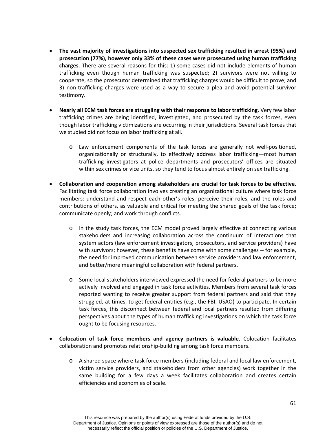- **The vast majority of investigations into suspected sex trafficking resulted in arrest (95%) and prosecution (77%), however only 33% of these cases were prosecuted using human trafficking charges**. There are several reasons for this: 1) some cases did not include elements of human trafficking even though human trafficking was suspected; 2) survivors were not willing to cooperate, so the prosecutor determined that trafficking charges would be difficult to prove; and 3) non-trafficking charges were used as a way to secure a plea and avoid potential survivor testimony.
- **Nearly all ECM task forces are struggling with their response to labor trafficking**. Very few labor trafficking crimes are being identified, investigated, and prosecuted by the task forces, even though labor trafficking victimizations are occurring in their jurisdictions. Several task forces that we studied did not focus on labor trafficking at all.
	- o Law enforcement components of the task forces are generally not well-positioned, organizationally or structurally, to effectively address labor trafficking—most human trafficking investigators at police departments and prosecutors' offices are situated within sex crimes or vice units, so they tend to focus almost entirely on sex trafficking.
- **Collaboration and cooperation among stakeholders are crucial for task forces to be effective**. Facilitating task force collaboration involves creating an organizational culture where task force members: understand and respect each other's roles; perceive their roles, and the roles and contributions of others, as valuable and critical for meeting the shared goals of the task force; communicate openly; and work through conflicts.
	- o In the study task forces, the ECM model proved largely effective at connecting various stakeholders and increasing collaboration across the continuum of interactions that system actors (law enforcement investigators, prosecutors, and service providers) have with survivors; however, these benefits have come with some challenges -- for example, the need for improved communication between service providers and law enforcement, and better/more meaningful collaboration with federal partners.
	- o Some local stakeholders interviewed expressed the need for federal partners to be more actively involved and engaged in task force activities. Members from several task forces reported wanting to receive greater support from federal partners and said that they struggled, at times, to get federal entities (e.g., the FBI, USAO) to participate. In certain task forces, this disconnect between federal and local partners resulted from differing perspectives about the types of human trafficking investigations on which the task force ought to be focusing resources.
- **Colocation of task force members and agency partners is valuable.** Colocation facilitates collaboration and promotes relationship-building among task force members.
	- o A shared space where task force members (including federal and local law enforcement, victim service providers, and stakeholders from other agencies) work together in the same building for a few days a week facilitates collaboration and creates certain efficiencies and economies of scale.

This resource was prepared by the author(s) using Federal funds provided by the U.S. Department of Justice. Opinions or points of view expressed are those of the author(s) and do not necessarily reflect the official position or policies of the U.S. Department of Justice.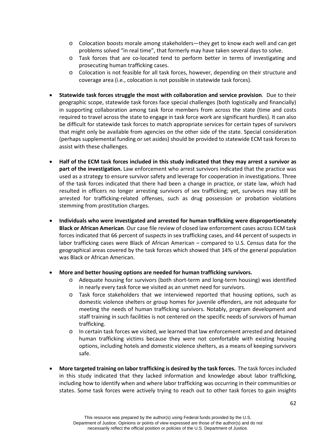- o Colocation boosts morale among stakeholders—they get to know each well and can get problems solved "in real time", that formerly may have taken several days to solve.
- o Task forces that are co-located tend to perform better in terms of investigating and prosecuting human trafficking cases.
- o Colocation is not feasible for all task forces, however, depending on their structure and coverage area (i.e., colocation is not possible in statewide task forces).
- **Statewide task forces struggle the most with collaboration and service provision**. Due to their geographic scope, statewide task forces face special challenges (both logistically and financially) in supporting collaboration among task force members from across the state (time and costs required to travel across the state to engage in task force work are significant hurdles). It can also be difficult for statewide task forces to match appropriate services for certain types of survivors that might only be available from agencies on the other side of the state. Special consideration (perhaps supplemental funding or set asides) should be provided to statewide ECM task forces to assist with these challenges.
- **Half of the ECM task forces included in this study indicated that they may arrest a survivor as part of the investigation.** Law enforcement who arrest survivors indicated that the practice was used as a strategy to ensure survivor safety and leverage for cooperation in investigations. Three of the task forces indicated that there had been a change in practice, or state law, which had resulted in officers no longer arresting survivors of sex trafficking; yet, survivors may still be arrested for trafficking-related offenses, such as drug possession or probation violations stemming from prostitution charges.
- **Individuals who were investigated and arrested for human trafficking were disproportionately Black or African American**. Our case file review of closed law enforcement cases across ECM task forces indicated that 66 percent of suspects in sex trafficking cases, and 44 percent of suspects in labor trafficking cases were Black of African American – compared to U.S. Census data for the geographical areas covered by the task forces which showed that 14% of the general population was Black or African American.
- **More and better housing options are needed for human trafficking survivors.**
	- o Adequate housing for survivors (both short-term and long-term housing) was identified in nearly every task force we visited as an unmet need for survivors.
	- o Task force stakeholders that we interviewed reported that housing options, such as domestic violence shelters or group homes for juvenile offenders, are not adequate for meeting the needs of human trafficking survivors. Notably, program development and staff training in such facilities is not centered on the specific needs of survivors of human trafficking.
	- o In certain task forces we visited, we learned that law enforcement arrested and detained human trafficking victims because they were not comfortable with existing housing options, including hotels and domestic violence shelters, as a means of keeping survivors safe.
- **More targeted training on labor trafficking is desired by the task forces.** The task forces included in this study indicated that they lacked information and knowledge about labor trafficking, including how to identify when and where labor trafficking was occurring in their communities or states. Some task forces were actively trying to reach out to other task forces to gain insights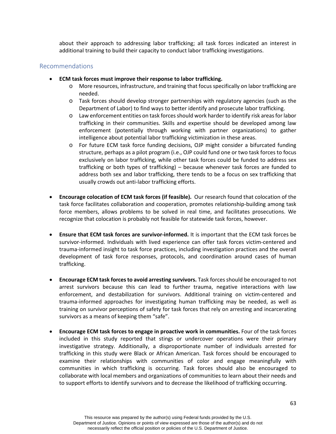about their approach to addressing labor trafficking; all task forces indicated an interest in additional training to build their capacity to conduct labor trafficking investigations.

### Recommendations

- **ECM task forces must improve their response to labor trafficking.**
	- o More resources, infrastructure, and training that focus specifically on labor trafficking are needed.
	- o Task forces should develop stronger partnerships with regulatory agencies (such as the Department of Labor) to find ways to better identify and prosecute labor trafficking.
	- o Law enforcement entities on task forces should work harder to identify risk areas for labor trafficking in their communities. Skills and expertise should be developed among law enforcement (potentially through working with partner organizations) to gather intelligence about potential labor trafficking victimization in these areas.
	- o For future ECM task force funding decisions, OJP might consider a bifurcated funding structure, perhaps as a pilot program (i.e., OJP could fund one or two task forces to focus exclusively on labor trafficking, while other task forces could be funded to address sex trafficking or both types of trafficking) – because whenever task forces are funded to address both sex and labor trafficking, there tends to be a focus on sex trafficking that usually crowds out anti-labor trafficking efforts.
- **Encourage colocation of ECM task forces (if feasible).** Our research found that colocation of the task force facilitates collaboration and cooperation, promotes relationship-building among task force members, allows problems to be solved in real time, and facilitates prosecutions. We recognize that colocation is probably not feasible for statewide task forces, however.
- **Ensure that ECM task forces are survivor-informed.** It is important that the ECM task forces be survivor-informed. Individuals with lived experience can offer task forces victim-centered and trauma-informed insight to task force practices, including investigation practices and the overall development of task force responses, protocols, and coordination around cases of human trafficking.
- **Encourage ECM task forces to avoid arresting survivors.** Task forces should be encouraged to not arrest survivors because this can lead to further trauma, negative interactions with law enforcement, and destabilization for survivors. Additional training on victim-centered and trauma-informed approaches for investigating human trafficking may be needed, as well as training on survivor perceptions of safety for task forces that rely on arresting and incarcerating survivors as a means of keeping them "safe".
- **Encourage ECM task forces to engage in proactive work in communities.** Four of the task forces included in this study reported that stings or undercover operations were their primary investigative strategy. Additionally, a disproportionate number of individuals arrested for trafficking in this study were Black or African American. Task forces should be encouraged to examine their relationships with communities of color and engage meaningfully with communities in which trafficking is occurring. Task forces should also be encouraged to collaborate with local members and organizations of communities to learn about their needs and to support efforts to identify survivors and to decrease the likelihood of trafficking occurring.

This resource was prepared by the author(s) using Federal funds provided by the U.S. Department of Justice. Opinions or points of view expressed are those of the author(s) and do not necessarily reflect the official position or policies of the U.S. Department of Justice.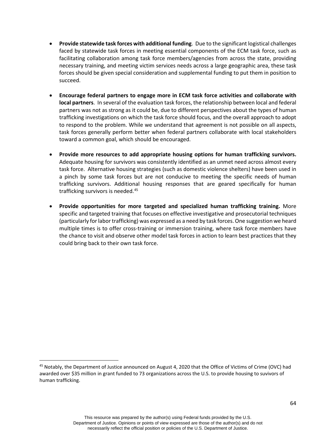- **Provide statewide task forces with additional funding**. Due to the significant logistical challenges faced by statewide task forces in meeting essential components of the ECM task force, such as facilitating collaboration among task force members/agencies from across the state, providing necessary training, and meeting victim services needs across a large geographic area, these task forces should be given special consideration and supplemental funding to put them in position to succeed.
- **Encourage federal partners to engage more in ECM task force activities and collaborate with local partners**. In several of the evaluation task forces, the relationship between local and federal partners was not as strong as it could be, due to different perspectives about the types of human trafficking investigations on which the task force should focus, and the overall approach to adopt to respond to the problem. While we understand that agreement is not possible on all aspects, task forces generally perform better when federal partners collaborate with local stakeholders toward a common goal, which should be encouraged.
- **Provide more resources to add appropriate housing options for human trafficking survivors.**  Adequate housing for survivors was consistently identified as an unmet need across almost every task force. Alternative housing strategies (such as domestic violence shelters) have been used in a pinch by some task forces but are not conducive to meeting the specific needs of human trafficking survivors. Additional housing responses that are geared specifically for human trafficking survivors is needed. [45](#page-67-0)
- **Provide opportunities for more targeted and specialized human trafficking training.** More specific and targeted training that focuses on effective investigative and prosecutorial techniques (particularly for labor trafficking) was expressed as a need by task forces. One suggestion we heard multiple times is to offer cross-training or immersion training, where task force members have the chance to visit and observe other model task forces in action to learn best practices that they could bring back to their own task force.

l

<span id="page-67-0"></span><sup>&</sup>lt;sup>45</sup> Notably, the Department of Justice announced on August 4, 2020 that the Office of Victims of Crime (OVC) had awarded over \$35 million in grant funded to 73 organizations across the U.S. to provide housing to suvivors of human trafficking.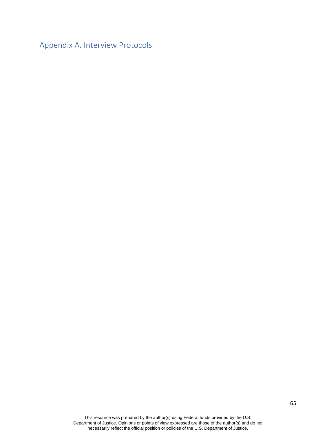Appendix A. Interview Protocols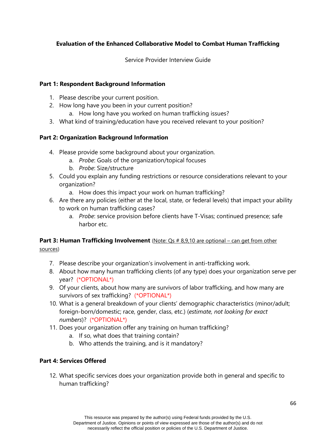# **Evaluation of the Enhanced Collaborative Model to Combat Human Trafficking**

Service Provider Interview Guide

## **Part 1: Respondent Background Information**

- 1. Please describe your current position.
- 2. How long have you been in your current position?
	- a. How long have you worked on human trafficking issues?
- 3. What kind of training/education have you received relevant to your position?

## **Part 2: Organization Background Information**

- 4. Please provide some background about your organization.
	- a. *Probe*: Goals of the organization/topical focuses
	- b. *Probe*: Size/structure
- 5. Could you explain any funding restrictions or resource considerations relevant to your organization?
	- a. How does this impact your work on human trafficking?
- 6. Are there any policies (either at the local, state, or federal levels) that impact your ability to work on human trafficking cases?
	- a. *Probe*: service provision before clients have T-Visas; continued presence; safe harbor etc.

### **Part 3: Human Trafficking Involvement** (Note: Qs # 8,9,10 are optional – can get from other sources)

- 7. Please describe your organization's involvement in anti-trafficking work.
- 8. About how many human trafficking clients (of any type) does your organization serve per year? (\*OPTIONAL\*)
- 9. Of your clients, about how many are survivors of labor trafficking, and how many are survivors of sex trafficking? (\*OPTIONAL\*)
- 10. What is a general breakdown of your clients' demographic characteristics (minor/adult; foreign-born/domestic; race, gender, class, etc.) (*estimate, not looking for exact numbers*)? (\*OPTIONAL\*)
- 11. Does your organization offer any training on human trafficking?
	- a. If so, what does that training contain?
	- b. Who attends the training, and is it mandatory?

# **Part 4: Services Offered**

12. What specific services does your organization provide both in general and specific to human trafficking?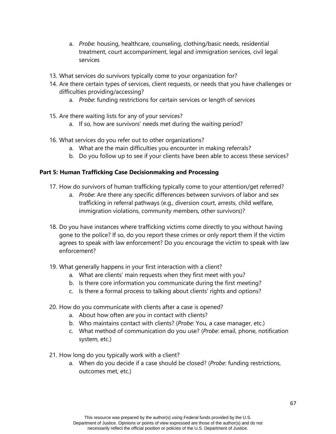- a. *Probe*: housing, healthcare, counseling, clothing/basic needs, residential treatment, court accompaniment, legal and immigration services, civil legal services
- 13. What services do survivors typically come to your organization for?
- 14. Are there certain types of services, client requests, or needs that you have challenges or difficulties providing/accessing?
	- a. *Probe*: funding restrictions for certain services or length of services
- 15. Are there waiting lists for any of your services?
	- a. If so, how are survivors' needs met during the waiting period?
- 16. What services do you refer out to other organizations?
	- a. What are the main difficulties you encounter in making referrals?
	- b. Do you follow up to see if your clients have been able to access these services?

### **Part 5: Human Trafficking Case Decisionmaking and Processing**

- 17. How do survivors of human trafficking typically come to your attention/get referred?
	- a. *Probe*: Are there any specific differences between survivors of labor and sex trafficking in referral pathways (e.g., diversion court, arrests, child welfare, immigration violations, community members, other survivors)?
- 18. Do you have instances where trafficking victims come directly to you without having gone to the police? If so, do you report these crimes or only report them if the victim agrees to speak with law enforcement? Do you encourage the victim to speak with law enforcement?
- 19. What generally happens in your first interaction with a client?
	- a. What are clients' main requests when they first meet with you?
	- b. Is there core information you communicate during the first meeting?
	- c. Is there a formal process to talking about clients' rights and options?
- 20. How do you communicate with clients after a case is opened?
	- a. About how often are you in contact with clients?
	- b. Who maintains contact with clients? (*Probe*: You, a case manager, etc.)
	- c. What method of communication do you use? (*Probe*: email, phone, notification system, etc.)
- 21. How long do you typically work with a client?
	- a. When do you decide if a case should be closed? (*Probe*: funding restrictions, outcomes met, etc.)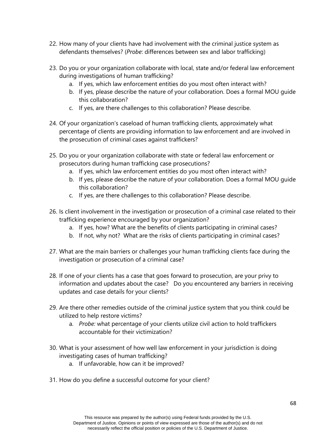- 22. How many of your clients have had involvement with the criminal justice system as defendants themselves? (*Probe*: differences between sex and labor trafficking)
- 23. Do you or your organization collaborate with local, state and/or federal law enforcement during investigations of human trafficking?
	- a. If yes, which law enforcement entities do you most often interact with?
	- b. If yes, please describe the nature of your collaboration. Does a formal MOU guide this collaboration?
	- c. If yes, are there challenges to this collaboration? Please describe.
- 24. Of your organization's caseload of human trafficking clients, approximately what percentage of clients are providing information to law enforcement and are involved in the prosecution of criminal cases against traffickers?
- 25. Do you or your organization collaborate with state or federal law enforcement or prosecutors during human trafficking case prosecutions?
	- a. If yes, which law enforcement entities do you most often interact with?
	- b. If yes, please describe the nature of your collaboration. Does a formal MOU guide this collaboration?
	- c. If yes, are there challenges to this collaboration? Please describe.
- 26. Is client involvement in the investigation or prosecution of a criminal case related to their trafficking experience encouraged by your organization?
	- a. If yes, how? What are the benefits of clients participating in criminal cases?
	- b. If not, why not? What are the risks of clients participating in criminal cases?
- 27. What are the main barriers or challenges your human trafficking clients face during the investigation or prosecution of a criminal case?
- 28. If one of your clients has a case that goes forward to prosecution, are your privy to information and updates about the case? Do you encountered any barriers in receiving updates and case details for your clients?
- 29. Are there other remedies outside of the criminal justice system that you think could be utilized to help restore victims?
	- a. *Probe:* what percentage of your clients utilize civil action to hold traffickers accountable for their victimization?
- 30. What is your assessment of how well law enforcement in your jurisdiction is doing investigating cases of human trafficking?
	- a. If unfavorable, how can it be improved?
- 31. How do you define a successful outcome for your client?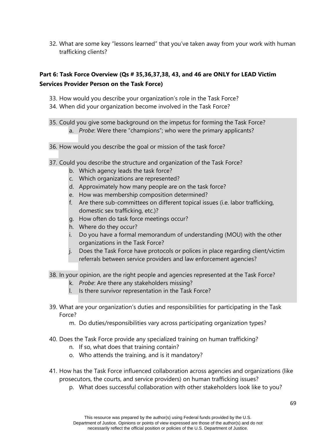32. What are some key "lessons learned" that you've taken away from your work with human trafficking clients?

# **Part 6: Task Force Overview (Qs # 35,36,37,38, 43, and 46 are ONLY for LEAD Victim Services Provider Person on the Task Force)**

- 33. How would you describe your organization's role in the Task Force?
- 34. When did your organization become involved in the Task Force?
- 35. Could you give some background on the impetus for forming the Task Force? a. *Probe*: Were there "champions"; who were the primary applicants?
- 36. How would you describe the goal or mission of the task force?
- 37. Could you describe the structure and organization of the Task Force?
	- b. Which agency leads the task force?
	- c. Which organizations are represented?
	- d. Approximately how many people are on the task force?
	- e. How was membership composition determined?
	- f. Are there sub-committees on different topical issues (i.e. labor trafficking, domestic sex trafficking, etc.)?
	- g. How often do task force meetings occur?
	- h. Where do they occur?
	- i. Do you have a formal memorandum of understanding (MOU) with the other organizations in the Task Force?
	- j. Does the Task Force have protocols or polices in place regarding client/victim referrals between service providers and law enforcement agencies?
- 38. In your opinion, are the right people and agencies represented at the Task Force?
	- k. *Probe*: Are there any stakeholders missing?
	- l. Is there survivor representation in the Task Force?
- 39. What are your organization's duties and responsibilities for participating in the Task Force?
	- m. Do duties/responsibilities vary across participating organization types?
- 40. Does the Task Force provide any specialized training on human trafficking?
	- n. If so, what does that training contain?
	- o. Who attends the training, and is it mandatory?
- 41. How has the Task Force influenced collaboration across agencies and organizations (like prosecutors, the courts, and service providers) on human trafficking issues?
	- p. What does successful collaboration with other stakeholders look like to you?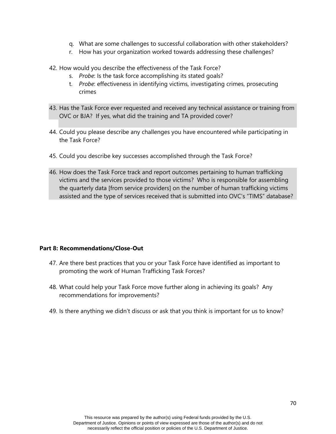- q. What are some challenges to successful collaboration with other stakeholders?
- r. How has your organization worked towards addressing these challenges?
- 42. How would you describe the effectiveness of the Task Force?
	- s. *Probe*: Is the task force accomplishing its stated goals?
	- t. *Probe*: effectiveness in identifying victims, investigating crimes, prosecuting crimes
- 43. Has the Task Force ever requested and received any technical assistance or training from OVC or BJA? If yes, what did the training and TA provided cover?
- 44. Could you please describe any challenges you have encountered while participating in the Task Force?
- 45. Could you describe key successes accomplished through the Task Force?
- 46. How does the Task Force track and report outcomes pertaining to human trafficking victims and the services provided to those victims? Who is responsible for assembling the quarterly data [from service providers] on the number of human trafficking victims assisted and the type of services received that is submitted into OVC's "TIMS" database?

#### **Part 8: Recommendations/Close-Out**

- 47. Are there best practices that you or your Task Force have identified as important to promoting the work of Human Trafficking Task Forces?
- 48. What could help your Task Force move further along in achieving its goals? Any recommendations for improvements?
- 49. Is there anything we didn't discuss or ask that you think is important for us to know?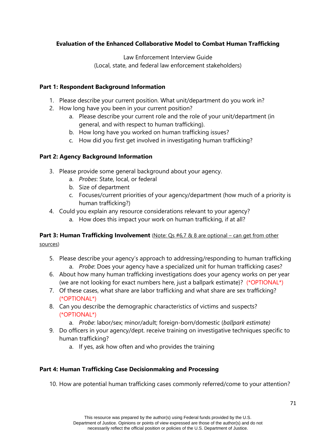# **Evaluation of the Enhanced Collaborative Model to Combat Human Trafficking**

Law Enforcement Interview Guide (Local, state, and federal law enforcement stakeholders)

## **Part 1: Respondent Background Information**

- 1. Please describe your current position. What unit/department do you work in?
- 2. How long have you been in your current position?
	- a. Please describe your current role and the role of your unit/department (in general, and with respect to human trafficking).
	- b. How long have you worked on human trafficking issues?
	- c. How did you first get involved in investigating human trafficking?

## **Part 2: Agency Background Information**

- 3. Please provide some general background about your agency.
	- a. *Probes*: State, local, or federal
	- b. Size of department
	- c. Focuses/current priorities of your agency/department (how much of a priority is human trafficking?)
- 4. Could you explain any resource considerations relevant to your agency?
	- a. How does this impact your work on human trafficking, if at all?

## **Part 3: Human Trafficking Involvement** (Note: Qs #6,7 & 8 are optional – can get from other sources)

- 5. Please describe your agency's approach to addressing/responding to human trafficking a. *Probe*: Does your agency have a specialized unit for human trafficking cases?
- 6. About how many human trafficking investigations does your agency works on per year (we are not looking for exact numbers here, just a ballpark estimate)? (\*OPTIONAL\*)
- 7. Of these cases, what share are labor trafficking and what share are sex trafficking? (\*OPTIONAL\*)
- 8. Can you describe the demographic characteristics of victims and suspects? (\*OPTIONAL\*)
	- a. *Probe*: labor/sex; minor/adult; foreign-born/domestic (*ballpark estimate)*
- 9. Do officers in your agency/dept. receive training on investigative techniques specific to human trafficking?
	- a. If yes, ask how often and who provides the training

# **Part 4: Human Trafficking Case Decisionmaking and Processing**

10. How are potential human trafficking cases commonly referred/come to your attention?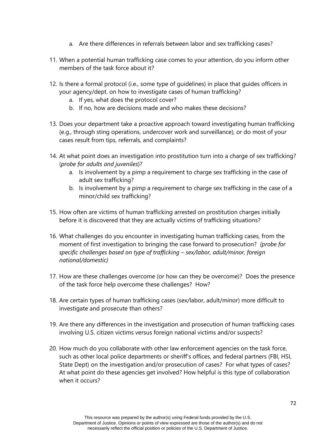- a. Are there differences in referrals between labor and sex trafficking cases?
- 11. When a potential human trafficking case comes to your attention, do you inform other members of the task force about it?
- 12. Is there a formal protocol (i.e., some type of guidelines) in place that guides officers in your agency/dept. on how to investigate cases of human trafficking?
	- a. If yes, what does the protocol cover?
	- b. If no, how are decisions made and who makes these decisions?
- 13. Does your department take a proactive approach toward investigating human trafficking (e.g., through sting operations, undercover work and surveillance), or do most of your cases result from tips, referrals, and complaints?
- 14. At what point does an investigation into prostitution turn into a charge of sex trafficking? (*probe for adults and juveniles*)?
	- a. Is involvement by a pimp a requirement to charge sex trafficking in the case of adult sex trafficking?
	- b. Is involvement by a pimp a requirement to charge sex trafficking in the case of a minor/child sex trafficking?
- 15. How often are victims of human trafficking arrested on prostitution charges initially before it is discovered that they are actually victims of trafficking situations?
- 16. What challenges do you encounter in investigating human trafficking cases, from the moment of first investigation to bringing the case forward to prosecution? *(probe for specific challenges based on type of trafficking – sex/labor, adult/minor, foreign national/domestic)*
- 17. How are these challenges overcome (or how can they be overcome)? Does the presence of the task force help overcome these challenges? How?
- 18. Are certain types of human trafficking cases (sex/labor, adult/minor) more difficult to investigate and prosecute than others?
- 19. Are there any differences in the investigation and prosecution of human trafficking cases involving U.S. citizen victims versus foreign national victims and/or suspects?
- 20. How much do you collaborate with other law enforcement agencies on the task force, such as other local police departments or sheriff's offices, and federal partners (FBI, HSI, State Dept) on the investigation and/or prosecution of cases? For what types of cases? At what point do these agencies get involved? How helpful is this type of collaboration when it occurs?

This resource was prepared by the author(s) using Federal funds provided by the U.S. Department of Justice. Opinions or points of view expressed are those of the author(s) and do not necessarily reflect the official position or policies of the U.S. Department of Justice.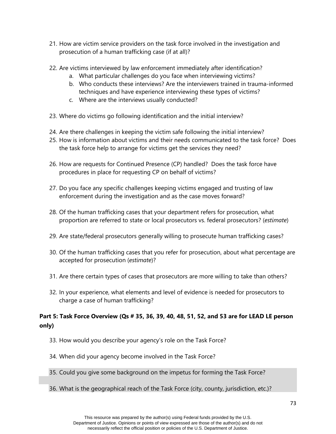- 21. How are victim service providers on the task force involved in the investigation and prosecution of a human trafficking case (if at all)?
- 22. Are victims interviewed by law enforcement immediately after identification?
	- a. What particular challenges do you face when interviewing victims?
	- b. Who conducts these interviews? Are the interviewers trained in trauma-informed techniques and have experience interviewing these types of victims?
	- c. Where are the interviews usually conducted?
- 23. Where do victims go following identification and the initial interview?
- 24. Are there challenges in keeping the victim safe following the initial interview?
- 25. How is information about victims and their needs communicated to the task force? Does the task force help to arrange for victims get the services they need?
- 26. How are requests for Continued Presence (CP) handled? Does the task force have procedures in place for requesting CP on behalf of victims?
- 27. Do you face any specific challenges keeping victims engaged and trusting of law enforcement during the investigation and as the case moves forward?
- 28. Of the human trafficking cases that your department refers for prosecution, what proportion are referred to state or local prosecutors vs. federal prosecutors? (*estimate*)
- 29. Are state/federal prosecutors generally willing to prosecute human trafficking cases?
- 30. Of the human trafficking cases that you refer for prosecution, about what percentage are accepted for prosecution (*estimate*)?
- 31. Are there certain types of cases that prosecutors are more willing to take than others?
- 32. In your experience, what elements and level of evidence is needed for prosecutors to charge a case of human trafficking?

# **Part 5: Task Force Overview (Qs # 35, 36, 39, 40, 48, 51, 52, and 53 are for LEAD LE person only)**

- 33. How would you describe your agency's role on the Task Force?
- 34. When did your agency become involved in the Task Force?
- 35. Could you give some background on the impetus for forming the Task Force?
- 36. What is the geographical reach of the Task Force (city, county, jurisdiction, etc.)?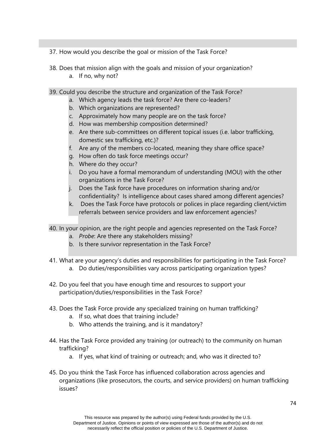- 37. How would you describe the goal or mission of the Task Force?
- 38. Does that mission align with the goals and mission of your organization?
	- a. If no, why not?
- 39. Could you describe the structure and organization of the Task Force?
	- a. Which agency leads the task force? Are there co-leaders?
	- b. Which organizations are represented?
	- c. Approximately how many people are on the task force?
	- d. How was membership composition determined?
	- e. Are there sub-committees on different topical issues (i.e. labor trafficking, domestic sex trafficking, etc.)?
	- f. Are any of the members co-located, meaning they share office space?
	- g. How often do task force meetings occur?
	- h. Where do they occur?
	- i. Do you have a formal memorandum of understanding (MOU) with the other organizations in the Task Force?
	- j. Does the Task force have procedures on information sharing and/or confidentiality? Is intelligence about cases shared among different agencies?
	- k. Does the Task Force have protocols or polices in place regarding client/victim referrals between service providers and law enforcement agencies?
- 40. In your opinion, are the right people and agencies represented on the Task Force?
	- a. *Probe*: Are there any stakeholders missing?
	- b. Is there survivor representation in the Task Force?
- 41. What are your agency's duties and responsibilities for participating in the Task Force? a. Do duties/responsibilities vary across participating organization types?
- 42. Do you feel that you have enough time and resources to support your participation/duties/responsibilities in the Task Force?
- 43. Does the Task Force provide any specialized training on human trafficking?
	- a. If so, what does that training include?
	- b. Who attends the training, and is it mandatory?
- 44. Has the Task Force provided any training (or outreach) to the community on human trafficking?
	- a. If yes, what kind of training or outreach; and, who was it directed to?
- 45. Do you think the Task Force has influenced collaboration across agencies and organizations (like prosecutors, the courts, and service providers) on human trafficking issues?

This resource was prepared by the author(s) using Federal funds provided by the U.S. Department of Justice. Opinions or points of view expressed are those of the author(s) and do not necessarily reflect the official position or policies of the U.S. Department of Justice.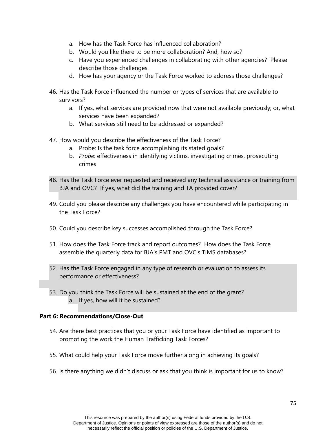- a. How has the Task Force has influenced collaboration?
- b. Would you like there to be more collaboration? And, how so?
- c. Have you experienced challenges in collaborating with other agencies? Please describe those challenges.
- d. How has your agency or the Task Force worked to address those challenges?
- 46. Has the Task Force influenced the number or types of services that are available to survivors?
	- a. If yes, what services are provided now that were not available previously; or, what services have been expanded?
	- b. What services still need to be addressed or expanded?
- 47. How would you describe the effectiveness of the Task Force?
	- a. Probe: Is the task force accomplishing its stated goals?
	- b. *Probe*: effectiveness in identifying victims, investigating crimes, prosecuting crimes
- 48. Has the Task Force ever requested and received any technical assistance or training from BJA and OVC? If yes, what did the training and TA provided cover?
- 49. Could you please describe any challenges you have encountered while participating in the Task Force?
- 50. Could you describe key successes accomplished through the Task Force?
- 51. How does the Task Force track and report outcomes? How does the Task Force assemble the quarterly data for BJA's PMT and OVC's TIMS databases?
- 52. Has the Task Force engaged in any type of research or evaluation to assess its performance or effectiveness?
- 53. Do you think the Task Force will be sustained at the end of the grant? a. If yes, how will it be sustained?

## **Part 6: Recommendations/Close-Out**

- 54. Are there best practices that you or your Task Force have identified as important to promoting the work the Human Trafficking Task Forces?
- 55. What could help your Task Force move further along in achieving its goals?
- 56. Is there anything we didn't discuss or ask that you think is important for us to know?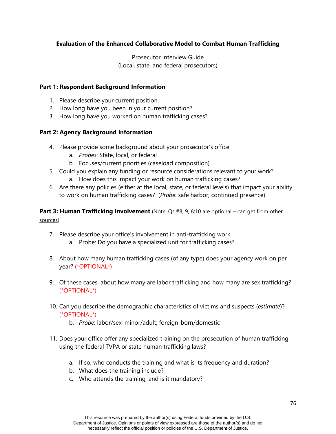## **Evaluation of the Enhanced Collaborative Model to Combat Human Trafficking**

Prosecutor Interview Guide (Local, state, and federal prosecutors)

#### **Part 1: Respondent Background Information**

- 1. Please describe your current position.
- 2. How long have you been in your current position?
- 3. How long have you worked on human trafficking cases?

## **Part 2: Agency Background Information**

- 4. Please provide some background about your prosecutor's office.
	- a. *Probes*: State, local, or federal
	- b. Focuses/current priorities (caseload composition)
- 5. Could you explain any funding or resource considerations relevant to your work? a. How does this impact your work on human trafficking cases?
- 6. Are there any policies (either at the local, state, or federal levels) that impact your ability to work on human trafficking cases? (*Probe*: safe harbor; continued presence)

## **Part 3: Human Trafficking Involvement** (Note: Qs #8, 9, & 10 are optional – can get from other sources)

- 7. Please describe your office's involvement in anti-trafficking work.
	- a. Probe: Do you have a specialized unit for trafficking cases?
- 8. About how many human trafficking cases (of any type) does your agency work on per year? (\*OPTIONAL\*)
- 9. Of these cases, about how many are labor trafficking and how many are sex trafficking? (\*OPTIONAL\*)
- 10. Can you describe the demographic characteristics of victims and suspects (*estimate*)? (\*OPTIONAL\*)
	- b. *Probe*: labor/sex; minor/adult; foreign-born/domestic
- 11. Does your office offer any specialized training on the prosecution of human trafficking using the federal TVPA or state human trafficking laws?
	- a. If so, who conducts the training and what is its frequency and duration?
	- b. What does the training include?
	- c. Who attends the training, and is it mandatory?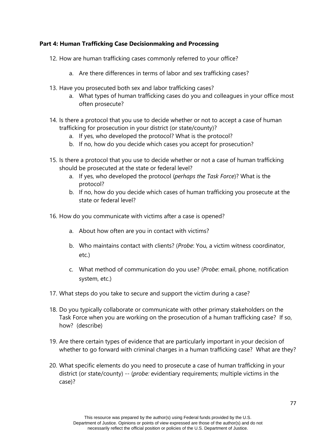## **Part 4: Human Trafficking Case Decisionmaking and Processing**

- 12. How are human trafficking cases commonly referred to your office?
	- a. Are there differences in terms of labor and sex trafficking cases?
- 13. Have you prosecuted both sex and labor trafficking cases?
	- a. What types of human trafficking cases do you and colleagues in your office most often prosecute?
- 14. Is there a protocol that you use to decide whether or not to accept a case of human trafficking for prosecution in your district (or state/county)?
	- a. If yes, who developed the protocol? What is the protocol?
	- b. If no, how do you decide which cases you accept for prosecution?
- 15. Is there a protocol that you use to decide whether or not a case of human trafficking should be prosecuted at the state or federal level?
	- a. If yes, who developed the protocol (*perhaps the Task Force*)? What is the protocol?
	- b. If no, how do you decide which cases of human trafficking you prosecute at the state or federal level?
- 16. How do you communicate with victims after a case is opened?
	- a. About how often are you in contact with victims?
	- b. Who maintains contact with clients? (*Probe*: You, a victim witness coordinator, etc.)
	- c. What method of communication do you use? (*Probe*: email, phone, notification system, etc.)
- 17. What steps do you take to secure and support the victim during a case?
- 18. Do you typically collaborate or communicate with other primary stakeholders on the Task Force when you are working on the prosecution of a human trafficking case? If so, how? (describe)
- 19. Are there certain types of evidence that are particularly important in your decision of whether to go forward with criminal charges in a human trafficking case? What are they?
- 20. What specific elements do you need to prosecute a case of human trafficking in your district (or state/county) -- (*probe:* evidentiary requirements; multiple victims in the case)?

This resource was prepared by the author(s) using Federal funds provided by the U.S. Department of Justice. Opinions or points of view expressed are those of the author(s) and do not necessarily reflect the official position or policies of the U.S. Department of Justice.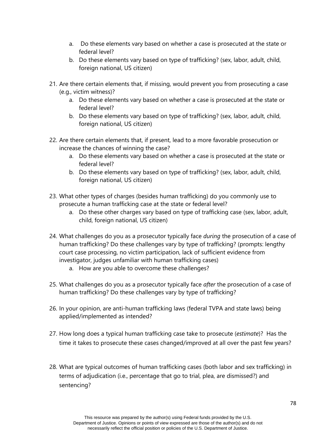- a. Do these elements vary based on whether a case is prosecuted at the state or federal level?
- b. Do these elements vary based on type of trafficking? (sex, labor, adult, child, foreign national, US citizen)
- 21. Are there certain elements that, if missing, would prevent you from prosecuting a case (e.g., victim witness)?
	- a. Do these elements vary based on whether a case is prosecuted at the state or federal level?
	- b. Do these elements vary based on type of trafficking? (sex, labor, adult, child, foreign national, US citizen)
- 22. Are there certain elements that, if present, lead to a more favorable prosecution or increase the chances of winning the case?
	- a. Do these elements vary based on whether a case is prosecuted at the state or federal level?
	- b. Do these elements vary based on type of trafficking? (sex, labor, adult, child, foreign national, US citizen)
- 23. What other types of charges (besides human trafficking) do you commonly use to prosecute a human trafficking case at the state or federal level?
	- a. Do these other charges vary based on type of trafficking case (sex, labor, adult, child, foreign national, US citizen)
- 24. What challenges do you as a prosecutor typically face *during* the prosecution of a case of human trafficking? Do these challenges vary by type of trafficking? (prompts: lengthy court case processing, no victim participation, lack of sufficient evidence from investigator, judges unfamiliar with human trafficking cases)
	- a. How are you able to overcome these challenges?
- 25. What challenges do you as a prosecutor typically face *after* the prosecution of a case of human trafficking? Do these challenges vary by type of trafficking?
- 26. In your opinion, are anti-human trafficking laws (federal TVPA and state laws) being applied/implemented as intended?
- 27. How long does a typical human trafficking case take to prosecute (*estimate*)? Has the time it takes to prosecute these cases changed/improved at all over the past few years?
- 28. What are typical outcomes of human trafficking cases (both labor and sex trafficking) in terms of adjudication (i.e., percentage that go to trial, plea, are dismissed?) and sentencing?

This resource was prepared by the author(s) using Federal funds provided by the U.S. Department of Justice. Opinions or points of view expressed are those of the author(s) and do not necessarily reflect the official position or policies of the U.S. Department of Justice.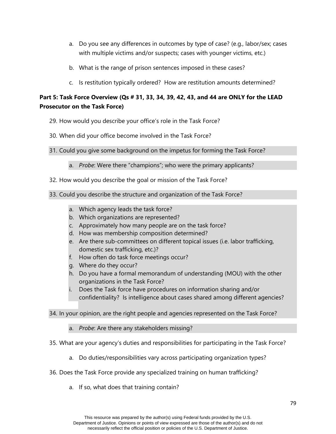- a. Do you see any differences in outcomes by type of case? (e.g., labor/sex; cases with multiple victims and/or suspects; cases with younger victims, etc.)
- b. What is the range of prison sentences imposed in these cases?
- c. Is restitution typically ordered? How are restitution amounts determined?

# **Part 5: Task Force Overview (Qs # 31, 33, 34, 39, 42, 43, and 44 are ONLY for the LEAD Prosecutor on the Task Force)**

- 29. How would you describe your office's role in the Task Force?
- 30. When did your office become involved in the Task Force?
- 31. Could you give some background on the impetus for forming the Task Force?
	- a. *Probe*: Were there "champions"; who were the primary applicants?
- 32. How would you describe the goal or mission of the Task Force?
- 33. Could you describe the structure and organization of the Task Force?
	- a. Which agency leads the task force?
	- b. Which organizations are represented?
	- c. Approximately how many people are on the task force?
	- d. How was membership composition determined?
	- e. Are there sub-committees on different topical issues (i.e. labor trafficking, domestic sex trafficking, etc.)?
	- f. How often do task force meetings occur?
	- g. Where do they occur?
	- h. Do you have a formal memorandum of understanding (MOU) with the other organizations in the Task Force?
	- i. Does the Task force have procedures on information sharing and/or confidentiality? Is intelligence about cases shared among different agencies?
- 34. In your opinion, are the right people and agencies represented on the Task Force?
	- a. *Probe*: Are there any stakeholders missing?
- 35. What are your agency's duties and responsibilities for participating in the Task Force?
	- a. Do duties/responsibilities vary across participating organization types?
- 36. Does the Task Force provide any specialized training on human trafficking?
	- a. If so, what does that training contain?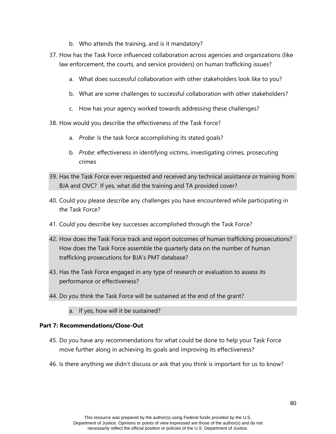- b. Who attends the training, and is it mandatory?
- 37. How has the Task Force influenced collaboration across agencies and organizations (like law enforcement, the courts, and service providers) on human trafficking issues?
	- a. What does successful collaboration with other stakeholders look like to you?
	- b. What are some challenges to successful collaboration with other stakeholders?
	- c. How has your agency worked towards addressing these challenges?
- 38. How would you describe the effectiveness of the Task Force?
	- a. *Probe*: Is the task force accomplishing its stated goals?
	- b. *Probe*: effectiveness in identifying victims, investigating crimes, prosecuting crimes
- 39. Has the Task Force ever requested and received any technical assistance or training from BJA and OVC? If yes, what did the training and TA provided cover?
- 40. Could you please describe any challenges you have encountered while participating in the Task Force?
- 41. Could you describe key successes accomplished through the Task Force?
- 42. How does the Task Force track and report outcomes of human trafficking prosecutions? How does the Task Force assemble the quarterly data on the number of human trafficking prosecutions for BJA's PMT database?
- 43. Has the Task Force engaged in any type of research or evaluation to assess its performance or effectiveness?
- 44. Do you think the Task Force will be sustained at the end of the grant?
	- a. If yes, how will it be sustained?

## **Part 7: Recommendations/Close-Out**

- 45. Do you have any recommendations for what could be done to help your Task Force move further along in achieving its goals and improving its effectiveness?
- 46. Is there anything we didn't discuss or ask that you think is important for us to know?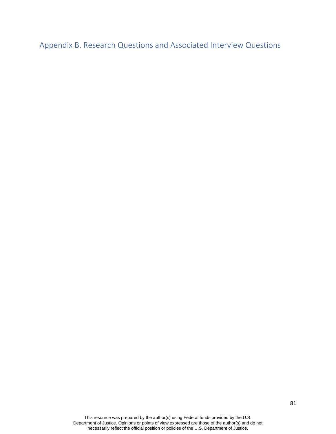Appendix B. Research Questions and Associated Interview Questions

This resource was prepared by the author(s) using Federal funds provided by the U.S. Department of Justice. Opinions or points of view expressed are those of the author(s) and do not necessarily reflect the official position or policies of the U.S. Department of Justice.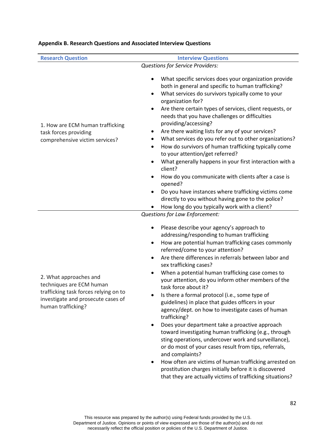| <b>Research Question</b>                                                                                                                                | <b>Interview Questions</b>                                                                                                                                                                                                                                                                                                                                                                                                                                                                                                                                                                                                                                                                                                                                                                                                                                                                                                                                                                                                                                                    |
|---------------------------------------------------------------------------------------------------------------------------------------------------------|-------------------------------------------------------------------------------------------------------------------------------------------------------------------------------------------------------------------------------------------------------------------------------------------------------------------------------------------------------------------------------------------------------------------------------------------------------------------------------------------------------------------------------------------------------------------------------------------------------------------------------------------------------------------------------------------------------------------------------------------------------------------------------------------------------------------------------------------------------------------------------------------------------------------------------------------------------------------------------------------------------------------------------------------------------------------------------|
|                                                                                                                                                         | Questions for Service Providers:                                                                                                                                                                                                                                                                                                                                                                                                                                                                                                                                                                                                                                                                                                                                                                                                                                                                                                                                                                                                                                              |
| 1. How are ECM human trafficking<br>task forces providing<br>comprehensive victim services?                                                             | What specific services does your organization provide<br>both in general and specific to human trafficking?<br>What services do survivors typically come to your<br>organization for?<br>Are there certain types of services, client requests, or<br>$\bullet$<br>needs that you have challenges or difficulties<br>providing/accessing?<br>Are there waiting lists for any of your services?<br>٠<br>What services do you refer out to other organizations?<br>How do survivors of human trafficking typically come<br>$\bullet$<br>to your attention/get referred?<br>What generally happens in your first interaction with a<br>client?<br>How do you communicate with clients after a case is<br>opened?<br>Do you have instances where trafficking victims come<br>directly to you without having gone to the police?<br>How long do you typically work with a client?                                                                                                                                                                                                   |
| 2. What approaches and<br>techniques are ECM human<br>trafficking task forces relying on to<br>investigate and prosecute cases of<br>human trafficking? | Questions for Law Enforcement:<br>Please describe your agency's approach to<br>addressing/responding to human trafficking<br>How are potential human trafficking cases commonly<br>$\bullet$<br>referred/come to your attention?<br>Are there differences in referrals between labor and<br>sex trafficking cases?<br>When a potential human trafficking case comes to<br>your attention, do you inform other members of the<br>task force about it?<br>Is there a formal protocol (i.e., some type of<br>guidelines) in place that guides officers in your<br>agency/dept. on how to investigate cases of human<br>trafficking?<br>Does your department take a proactive approach<br>toward investigating human trafficking (e.g., through<br>sting operations, undercover work and surveillance),<br>or do most of your cases result from tips, referrals,<br>and complaints?<br>How often are victims of human trafficking arrested on<br>$\bullet$<br>prostitution charges initially before it is discovered<br>that they are actually victims of trafficking situations? |

#### **Appendix B. Research Questions and Associated Interview Questions**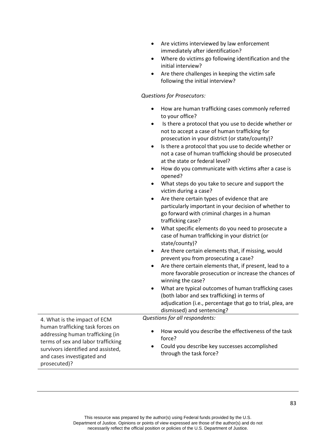- Are victims interviewed by law enforcement immediately after identification?
- Where do victims go following identification and the initial interview?
- Are there challenges in keeping the victim safe following the initial interview?

#### *Questions for Prosecutors:*

- How are human trafficking cases commonly referred to your office?
- Is there a protocol that you use to decide whether or not to accept a case of human trafficking for prosecution in your district (or state/county)?
- Is there a protocol that you use to decide whether or not a case of human trafficking should be prosecuted at the state or federal level?
- How do you communicate with victims after a case is opened?
- What steps do you take to secure and support the victim during a case?
- Are there certain types of evidence that are particularly important in your decision of whether to go forward with criminal charges in a human trafficking case?
- What specific elements do you need to prosecute a case of human trafficking in your district (or state/county)?
- Are there certain elements that, if missing, would prevent you from prosecuting a case?
- Are there certain elements that, if present, lead to a more favorable prosecution or increase the chances of winning the case?
- What are typical outcomes of human trafficking cases (both labor and sex trafficking) in terms of adjudication (i.e., percentage that go to trial, plea, are dismissed) and sentencing?

*Questions for all respondents:*

- How would you describe the effectiveness of the task force?
- Could you describe key successes accomplished through the task force?

4. What is the impact of ECM human trafficking task forces on addressing human trafficking (in terms of sex and labor trafficking survivors identified and assisted, and cases investigated and prosecuted)?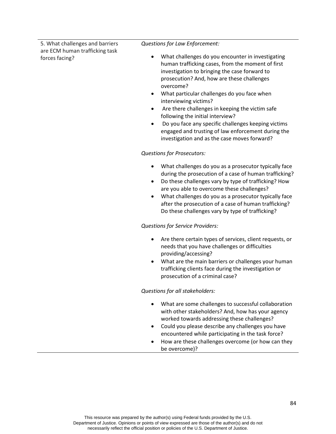5. What challenges and barriers are ECM human trafficking task forces facing?

*Questions for Law Enforcement:*

- What challenges do you encounter in investigating human trafficking cases, from the moment of first investigation to bringing the case forward to prosecution? And, how are these challenges overcome?
- What particular challenges do you face when interviewing victims?
- Are there challenges in keeping the victim safe following the initial interview?
- Do you face any specific challenges keeping victims engaged and trusting of law enforcement during the investigation and as the case moves forward?

#### *Questions for Prosecutors:*

- What challenges do you as a prosecutor typically face during the prosecution of a case of human trafficking?
- Do these challenges vary by type of trafficking? How are you able to overcome these challenges?
- What challenges do you as a prosecutor typically face after the prosecution of a case of human trafficking? Do these challenges vary by type of trafficking?

#### *Questions for Service Providers:*

- Are there certain types of services, client requests, or needs that you have challenges or difficulties providing/accessing?
- What are the main barriers or challenges your human trafficking clients face during the investigation or prosecution of a criminal case?

#### *Questions for all stakeholders:*

- What are some challenges to successful collaboration with other stakeholders? And, how has your agency worked towards addressing these challenges?
- Could you please describe any challenges you have encountered while participating in the task force?
- How are these challenges overcome (or how can they be overcome)?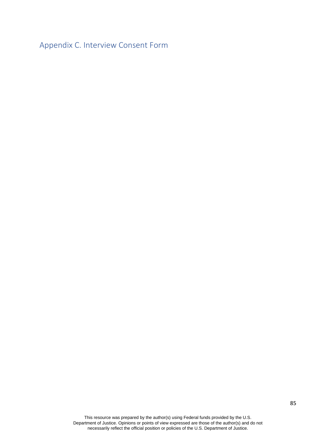Appendix C. Interview Consent Form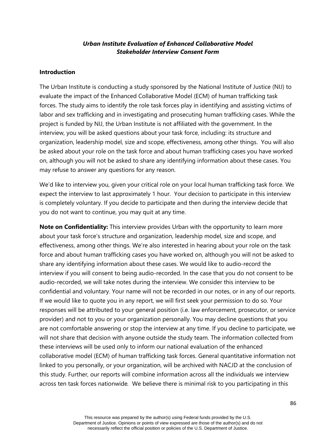#### *Urban Institute Evaluation of Enhanced Collaborative Model Stakeholder Interview Consent Form*

#### **Introduction**

The Urban Institute is conducting a study sponsored by the National Institute of Justice (NIJ) to evaluate the impact of the Enhanced Collaborative Model (ECM) of human trafficking task forces. The study aims to identify the role task forces play in identifying and assisting victims of labor and sex trafficking and in investigating and prosecuting human trafficking cases. While the project is funded by NIJ, the Urban Institute is not affiliated with the government. In the interview, you will be asked questions about your task force, including: its structure and organization, leadership model, size and scope, effectiveness, among other things. You will also be asked about your role on the task force and about human trafficking cases you have worked on, although you will not be asked to share any identifying information about these cases. You may refuse to answer any questions for any reason.

We'd like to interview you, given your critical role on your local human trafficking task force. We expect the interview to last approximately 1 hour. Your decision to participate in this interview is completely voluntary. If you decide to participate and then during the interview decide that you do not want to continue, you may quit at any time.

**Note on Confidentiality:** This interview provides Urban with the opportunity to learn more about your task force's structure and organization, leadership model, size and scope, and effectiveness, among other things. We're also interested in hearing about your role on the task force and about human trafficking cases you have worked on, although you will not be asked to share any identifying information about these cases. We would like to audio-record the interview if you will consent to being audio-recorded. In the case that you do not consent to be audio-recorded, we will take notes during the interview. We consider this interview to be confidential and voluntary. Your name will not be recorded in our notes, or in any of our reports. If we would like to quote you in any report, we will first seek your permission to do so. Your responses will be attributed to your general position (i.e. law enforcement, prosecutor, or service provider) and not to you or your organization personally. You may decline questions that you are not comfortable answering or stop the interview at any time. If you decline to participate, we will not share that decision with anyone outside the study team. The information collected from these interviews will be used only to inform our national evaluation of the enhanced collaborative model (ECM) of human trafficking task forces. General quantitative information not linked to you personally, or your organization, will be archived with NACJD at the conclusion of this study. Further, our reports will combine information across all the individuals we interview across ten task forces nationwide*.* We believe there is minimal risk to you participating in this

> This resource was prepared by the author(s) using Federal funds provided by the U.S. Department of Justice. Opinions or points of view expressed are those of the author(s) and do not necessarily reflect the official position or policies of the U.S. Department of Justice.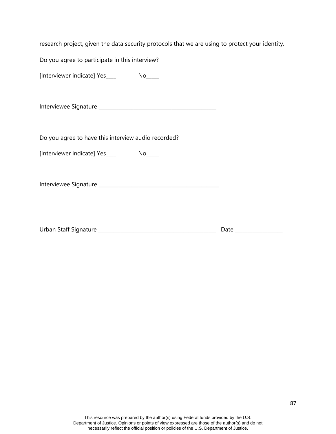| research project, given the data security protocols that we are using to protect your identity. |  |  |  |
|-------------------------------------------------------------------------------------------------|--|--|--|

Do you agree to participate in this interview?

[Interviewer indicate] Yes\_\_\_\_ No\_\_\_\_

Interviewee Signature \_\_\_\_\_\_\_\_\_\_\_\_\_\_\_\_\_\_\_\_\_\_\_\_\_\_\_\_\_\_\_\_\_\_\_\_\_\_\_\_\_\_\_\_\_\_\_

Do you agree to have this interview audio recorded?

[Interviewer indicate] Yes\_\_\_\_ No\_\_\_\_

Interviewee Signature \_\_\_\_\_\_\_\_\_\_\_\_\_\_\_\_\_\_\_\_\_\_\_\_\_\_\_\_\_\_\_\_\_\_\_\_\_\_\_\_\_\_\_\_\_\_\_\_

| Urban Staff Signature |  |  |
|-----------------------|--|--|
|                       |  |  |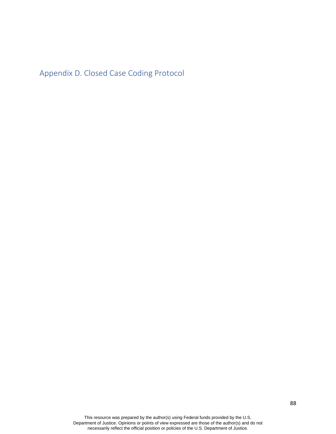Appendix D. Closed Case Coding Protocol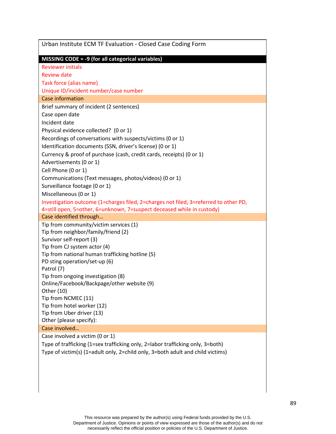| Urban Institute ECM TF Evaluation - Closed Case Coding Form                          |
|--------------------------------------------------------------------------------------|
| MISSING CODE = -9 (for all categorical variables)                                    |
| <b>Reviewer initials</b>                                                             |
| <b>Review date</b>                                                                   |
| Task force (alias name)                                                              |
| Unique ID/incident number/case number                                                |
| <b>Case information</b>                                                              |
| Brief summary of incident (2 sentences)                                              |
| Case open date                                                                       |
| Incident date                                                                        |
| Physical evidence collected? (0 or 1)                                                |
| Recordings of conversations with suspects/victims (0 or 1)                           |
| Identification documents (SSN, driver's license) (0 or 1)                            |
| Currency & proof of purchase (cash, credit cards, receipts) (0 or 1)                 |
| Advertisements (0 or 1)                                                              |
| Cell Phone (0 or 1)                                                                  |
| Communications (Text messages, photos/videos) (0 or 1)                               |
| Surveillance footage (0 or 1)                                                        |
| Miscellaneous (0 or 1)                                                               |
| Investigation outcome (1=charges filed, 2=charges not filed, 3=referred to other PD, |
| 4=still open, 5=other, 6=unknown, 7=suspect deceased while in custody)               |
| Case identified through                                                              |
| Tip from community/victim services (1)                                               |
| Tip from neighbor/family/friend (2)                                                  |
| Survivor self-report (3)                                                             |
| Tip from CJ system actor (4)                                                         |
| Tip from national human trafficking hotline (5)<br>PD sting operation/set-up (6)     |
| Patrol (7)                                                                           |
| Tip from ongoing investigation (8)                                                   |
| Online/Facebook/Backpage/other website (9)                                           |
| Other (10)                                                                           |
| Tip from NCMEC (11)                                                                  |
| Tip from hotel worker (12)                                                           |
| Tip from Uber driver (13)                                                            |
| Other (please specify):                                                              |
| Case involved                                                                        |
| Case involved a victim (0 or 1)                                                      |
| Type of trafficking (1=sex trafficking only, 2=labor trafficking only, 3=both)       |
| Type of victim(s) (1=adult only, 2=child only, 3=both adult and child victims)       |
|                                                                                      |
|                                                                                      |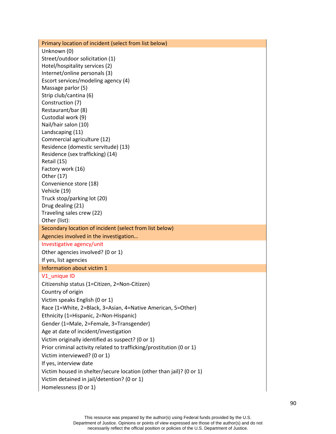| Primary location of incident (select from list below)                |
|----------------------------------------------------------------------|
| Unknown (0)                                                          |
| Street/outdoor solicitation (1)                                      |
| Hotel/hospitality services (2)                                       |
| Internet/online personals (3)                                        |
| Escort services/modeling agency (4)                                  |
| Massage parlor (5)                                                   |
| Strip club/cantina (6)                                               |
| Construction (7)                                                     |
| Restaurant/bar (8)                                                   |
| Custodial work (9)                                                   |
| Nail/hair salon (10)                                                 |
| Landscaping (11)                                                     |
| Commercial agriculture (12)                                          |
| Residence (domestic servitude) (13)                                  |
| Residence (sex trafficking) (14)                                     |
| Retail (15)                                                          |
| Factory work (16)                                                    |
| Other (17)                                                           |
| Convenience store (18)                                               |
| Vehicle (19)                                                         |
| Truck stop/parking lot (20)                                          |
| Drug dealing (21)                                                    |
| Traveling sales crew (22)                                            |
| Other (list):                                                        |
| Secondary location of incident (select from list below)              |
| Agencies involved in the investigation                               |
| Investigative agency/unit                                            |
| Other agencies involved? (0 or 1)                                    |
| If yes, list agencies                                                |
| Information about victim 1                                           |
| V1 unique ID                                                         |
| Citizenship status (1=Citizen, 2=Non-Citizen)                        |
| Country of origin                                                    |
| Victim speaks English (0 or 1)                                       |
| Race (1=White, 2=Black, 3=Asian, 4=Native American, 5=Other)         |
| Ethnicity (1=Hispanic, 2=Non-Hispanic)                               |
| Gender (1=Male, 2=Female, 3=Transgender)                             |
| Age at date of incident/investigation                                |
| Victim originally identified as suspect? (0 or 1)                    |
| Prior criminal activity related to trafficking/prostitution (0 or 1) |
| Victim interviewed? (0 or 1)                                         |
| If yes, interview date                                               |
| Victim housed in shelter/secure location (other than jail)? (0 or 1) |
| Victim detained in jail/detention? (0 or 1)                          |
| Homelessness (0 or 1)                                                |
|                                                                      |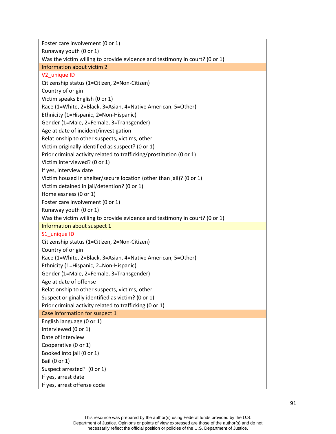Foster care involvement (0 or 1) Runaway youth (0 or 1) Was the victim willing to provide evidence and testimony in court? (0 or 1) Information about victim 2 V2\_unique ID Citizenship status (1=Citizen, 2=Non-Citizen) Country of origin Victim speaks English (0 or 1) Race (1=White, 2=Black, 3=Asian, 4=Native American, 5=Other) Ethnicity (1=Hispanic, 2=Non-Hispanic) Gender (1=Male, 2=Female, 3=Transgender) Age at date of incident/investigation Relationship to other suspects, victims, other Victim originally identified as suspect? (0 or 1) Prior criminal activity related to trafficking/prostitution (0 or 1) Victim interviewed? (0 or 1) If yes, interview date Victim housed in shelter/secure location (other than jail)? (0 or 1) Victim detained in jail/detention? (0 or 1) Homelessness (0 or 1) Foster care involvement (0 or 1) Runaway youth (0 or 1) Was the victim willing to provide evidence and testimony in court? (0 or 1) Information about suspect 1 S1\_unique ID Citizenship status (1=Citizen, 2=Non-Citizen) Country of origin Race (1=White, 2=Black, 3=Asian, 4=Native American, 5=Other) Ethnicity (1=Hispanic, 2=Non-Hispanic) Gender (1=Male, 2=Female, 3=Transgender) Age at date of offense Relationship to other suspects, victims, other Suspect originally identified as victim? (0 or 1) Prior criminal activity related to trafficking (0 or 1) Case information for suspect 1 English language (0 or 1) Interviewed (0 or 1) Date of interview Cooperative (0 or 1) Booked into jail (0 or 1) Bail (0 or 1) Suspect arrested? (0 or 1) If yes, arrest date If yes, arrest offense code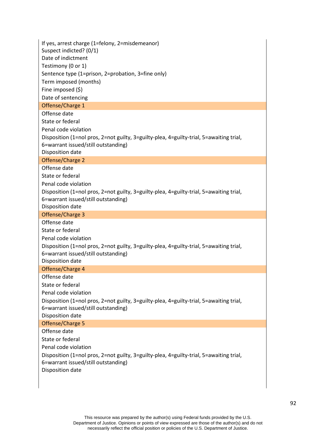| If yes, arrest charge (1=felony, 2=misdemeanor)<br>Suspect indicted? (0/1)<br>Date of indictment |
|--------------------------------------------------------------------------------------------------|
| Testimony (0 or 1)                                                                               |
| Sentence type (1=prison, 2=probation, 3=fine only)                                               |
| Term imposed (months)                                                                            |
| Fine imposed (\$)                                                                                |
| Date of sentencing                                                                               |
|                                                                                                  |
| Offense/Charge 1<br>Offense date                                                                 |
|                                                                                                  |
| State or federal                                                                                 |
| Penal code violation                                                                             |
| Disposition (1=nol pros, 2=not guilty, 3=guilty-plea, 4=guilty-trial, 5=awaiting trial,          |
| 6=warrant issued/still outstanding)                                                              |
| Disposition date                                                                                 |
| Offense/Charge 2                                                                                 |
| Offense date                                                                                     |
| State or federal                                                                                 |
| Penal code violation                                                                             |
| Disposition (1=nol pros, 2=not guilty, 3=guilty-plea, 4=guilty-trial, 5=awaiting trial,          |
| 6=warrant issued/still outstanding)                                                              |
| Disposition date                                                                                 |
|                                                                                                  |
| Offense/Charge 3                                                                                 |
| Offense date                                                                                     |
| State or federal                                                                                 |
| Penal code violation                                                                             |
| Disposition (1=nol pros, 2=not guilty, 3=guilty-plea, 4=guilty-trial, 5=awaiting trial,          |
| 6=warrant issued/still outstanding)                                                              |
| Disposition date                                                                                 |
| Offense/Charge 4                                                                                 |
| Offense date                                                                                     |
| State or federal                                                                                 |
| Penal code violation                                                                             |
| Disposition (1=nol pros, 2=not guilty, 3=guilty-plea, 4=guilty-trial, 5=awaiting trial,          |
| 6=warrant issued/still outstanding)                                                              |
| Disposition date                                                                                 |
| Offense/Charge 5                                                                                 |
| Offense date                                                                                     |
| State or federal                                                                                 |
| Penal code violation                                                                             |
| Disposition (1=nol pros, 2=not guilty, 3=guilty-plea, 4=guilty-trial, 5=awaiting trial,          |
| 6=warrant issued/still outstanding)                                                              |
| Disposition date                                                                                 |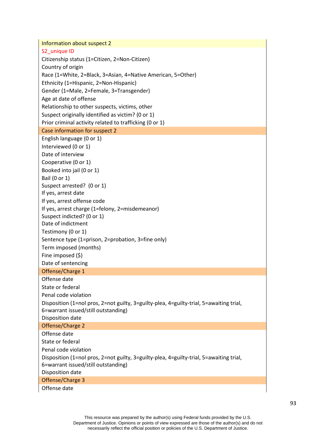| Information about suspect 2                                                             |
|-----------------------------------------------------------------------------------------|
| S2_unique ID                                                                            |
| Citizenship status (1=Citizen, 2=Non-Citizen)                                           |
| Country of origin                                                                       |
| Race (1=White, 2=Black, 3=Asian, 4=Native American, 5=Other)                            |
| Ethnicity (1=Hispanic, 2=Non-Hispanic)                                                  |
| Gender (1=Male, 2=Female, 3=Transgender)                                                |
| Age at date of offense                                                                  |
| Relationship to other suspects, victims, other                                          |
| Suspect originally identified as victim? (0 or 1)                                       |
| Prior criminal activity related to trafficking (0 or 1)                                 |
| Case information for suspect 2                                                          |
| English language (0 or 1)                                                               |
| Interviewed (0 or 1)                                                                    |
| Date of interview                                                                       |
| Cooperative (0 or 1)                                                                    |
| Booked into jail (0 or 1)                                                               |
| Bail (0 or 1)                                                                           |
| Suspect arrested? (0 or 1)                                                              |
| If yes, arrest date                                                                     |
| If yes, arrest offense code                                                             |
| If yes, arrest charge (1=felony, 2=misdemeanor)                                         |
| Suspect indicted? (0 or 1)                                                              |
| Date of indictment                                                                      |
| Testimony (0 or 1)                                                                      |
| Sentence type (1=prison, 2=probation, 3=fine only)                                      |
| Term imposed (months)                                                                   |
| Fine imposed (\$)                                                                       |
| Date of sentencing                                                                      |
| Offense/Charge 1                                                                        |
| Offense date                                                                            |
| State or federal                                                                        |
| Penal code violation                                                                    |
| Disposition (1=nol pros, 2=not guilty, 3=guilty-plea, 4=guilty-trial, 5=awaiting trial, |
| 6=warrant issued/still outstanding)                                                     |
| Disposition date                                                                        |
| Offense/Charge 2                                                                        |
| Offense date                                                                            |
| State or federal                                                                        |
| Penal code violation                                                                    |
| Disposition (1=nol pros, 2=not guilty, 3=guilty-plea, 4=guilty-trial, 5=awaiting trial, |
| 6=warrant issued/still outstanding)                                                     |
| Disposition date                                                                        |
| Offense/Charge 3                                                                        |
| Offense date                                                                            |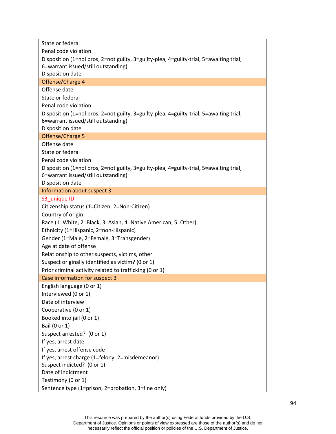| State or federal                                                                        |
|-----------------------------------------------------------------------------------------|
| Penal code violation                                                                    |
| Disposition (1=nol pros, 2=not guilty, 3=guilty-plea, 4=guilty-trial, 5=awaiting trial, |
| 6=warrant issued/still outstanding)                                                     |
| Disposition date                                                                        |
| Offense/Charge 4                                                                        |
| Offense date                                                                            |
| State or federal                                                                        |
| Penal code violation                                                                    |
| Disposition (1=nol pros, 2=not guilty, 3=guilty-plea, 4=guilty-trial, 5=awaiting trial, |
| 6=warrant issued/still outstanding)<br>Disposition date                                 |
| Offense/Charge 5                                                                        |
| Offense date                                                                            |
| State or federal                                                                        |
| Penal code violation                                                                    |
| Disposition (1=nol pros, 2=not guilty, 3=guilty-plea, 4=guilty-trial, 5=awaiting trial, |
| 6=warrant issued/still outstanding)                                                     |
| Disposition date                                                                        |
| Information about suspect 3                                                             |
| S3_unique ID                                                                            |
| Citizenship status (1=Citizen, 2=Non-Citizen)                                           |
| Country of origin                                                                       |
| Race (1=White, 2=Black, 3=Asian, 4=Native American, 5=Other)                            |
| Ethnicity (1=Hispanic, 2=non-Hispanic)                                                  |
| Gender (1=Male, 2=Female, 3=Transgender)                                                |
| Age at date of offense                                                                  |
| Relationship to other suspects, victims, other                                          |
| Suspect originally identified as victim? (0 or 1)                                       |
| Prior criminal activity related to trafficking (0 or 1)                                 |
| Case information for suspect 3                                                          |
| English language (0 or 1)                                                               |
| Interviewed (0 or 1)                                                                    |
| Date of interview                                                                       |
| Cooperative (0 or 1)                                                                    |
| Booked into jail (0 or 1)                                                               |
| Bail (0 or 1)                                                                           |
| Suspect arrested? (0 or 1)                                                              |
| If yes, arrest date                                                                     |
| If yes, arrest offense code                                                             |
| If yes, arrest charge (1=felony, 2=misdemeanor)                                         |
| Suspect indicted? (0 or 1)                                                              |
| Date of indictment                                                                      |
| Testimony (0 or 1)                                                                      |
| Sentence type (1=prison, 2=probation, 3=fine only)                                      |